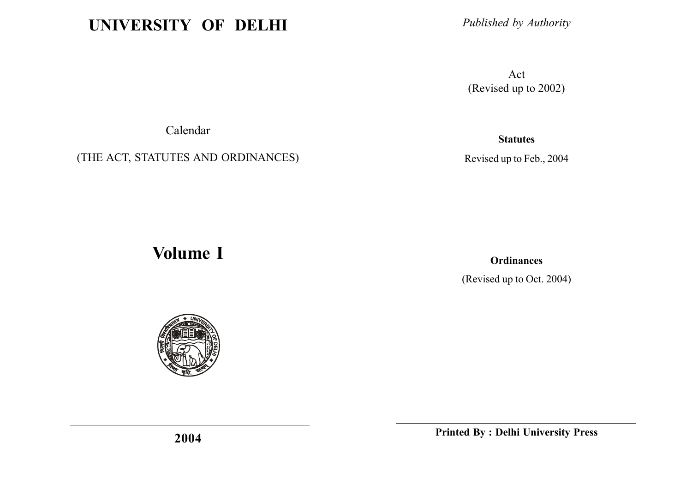# UNIVERSITY OF DELHI

Published by Authority

Act (Revised up to 2002)

Calendar

(THE ACT, STATUTES AND ORDINANCES)

**Statutes** 

Revised up to Feb., 2004

# Volume I

**Ordinances** 

(Revised up to Oct. 2004)



Printed By : Delhi University Press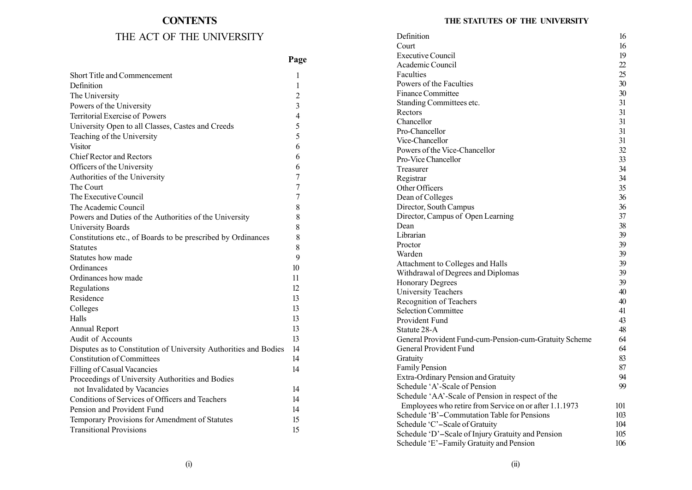# **CONTENTS** THE ACT OF THE UNIVERSITY

|  | THE STATUTES OF THE UNIVERSITY |
|--|--------------------------------|
|  |                                |

| THE ACT OF THE UNIVERSITY                                        |                | Definition                                             | 16       |
|------------------------------------------------------------------|----------------|--------------------------------------------------------|----------|
|                                                                  |                | Court                                                  | 16       |
|                                                                  | Page           | <b>Executive Council</b>                               | 19       |
|                                                                  |                | Academic Council                                       | 22       |
| Short Title and Commencement                                     |                | Faculties                                              | 25       |
| Definition                                                       | $\overline{1}$ | Powers of the Faculties                                | 30       |
| The University                                                   | $\overline{2}$ | Finance Committee                                      | 30       |
| Powers of the University                                         | 3              | Standing Committees etc.                               | 31       |
| Territorial Exercise of Powers                                   | 4              | Rectors                                                | 31       |
| University Open to all Classes, Castes and Creeds                | 5              | Chancellor                                             | 31       |
| Teaching of the University                                       | 5              | Pro-Chancellor                                         | 31       |
| Visitor                                                          | 6              | Vice-Chancellor                                        | 31       |
| <b>Chief Rector and Rectors</b>                                  | 6              | Powers of the Vice-Chancellor                          | 32       |
| Officers of the University                                       | 6              | Pro-Vice Chancellor                                    | 33       |
| Authorities of the University                                    |                | Treasurer                                              | 34       |
| The Court                                                        |                | Registrar                                              | 34       |
| The Executive Council                                            |                | Other Officers                                         | 35       |
|                                                                  |                | Dean of Colleges                                       | 36       |
| The Academic Council                                             | 8              | Director, South Campus                                 | 36       |
| Powers and Duties of the Authorities of the University           | 8              | Director, Campus of Open Learning                      | 37       |
| <b>University Boards</b>                                         | 8              | Dean<br>Librarian                                      | 38<br>39 |
| Constitutions etc., of Boards to be prescribed by Ordinances     | 8              | Proctor                                                | 39       |
| <b>Statutes</b>                                                  | 8              | Warden                                                 | 39       |
| Statutes how made                                                | $\mathbf Q$    | Attachment to Colleges and Halls                       | 39       |
| Ordinances                                                       | 10             | Withdrawal of Degrees and Diplomas                     | 39       |
| Ordinances how made                                              | 11             | <b>Honorary Degrees</b>                                | 39       |
| Regulations                                                      | 12             | University Teachers                                    | 40       |
| Residence                                                        | 13             | Recognition of Teachers                                | 40       |
| Colleges                                                         | 13             | <b>Selection Committee</b>                             | 41       |
| Halls                                                            | 13             | Provident Fund                                         | 43       |
| Annual Report                                                    | 13             | Statute 28-A                                           | 48       |
| Audit of Accounts                                                | 13             | General Provident Fund-cum-Pension-cum-Gratuity Scheme | 64       |
| Disputes as to Constitution of University Authorities and Bodies | 14             | General Provident Fund                                 | 64       |
| <b>Constitution of Committees</b>                                | 14             | Gratuity                                               | 83       |
| Filling of Casual Vacancies                                      | 14             | Family Pension                                         | 87       |
| Proceedings of University Authorities and Bodies                 |                | Extra-Ordinary Pension and Gratuity                    | 94       |
| not Invalidated by Vacancies                                     | 14             | Schedule 'A'-Scale of Pension                          | 99       |
| Conditions of Services of Officers and Teachers                  | 14             | Schedule 'AA'-Scale of Pension in respect of the       |          |
| Pension and Provident Fund                                       | 14             | Employees who retire from Service on or after 1.1.1973 | 101      |
| Temporary Provisions for Amendment of Statutes                   | 15             | Schedule 'B'-Commutation Table for Pensions            | 103      |
| <b>Transitional Provisions</b>                                   | 15             | Schedule 'C'-Scale of Gratuity                         | 104      |
|                                                                  |                | Schedule 'D'-Scale of Injury Gratuity and Pension      | 105      |
|                                                                  |                | Schedule 'E'-Family Gratuity and Pension               | 106      |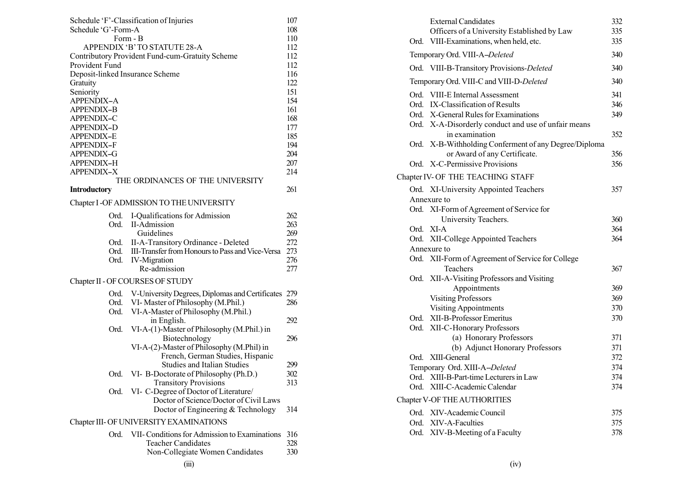|                                 | Schedule 'F'-Classification of Injuries                   | 107        | <b>External Candidates</b>         |
|---------------------------------|-----------------------------------------------------------|------------|------------------------------------|
| Schedule 'G'-Form-A             |                                                           | 108        | Officers of a University Esta      |
|                                 | Form - B                                                  | 110        | Ord. VIII-Examinations, when he    |
|                                 | APPENDIX 'B' TO STATUTE 28-A                              | 112        |                                    |
|                                 | Contributory Provident Fund-cum-Gratuity Scheme           | 112        | Temporary Ord. VIII-A-Deleted      |
| Provident Fund                  |                                                           | 112        | Ord. VIII-B-Transitory Provision   |
| Deposit-linked Insurance Scheme |                                                           | 116        | Temporary Ord. VIII-C and VIII-D   |
| Gratuity<br>Seniority           |                                                           | 122<br>151 |                                    |
| <b>APPENDIX-A</b>               |                                                           | 154        | Ord. VIII-E Internal Assessment    |
| <b>APPENDIX-B</b>               |                                                           | 161        | Ord. IX-Classification of Results  |
| APPENDIX-C                      |                                                           | 168        | Ord. X-General Rules for Examin    |
| APPENDIX-D                      |                                                           | 177        | Ord. X-A-Disorderly conduct an     |
| <b>APPENDIX-E</b>               |                                                           | 185        | in examination                     |
| APPENDIX-F                      |                                                           | 194        | Ord. X-B-Withholding Conferme      |
| <b>APPENDIX-G</b>               |                                                           | 204        | or Award of any Certif             |
| APPENDIX-H                      |                                                           | 207        | Ord. X-C-Permissive Provisions     |
| APPENDIX-X                      |                                                           | 214        |                                    |
|                                 | THE ORDINANCES OF THE UNIVERSITY                          |            | Chapter IV- OF THE TEACHING ST.    |
| <b>Introductory</b>             |                                                           | 261        | Ord. XI-University Appointed To    |
|                                 | Chapter I -OF ADMISSION TO THE UNIVERSITY                 |            | Annexure to                        |
|                                 | Ord. I-Qualifications for Admission                       | 262        | Ord. XI-Form of Agreement of So    |
|                                 | Ord. II-Admission                                         | 263        | University Teachers.               |
|                                 | Guidelines                                                | 269        | Ord. XI-A                          |
|                                 | Ord. II-A-Transitory Ordinance - Deleted                  | 272        | Ord. XII-College Appointed Tead    |
| Ord.                            | III-Transfer from Honours to Pass and Vice-Versa          | 273        | Annexure to                        |
| Ord.                            | <b>IV-Migration</b>                                       | 276        | Ord. XII-Form of Agreement of S    |
|                                 | Re-admission                                              | 277        | Teachers                           |
|                                 | Chapter II - OF COURSES OF STUDY                          |            | Ord. XII-A-Visiting Professors an  |
|                                 |                                                           |            | Appointments                       |
|                                 | Ord. V-University Degrees, Diplomas and Certificates 279  |            | <b>Visiting Professors</b>         |
|                                 | Ord. VI-Master of Philosophy (M.Phil.)                    | 286        | <b>Visiting Appointments</b>       |
| Ord.                            | VI-A-Master of Philosophy (M.Phil.)                       | 292        | Ord. XII-B-Professor Emeritus      |
| Ord.                            | in English.<br>VI-A-(1)-Master of Philosophy (M.Phil.) in |            | Ord. XII-C-Honorary Professors     |
|                                 | Biotechnology                                             | 296        | (a) Honorary Profess               |
|                                 | VI-A-(2)-Master of Philosophy (M.Phil) in                 |            | (b) Adjunct Honorar                |
|                                 | French, German Studies, Hispanic                          |            | Ord. XIII-General                  |
|                                 | <b>Studies and Italian Studies</b>                        | 299        | Temporary Ord. XIII-A-Deleted      |
|                                 | Ord. VI-B-Doctorate of Philosophy (Ph.D.)                 | 302        |                                    |
|                                 | <b>Transitory Provisions</b>                              | 313        | Ord. XIII-B-Part-time Lecturers in |
|                                 | Ord. VI- C-Degree of Doctor of Literature/                |            | Ord. XIII-C-Academic Calendar      |
|                                 | Doctor of Science/Doctor of Civil Laws                    |            | Chapter V-OF THE AUTHORITIES       |
|                                 | Doctor of Engineering & Technology                        | 314        | Ord. XIV-Academic Council          |
|                                 | Chapter III- OF UNIVERSITY EXAMINATIONS                   |            | Ord. XIV-A-Faculties               |
|                                 |                                                           |            | Ord. XIV-B-Meeting of a Faculty    |
|                                 | Ord. VII-Conditions for Admission to Examinations         | 316        |                                    |
|                                 | <b>Teacher Candidates</b>                                 | 328        |                                    |
|                                 | Non-Collegiate Women Candidates                           | 330        |                                    |
|                                 | (iii)                                                     |            | (iv)                               |

| Ord. | <b>External Candidates</b><br>Officers of a University Established by Law<br>VIII-Examinations, when held, etc.                                                      | 332<br>335<br>335        |
|------|----------------------------------------------------------------------------------------------------------------------------------------------------------------------|--------------------------|
|      | Temporary Ord. VIII-A-Deleted                                                                                                                                        | 340                      |
|      | Ord. VIII-B-Transitory Provisions-Deleted                                                                                                                            | 340                      |
|      | Temporary Ord. VIII-C and VIII-D-Deleted                                                                                                                             | 340                      |
|      | Ord. VIII-E Internal Assessment<br>Ord. IX-Classification of Results<br>Ord. X-General Rules for Examinations<br>Ord. X-A-Disorderly conduct and use of unfair means | 341<br>346<br>349<br>352 |
|      | in examination<br>Ord. X-B-Withholding Conferment of any Degree/Diploma<br>or Award of any Certificate.                                                              | 356                      |
|      | Ord. X-C-Permissive Provisions                                                                                                                                       | 356                      |
|      | Chapter IV- OF THE TEACHING STAFF                                                                                                                                    |                          |
|      | Ord. XI-University Appointed Teachers                                                                                                                                | 357                      |
|      | Annexure to                                                                                                                                                          |                          |
|      | Ord. XI-Form of Agreement of Service for<br>University Teachers.                                                                                                     | 360                      |
|      | Ord. XI-A                                                                                                                                                            | 364                      |
| Ord. | XII-College Appointed Teachers                                                                                                                                       | 364                      |
|      | Annexure to                                                                                                                                                          |                          |
|      | Ord. XII-Form of Agreement of Service for College                                                                                                                    |                          |
|      | Teachers                                                                                                                                                             | 367                      |
|      | Ord. XII-A-Visiting Professors and Visiting                                                                                                                          |                          |
|      | Appointments                                                                                                                                                         | 369                      |
|      | <b>Visiting Professors</b>                                                                                                                                           | 369                      |
|      | <b>Visiting Appointments</b>                                                                                                                                         | 370                      |
| Ord. | XII-B-Professor Emeritus                                                                                                                                             | 370                      |
| Ord. | XII-C-Honorary Professors                                                                                                                                            |                          |
|      | (a) Honorary Professors                                                                                                                                              | 371                      |
|      | (b) Adjunct Honorary Professors                                                                                                                                      | 371                      |
|      | Ord. XIII-General                                                                                                                                                    | 372                      |
|      | Temporary Ord. XIII-A-Deleted                                                                                                                                        | 374                      |
|      | Ord. XIII-B-Part-time Lecturers in Law                                                                                                                               | 374                      |
|      | Ord. XIII-C-Academic Calendar                                                                                                                                        | 374                      |
|      | Chapter V-OF THE AUTHORITIES                                                                                                                                         |                          |
|      | Ord. XIV-Academic Council                                                                                                                                            | 375                      |
|      | Ord. XIV-A-Faculties                                                                                                                                                 | 375                      |
| Ord. | XIV-B-Meeting of a Faculty                                                                                                                                           | 378                      |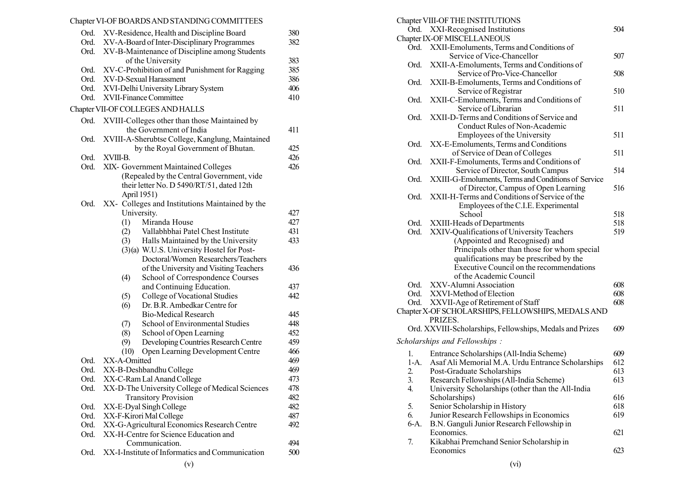# Chapter VI-OF BOARDSAND STANDING COMMITTEES

|      | Ord. XV-Residence, Health and Discipline Board      | 380 | Ord. XXI-Recognised Institution                       |
|------|-----------------------------------------------------|-----|-------------------------------------------------------|
|      | Ord. XV-A-Board of Inter-Disciplinary Programmes    | 382 | Chapter IX-OF MISCELLANEOUS                           |
|      | Ord. XV-B-Maintenance of Discipline among Students  |     | Ord. XXII-Emoluments, Terms an                        |
|      | of the University                                   | 383 | Service of Vice-Chane                                 |
|      | Ord. XV-C-Prohibition of and Punishment for Ragging | 385 | Ord. XXII-A-Emoluments, Term                          |
|      | Ord. XV-D-Sexual Harassment                         | 386 | Service of Pro-Vice                                   |
|      | Ord. XVI-Delhi University Library System            | 406 | Ord. XXII-B-Emoluments, Terms                         |
| Ord. | XVII-Finance Committee                              | 410 | Service of Registrai                                  |
|      |                                                     |     | XXII-C-Emoluments, Terms<br>Ord.                      |
|      | Chapter VII-OF COLLEGES AND HALLS                   |     | Service of Librarian                                  |
| Ord. | XVIII-Colleges other than those Maintained by       |     | Ord. XXII-D-Terms and Condition                       |
|      | the Government of India                             | 411 | Conduct Rules of N                                    |
| Ord. | XVIII-A-Sherubtse College, Kanglung, Maintained     |     | Employees of the U                                    |
|      | by the Royal Government of Bhutan.                  | 425 | Ord. XX-E-Emoluments, Terms a                         |
| Ord. | XVIII-B.                                            | 426 | of Service of Dean of                                 |
| Ord. | XIX- Government Maintained Colleges                 | 426 | XXII-F-Emoluments, Terms<br>Ord.                      |
|      | (Repealed by the Central Government, vide           |     | Service of Director,                                  |
|      | their letter No. D 5490/RT/51, dated 12th           |     | Ord. XXIII-G-Emoluments, Terms                        |
|      | April 1951)                                         |     | of Director, Campu<br>Ord. XXII-H-Terms and Condition |
| Ord. | XX- Colleges and Institutions Maintained by the     |     |                                                       |
|      | University.                                         | 427 | Employees of the C<br>School                          |
|      | Miranda House<br>(1)                                | 427 | Ord. XXIII-Heads of Department                        |
|      | Vallabhbhai Patel Chest Institute<br>(2)            | 431 | Ord. XXIV-Qualifications of Uni                       |
|      | Halls Maintained by the University<br>(3)           | 433 | (Appointed and Rec                                    |
|      | (3)(a) W.U.S. University Hostel for Post-           |     | Principals other than                                 |
|      |                                                     |     | qualifications may b                                  |
|      | Doctoral/Women Researchers/Teachers                 |     | Executive Council of                                  |
|      | of the University and Visiting Teachers             | 436 | of the Academic Cou                                   |
|      | School of Correspondence Courses<br>(4)             |     | Ord. XXV-Alumni Association                           |
|      | and Continuing Education.                           | 437 | Ord. XXVI-Method of Election                          |
|      | College of Vocational Studies<br>(5)                | 442 | Ord. XXVII-Age of Retirement of                       |
|      | Dr. B.R. Ambedkar Centre for<br>(6)                 |     | Chapter X-OF SCHOLARSHIPS, FELL                       |
|      | <b>Bio-Medical Research</b>                         | 445 | PRIZES.                                               |
|      | School of Environmental Studies<br>(7)              | 448 | Ord. XXVIII-Scholarships, Fellow                      |
|      | (8)<br>School of Open Learning                      | 452 |                                                       |
|      | (9)<br>Developing Countries Research Centre         | 459 | Scholarships and Fellowships:                         |
|      | (10)<br>Open Learning Development Centre            | 466 | 1.<br>Entrance Scholarships (All-1)                   |
| Ord. | XX-A-Omitted                                        | 469 | $1-A.$<br>Asaf Ali Memorial M.A. Ur                   |
| Ord. | XX-B-Deshbandhu College                             | 469 | 2.<br>Post-Graduate Scholarships                      |
| Ord. | XX-C-Ram Lal Anand College                          | 473 | 3.<br>Research Fellowships (All-I                     |
| Ord. | XX-D-The University College of Medical Sciences     | 478 | 4.<br>University Scholarships (other                  |
|      | <b>Transitory Provision</b>                         | 482 | Scholarships)                                         |
|      | Ord. XX-E-Dyal Singh College                        | 482 | Senior Scholarship in Histor<br>5.                    |
| Ord. | XX-F-Kirori Mal College                             | 487 | Junior Research Fellowship<br>6.                      |
| Ord. | XX-G-Agricultural Economics Research Centre         | 492 | 6-A.<br>B.N. Ganguli Junior Researd                   |
| Ord. | XX-H-Centre for Science Education and               |     | Economics.                                            |
|      | Communication.                                      | 494 | 7.<br>Kikabhai Premchand Senior                       |
| Ord. | XX-I-Institute of Informatics and Communication     | 500 | Economics                                             |
|      | (v)                                                 |     | (v <sub>i</sub> )                                     |
|      |                                                     |     |                                                       |

|          | Chapter VIII-OF THE INSTITUTIONS                                                                    |            |
|----------|-----------------------------------------------------------------------------------------------------|------------|
|          | XXI-Recognised Institutions<br>Ord.                                                                 | 504        |
|          | Chapter IX-OF MISCELLANEOUS                                                                         |            |
|          | Ord.<br>XXII-Emoluments, Terms and Conditions of                                                    |            |
|          | Service of Vice-Chancellor                                                                          | 507        |
|          | Ord.<br>XXII-A-Emoluments, Terms and Conditions of                                                  |            |
|          | Service of Pro-Vice-Chancellor                                                                      | 508        |
|          | Ord.<br>XXII-B-Emoluments, Terms and Conditions of                                                  |            |
|          | Service of Registrar                                                                                | 510        |
|          | XXII-C-Emoluments, Terms and Conditions of<br>Ord.                                                  |            |
|          | Service of Librarian                                                                                | 511        |
|          | XXII-D-Terms and Conditions of Service and<br>Ord.                                                  |            |
|          | Conduct Rules of Non-Academic                                                                       |            |
|          | Employees of the University                                                                         | 511        |
|          | Ord.<br>XX-E-Emoluments, Terms and Conditions                                                       |            |
|          | of Service of Dean of Colleges                                                                      | 511        |
|          | Ord.<br>XXII-F-Emoluments, Terms and Conditions of                                                  | 514        |
|          | Service of Director, South Campus                                                                   |            |
|          | XXIII-G-Emoluments, Terms and Conditions of Service<br>Ord.<br>of Director, Campus of Open Learning | 516        |
|          | XXII-H-Terms and Conditions of Service of the<br>Ord.                                               |            |
|          | Employees of the C.I.E. Experimental                                                                |            |
|          | School                                                                                              | 518        |
|          | Ord.<br>XXIII-Heads of Departments                                                                  | 518        |
|          | Ord.<br>XXIV-Qualifications of University Teachers                                                  | 519        |
|          | (Appointed and Recognised) and                                                                      |            |
|          | Principals other than those for whom special                                                        |            |
|          | qualifications may be prescribed by the                                                             |            |
|          | Executive Council on the recommendations                                                            |            |
|          | of the Academic Council                                                                             |            |
|          | Ord.<br>XXV-Alumni Association                                                                      | 608        |
|          | Ord.<br>XXVI-Method of Election                                                                     | 608        |
|          | XXVII-Age of Retirement of Staff<br>Ord.                                                            | 608        |
|          | Chapter X-OF SCHOLARSHIPS, FELLOWSHIPS, MEDALS AND                                                  |            |
|          | PRIZES.                                                                                             |            |
|          | Ord. XXVIII-Scholarships, Fellowships, Medals and Prizes                                            | 609        |
|          | Scholarships and Fellowships:                                                                       |            |
|          |                                                                                                     |            |
| $1_{-}$  | Entrance Scholarships (All-India Scheme)                                                            | 609        |
|          | Asaf Ali Memorial M.A. Urdu Entrance Scholarships<br>$1-A.$                                         | 612<br>613 |
| 2.<br>3. | Post-Graduate Scholarships<br>Research Fellowships (All-India Scheme)                               | 613        |
| 4.       | University Scholarships (other than the All-India                                                   |            |
|          | Scholarships)                                                                                       | 616        |
| 5.       | Senior Scholarship in History                                                                       | 618        |
| 6.       | Junior Research Fellowships in Economics                                                            | 619        |
|          | 6-A.<br>B.N. Ganguli Junior Research Fellowship in                                                  |            |
|          | Economics.                                                                                          | 621        |
| 7.       | Kikabhai Premchand Senior Scholarship in                                                            |            |
|          | Economics                                                                                           | 623        |
|          |                                                                                                     |            |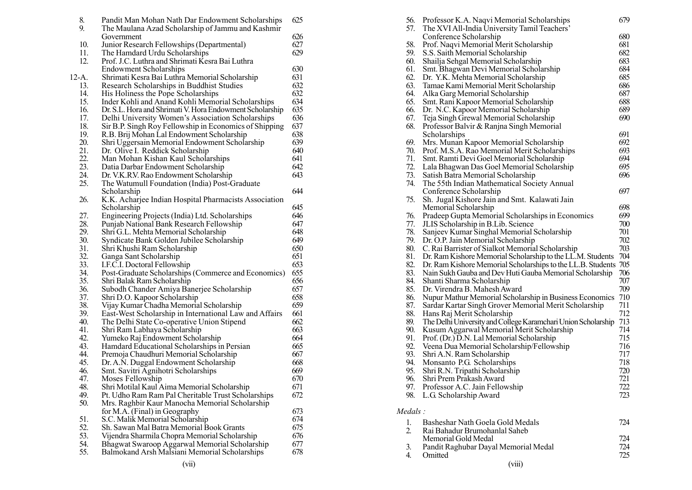| 8.    | Pandit Man Mohan Nath Dar Endowment Scholarships         | 625 | 56.      | Professor K.A. Naqvi Memoria           |
|-------|----------------------------------------------------------|-----|----------|----------------------------------------|
| 9.    | The Maulana Azad Scholarship of Jammu and Kashmir        |     |          | 57. The XVI All-India University T     |
|       | Government                                               | 626 |          | Conference Scholarship                 |
| 10.   | Junior Research Fellowships (Departmental)               | 627 | 58.      | Prof. Naqvi Memorial Merit Sc          |
| 11.   | The Hamdard Urdu Scholarships                            | 629 | 59.      | S.S. Saith Memorial Scholarshi         |
| 12.   | Prof. J.C. Luthra and Shrimati Kesra Bai Luthra          |     | 60.      | Shailja Sehgal Memorial Schola         |
|       | <b>Endowment Scholarships</b>                            | 630 | 61.      | Smt. Bhagwan Devi Memorial             |
| 12-A. | Shrimati Kesra Bai Luthra Memorial Scholarship           | 631 | 62.      | Dr. Y.K. Mehta Memorial Scho           |
| 13.   | Research Scholarships in Buddhist Studies                | 632 | 63.      | Tamae Kami Memorial Merit So           |
| 14.   | His Holiness the Pope Scholarships                       | 632 | 64.      | Alka Garg Memorial Scholarsh           |
| 15.   | Inder Kohli and Anand Kohli Memorial Scholarships        | 634 | 65.      | Smt. Rani Kapoor Memorial Sc           |
| 16.   | Dr. S.L. Hora and Shrimati V. Hora Endowment Scholarship | 635 | 66.      | Dr. N.C. Kapoor Memorial Sch           |
| 17.   | Delhi University Women's Association Scholarships        | 636 | 67.      | Teja Singh Grewal Memorial So          |
| 18.   | Sir B.P. Singh Roy Fellowship in Economics of Shipping   | 637 |          | 68. Professor Balvir & Ranjna Sing     |
| 19.   | R.B. Brij Mohan Lal Endowment Scholarship                | 638 |          | Scholarships                           |
| 20.   | Shri Uggersain Memorial Endowment Scholarship            | 639 | 69.      | Mrs. Munan Kapoor Memorial             |
| 21.   | Dr. Olive I. Reddick Scholarship                         | 640 | 70.      | Prof. M.S.A. Rao Memorial Me           |
| 22.   | Man Mohan Kishan Kaul Scholarships                       | 641 | 71.      | Smt. Ramti Devi Goel Memoria           |
| 23.   | Datia Darbar Endowment Scholarship                       | 642 | 72.      | Lala Bhagwan Das Goel Memo             |
| 24.   | Dr. V.K.R.V. Rao Endowment Scholarship                   | 643 | 73.      | Satish Batra Memorial Scholars         |
| 25.   | The Watumull Foundation (India) Post-Graduate            |     | 74.      | The 55th Indian Mathematical           |
|       | Scholarship                                              | 644 |          | Conference Scholarship                 |
| 26.   | K.K. Acharjee Indian Hospital Pharmacists Association    |     | 75.      | Sh. Jugal Kishore Jain and Smi         |
|       | Scholarship                                              | 645 |          | Memorial Scholarship                   |
| 27.   | Engineering Projects (India) Ltd. Scholarships           | 646 |          | 76. Pradeep Gupta Memorial Scho        |
| 28.   | Punjab National Bank Research Fellowship                 | 647 |          | 77. JLIS Scholarship in B.Lib. Scie.   |
| 29.   | Shri G.L. Mehta Memorial Scholarship                     | 648 | 78.      | Sanjeev Kumar Singhal Memor            |
| 30.   | Syndicate Bank Golden Jubilee Scholarship                | 649 |          | 79. Dr. O.P. Jain Memorial Scholars    |
| 31.   | Shri Khushi Ram Scholarship                              | 650 |          | 80. C. Rai Barrister of Sialkot Mem    |
| 32.   | Ganga Sant Scholarship                                   | 651 | 81.      | Dr. Ram Kishore Memorial Scho          |
| 33.   | I.F.C.I. Doctoral Fellowship                             | 653 | 82.      | Dr. Ram Kishore Memorial Scho          |
| 34.   | Post-Graduate Scholarships (Commerce and Economics)      | 655 |          | 83. Nain Sukh Gauba and Dev Huti       |
| 35.   | Shri Balak Ram Scholarship                               | 656 | 84.      | Shanti Sharma Scholarship              |
| 36.   | Subodh Chander Amiya Banerjee Scholarship                | 657 | 85.      | Dr. Virendra B. Mahesh Award           |
| 37.   | Shri D.O. Kapoor Scholarship                             | 658 | 86.      | Nupur Mathur Memorial Schola           |
| 38.   | Vijay Kumar Chadha Memorial Scholarship                  | 659 | 87.      | Sardar Kartar Singh Grover Me          |
| 39.   | East-West Scholarship in International Law and Affairs   | 661 | 88.      | Hans Raj Merit Scholarship             |
| 40.   | The Delhi State Co-operative Union Stipend               | 662 | 89.      | The Delhi University and College       |
| 41.   | Shri Ram Labhaya Scholarship                             | 663 | 90.      | Kusum Aggarwal Memorial M              |
| 42.   | Yumeko Raj Endowment Scholarship                         | 664 | 91.      | Prof. (Dr.) D.N. Lal Memorial S        |
| 43.   | Hamdard Educational Scholarships in Persian              | 665 | 92.      | Veena Dua Memorial Scholarsh           |
| 44.   | Premoja Chaudhuri Memorial Scholarship                   | 667 | 93.      | Shri A.N. Ram Scholarship              |
| 45.   | Dr. A.N. Duggal Endowment Scholarship                    | 668 | 94.      | Monsanto P.G. Scholarships             |
| 46.   | Smt. Savitri Agnihotri Scholarships                      | 669 | 95.      | Shri R.N. Tripathi Scholarship         |
| 47.   | Moses Fellowship                                         | 670 | 96.      | Shri Prem Prakash Award                |
| 48.   | Shri Motilal Kaul Aima Memorial Scholarship              | 671 |          | 97. Professor A.C. Jain Fellowship     |
| 49.   | Pt. Udho Ram Ram Pal Cheritable Trust Scholarships       | 672 |          | 98. L.G. Scholarship Award             |
| 50.   | Mrs. Raghbir Kaur Manocha Memorial Scholarship           |     |          |                                        |
|       | for M.A. (Final) in Geography                            | 673 | Medals:  |                                        |
| 51.   | S.C. Malik Memorial Scholarship                          | 674 |          | Basheshar Nath Goela Gold M            |
| 52.   | Sh. Sawan Mal Batra Memorial Book Grants                 | 675 | 1.<br>2. | Rai Bahadur Brumohanlal Sahe           |
| 53.   | Vijendra Sharmila Chopra Memorial Scholarship            | 676 |          | Memorial Gold Medal                    |
| 54.   | Bhagwat Swaroop Aggarwal Memorial Scholarship            | 677 | 3.       |                                        |
| 55.   | Balmokand Arsh Malsiani Memorial Scholarships            | 678 | 4.       | Pandit Raghubar Dayal Memor<br>Omitted |
|       | (vii)                                                    |     |          | (viii)                                 |
|       |                                                          |     |          |                                        |

| 56.<br>57.  | Professor K.A. Naqvi Memorial Scholarships<br>The XVI All-India University Tamil Teachers' | 679 |
|-------------|--------------------------------------------------------------------------------------------|-----|
|             | Conference Scholarship                                                                     | 680 |
| 58.         | Prof. Naqvi Memorial Merit Scholarship                                                     | 681 |
| 59.         | S.S. Saith Memorial Scholarship                                                            | 682 |
| 60.         | Shailja Sehgal Memorial Scholarship                                                        | 683 |
| 61.         | Smt. Bhagwan Devi Memorial Scholarship                                                     | 684 |
| 62.         | Dr. Y.K. Mehta Memorial Scholarship                                                        | 685 |
| 63.         | Tamae Kami Memorial Merit Scholarship                                                      | 686 |
| 64.         | Alka Garg Memorial Scholarship                                                             | 687 |
| 65.         | Smt. Rani Kapoor Memorial Scholarship                                                      | 688 |
| 66.         | Dr. N.C. Kapoor Memorial Scholarship                                                       | 689 |
| 67.         | Teja Singh Grewal Memorial Scholarship                                                     | 690 |
| 68.         | Professor Balvir & Ranjna Singh Memorial                                                   |     |
|             | Scholarships                                                                               | 691 |
| 69.         | Mrs. Munan Kapoor Memorial Scholarship                                                     | 692 |
| 70.         | Prof. M.S.A. Rao Memorial Merit Scholarships                                               | 693 |
| 71.         | Smt. Ramti Devi Goel Memorial Scholarship                                                  | 694 |
|             |                                                                                            | 695 |
| 72.<br>73.  | Lala Bhagwan Das Goel Memorial Scholarship                                                 | 696 |
|             | Satish Batra Memorial Scholarship                                                          |     |
| 74.         | The 55th Indian Mathematical Society Annual                                                |     |
|             | Conference Scholarship                                                                     | 697 |
| 75.         | Sh. Jugal Kishore Jain and Smt. Kalawati Jain                                              |     |
|             | Memorial Scholarship                                                                       | 698 |
| 76.         | Pradeep Gupta Memorial Scholarships in Economics                                           | 699 |
| 77.         | JLIS Scholarship in B.Lib. Science                                                         | 700 |
| 78.         | Sanjeev Kumar Singhal Memorial Scholarship                                                 | 701 |
| 79.         | Dr. O.P. Jain Memorial Scholarship                                                         | 702 |
| 80.         | C. Rai Barrister of Sialkot Memorial Scholarship                                           | 703 |
| 81.         | Dr. Ram Kishore Memorial Scholarship to the LL.M. Students                                 | 704 |
| 82.         | Dr. Ram Kishore Memorial Scholarships to the LL.B. Students                                | 705 |
| 83.         | Nain Sukh Gauba and Dev Huti Gauba Memorial Scholarship                                    | 706 |
| 84.         | Shanti Sharma Scholarship                                                                  | 707 |
| 85.         | Dr. Virendra B. Mahesh Award                                                               | 709 |
| 86.         | Nupur Mathur Memorial Scholarship in Business Economics                                    | 710 |
| 87.         | Sardar Kartar Singh Grover Memorial Merit Scholarship                                      | 711 |
| 88.         | Hans Raj Merit Scholarship                                                                 | 712 |
| 89.         | The Delhi University and College Karamchari Union Scholarship                              | 713 |
| 90.         | Kusum Aggarwal Memorial Merit Scholarship                                                  | 714 |
| 91.         | Prof. (Dr.) D.N. Lal Memorial Scholarship                                                  | 715 |
| 92.         | Veena Dua Memorial Scholarship/Fellowship                                                  | 716 |
| 93.         | Shri A.N. Ram Scholarship                                                                  | 717 |
| 94.         | Monsanto P.G. Scholarships                                                                 | 718 |
| 95.         | Shri R.N. Tripathi Scholarship                                                             | 720 |
| 96.         | Shri Prem Prakash Award                                                                    | 721 |
| 97.         | Professor A.C. Jain Fellowship                                                             | 722 |
| 98.         | L.G. Scholarship Award                                                                     | 723 |
| Medals :    |                                                                                            |     |
| $1_{\cdot}$ | Basheshar Nath Goela Gold Medals                                                           | 724 |
| 2.          | Rai Bahadur Brumohanlal Saheb                                                              |     |
|             | Memorial Gold Medal                                                                        | 724 |
| 3.          | Pandit Raghubar Dayal Memorial Medal                                                       | 724 |
| 4.          | Omitted                                                                                    | 725 |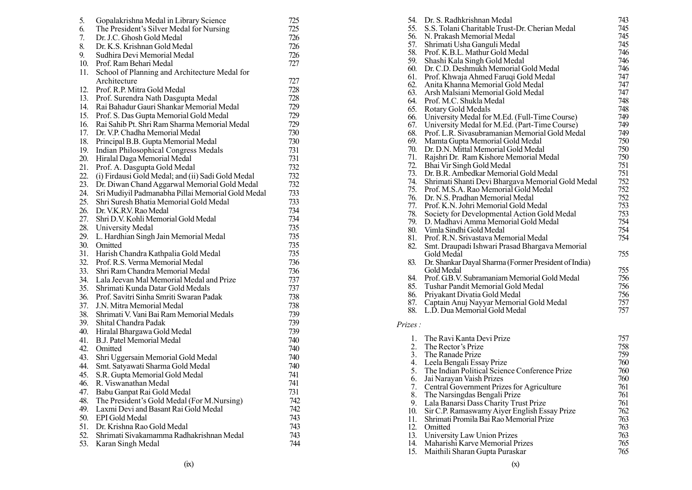| 5.         | Gopalakrishna Medal in Library Science              | 725        |
|------------|-----------------------------------------------------|------------|
| 6.         | The President's Silver Medal for Nursing            | 725        |
| 7.         | Dr. J.C. Ghosh Gold Medal                           | 726        |
| 8.         | Dr. K.S. Krishnan Gold Medal                        | 726        |
| 9.         | Sudhira Devi Memorial Medal                         | 726        |
| 10.        | Prof. Ram Behari Medal                              | 727        |
| 11.        | School of Planning and Architecture Medal for       |            |
|            | Architecture                                        | 727        |
| 12.        | Prof. R.P. Mitra Gold Medal                         | 728        |
| 13.        | Prof. Surendra Nath Dasgupta Medal                  | 728        |
| 14.        | Rai Bahadur Gauri Shankar Memorial Medal            | 729        |
| 15.        | Prof. S. Das Gupta Memorial Gold Medal              | 729        |
| 16.        | Rai Sahib Pt. Shri Ram Sharma Memorial Medal        | 729        |
| 17.        | Dr. V.P. Chadha Memorial Medal                      | 730        |
| 18.        | Principal B.B. Gupta Memorial Medal                 | 730        |
| 19.        | <b>Indian Philosophical Congress Medals</b>         | 731        |
| 20.        | Hiralal Daga Memorial Medal                         | 731        |
| 21.        | Prof. A. Dasgupta Gold Medal                        | 732        |
| 22.        | (i) Firdausi Gold Medal; and (ii) Sadi Gold Medal   | 732        |
| 23.        | Dr. Diwan Chand Aggarwal Memorial Gold Medal        | 732        |
| 24.        | Sri Mudiyil Padmanabha Pillai Memorial Gold Medal   | 733        |
| 25.        | Shri Suresh Bhatia Memorial Gold Medal              | 733        |
| 26.        | Dr. V.K.R.V. Rao Medal                              | 734        |
| 27.        | Shri D.V. Kohli Memorial Gold Medal                 | 734        |
| 28.        | University Medal                                    | 735        |
| 29.        | L. Hardhian Singh Jain Memorial Medal               | 735        |
| 30.        | Omitted                                             | 735        |
| 31.        | Harish Chandra Kathpalia Gold Medal                 | 735        |
| 32.        | Prof. R.S. Verma Memorial Medal                     | 736        |
| 33.        | Shri Ram Chandra Memorial Medal                     | 736        |
| 34.        | Lala Jeevan Mal Memorial Medal and Prize            | 737        |
| 35.        | Shrimati Kunda Datar Gold Medals                    | 737        |
| 36.        | Prof. Savitri Sinha Smriti Swaran Padak             | 738        |
| 37.        | J.N. Mitra Memorial Medal                           | 738        |
| 38.        | Shrimati V. Vani Bai Ram Memorial Medals            | 739        |
| 39.        | Shital Chandra Padak                                | 739        |
| 40.        | Hiralal Bhargawa Gold Medal                         | 739        |
| 41.        | <b>B.J. Patel Memorial Medal</b>                    | 740        |
| 42.        | Omitted                                             | 740        |
| 43.        | Shri Uggersain Memorial Gold Medal                  | 740        |
| 44.        | Smt. Satyawati Sharma Gold Medal                    | 740        |
| 45.        | S.R. Gupta Memorial Gold Medal                      | 741        |
| 46.        | R. Viswanathan Medal                                | 741        |
| 47.        | Babu Ganpat Rai Gold Medal                          | 731        |
| 48.        | The President's Gold Medal (For M.Nursing)          | 742        |
| 49.<br>50. | Laxmi Devi and Basant Rai Gold Medal                | 742        |
| 51.        | <b>EPI</b> Gold Medal<br>Dr. Krishna Rao Gold Medal | 743        |
| 52.        | Shrimati Sivakamamma Radhakrishnan Medal            | 743<br>743 |
| 53.        | Karan Singh Medal                                   | 744        |
|            |                                                     |            |

| orary Science            | 725 |         | 54. Dr. S. Radhkrishnan Medal                         | 743 |
|--------------------------|-----|---------|-------------------------------------------------------|-----|
| al for Nursing           | 725 |         | 55. S.S. Tolani Charitable Trust-Dr. Cherian Medal    | 745 |
|                          | 726 |         | 56. N. Prakash Memorial Medal                         | 745 |
| dal                      | 726 | 57.     | Shrimati Usha Ganguli Medal                           | 745 |
| dal                      | 726 | 58.     | Prof. K.B.L. Mathur Gold Medal                        | 746 |
|                          | 727 | 59.     | Shashi Kala Singh Gold Medal                          | 746 |
| chitecture Medal for     |     | 60.     | Dr. C.D. Deshmukh Memorial Gold Medal                 | 746 |
|                          | 727 |         | 61. Prof. Khwaja Ahmed Faruqi Gold Medal              | 747 |
|                          | 728 | 62.     | Anita Khanna Memorial Gold Medal                      | 747 |
|                          |     |         | 63. Arsh Malsiani Memorial Gold Medal                 | 747 |
| pta Medal                | 728 |         | 64. Prof. M.C. Shukla Medal                           | 748 |
| Memorial Medal           | 729 | 65.     | Rotary Gold Medals                                    | 748 |
| al Gold Medal            | 729 |         | 66. University Medal for M.Ed. (Full-Time Course)     | 749 |
| ma Memorial Medal        | 729 |         | 67. University Medal for M.Ed. (Part-Time Course)     | 749 |
| <b>Iedal</b>             | 730 |         | 68. Prof. L.R. Sivasubramanian Memorial Gold Medal    | 749 |
| rial Medal               | 730 |         | 69. Mamta Gupta Memorial Gold Medal                   | 750 |
| ress Medals              | 731 | 70.     | Dr. D.N. Mittal Memorial Gold Medal                   | 750 |
| lal                      | 731 | 71.     | Rajshri Dr. Ram Kishore Memorial Medal                | 750 |
| dal:                     | 732 |         | 72. Bhai Vir Singh Gold Medal                         | 751 |
| d (ii) Sadi Gold Medal   | 732 |         | 73. Dr. B.R. Ambedkar Memorial Gold Medal             | 751 |
| Memorial Gold Medal      | 732 |         | 74. Shrimati Shanti Devi Bhargava Memorial Gold Medal | 752 |
| llai Memorial Gold Medal | 733 |         | 75. Prof. M.S.A. Rao Memorial Gold Medal              | 752 |
| al Gold Medal            | 733 |         | 76. Dr. N.S. Pradhan Memorial Medal                   | 752 |
|                          | 734 |         | 77. Prof. K.N. Johri Memorial Gold Medal              | 753 |
| old Medal                | 734 | 78.     | Society for Developmental Action Gold Medal           | 753 |
|                          | 735 |         | 79. D. Madhavi Amma Memorial Gold Medal               | 754 |
|                          |     |         | 80. Vimla Sindhi Gold Medal                           | 754 |
| norial Medal             | 735 | 81.     | Prof. R.N. Srivastava Memorial Medal                  | 754 |
|                          | 735 | 82.     | Smt. Draupadi Ishwari Prasad Bhargava Memorial        |     |
| Gold Medal               | 735 |         | Gold Medal                                            | 755 |
| Medal                    | 736 | 83.     | Dr. Shankar Dayal Sharma (Former President of India)  |     |
| ıl Medal                 | 736 |         | Gold Medal                                            | 755 |
| Medal and Prize          | 737 | 84.     | Prof. G.B.V. Subramaniam Memorial Gold Medal          | 756 |
| Medals                   | 737 | 85.     | Tushar Pandit Memorial Gold Medal                     | 756 |
| varan Padak              | 738 | 86.     | Priyakant Divatia Gold Medal                          | 756 |
|                          | 738 | 87.     | Captain Anuj Nayyar Memorial Gold Medal               | 757 |
| emorial Medals           | 739 | 88.     | L.D. Dua Memorial Gold Medal                          | 757 |
|                          | 739 | Prizes: |                                                       |     |
| lal                      | 739 |         |                                                       |     |
|                          | 740 | 1.      | The Ravi Kanta Devi Prize                             | 757 |
|                          | 740 | 2.      | The Rector's Prize                                    | 758 |
| old Medal                | 740 | 3.      | The Ranade Prize                                      | 759 |
| d Medal                  | 740 |         | 4. Leela Bengali Essay Prize                          | 760 |
|                          | 741 | 5.      | The Indian Political Science Conference Prize         | 760 |
| Medal                    |     | 6.      | Jai Narayan Vaish Prizes                              | 760 |
|                          | 741 | 7.      | Central Government Prizes for Agriculture             | 761 |
| lal                      | 731 | 8.      | The Narsingdas Bengali Prize                          | 761 |
| l (For M.Nursing)        | 742 |         | 9. Lala Banarsi Dass Charity Trust Prize              | 761 |
| Gold Medal               | 742 | 10.     | Sir C.P. Ramaswamy Aiyer English Essay Prize          | 762 |
|                          | 743 | 11.     | Shrimati Promila Bai Rao Memorial Prize               | 763 |
|                          | 743 |         | 12. Omitted                                           | 763 |
| dhakrishnan Medal        | 743 |         | 13. University Law Union Prizes                       | 763 |
|                          | 744 |         | 14. Maharishi Karve Memorial Prizes                   | 765 |
|                          |     |         | 15. Maithili Sharan Gupta Puraskar                    | 765 |
| (x)                      |     |         | (x)                                                   |     |
|                          |     |         |                                                       |     |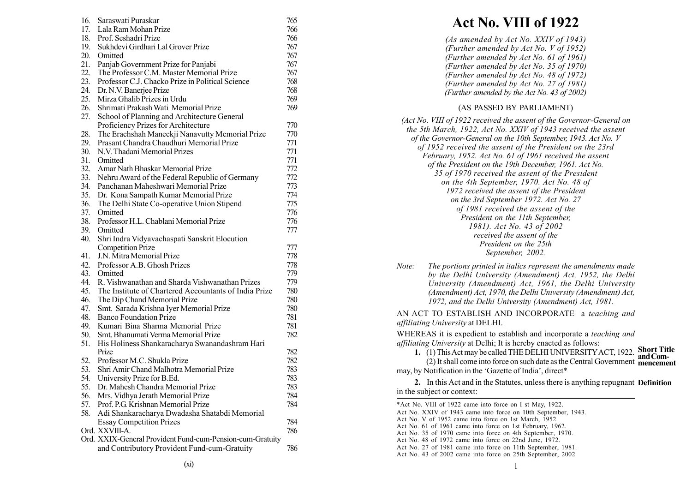| 16. | Saraswati Puraskar                                                       | 765 |
|-----|--------------------------------------------------------------------------|-----|
| 17. | Lala Ram Mohan Prize                                                     | 766 |
| 18. | Prof. Seshadri Prize                                                     | 766 |
| 19. | Sukhdevi Girdhari Lal Grover Prize                                       | 767 |
| 20. | Omitted                                                                  | 767 |
| 21. | Panjab Government Prize for Panjabi                                      | 767 |
| 22. | The Professor C.M. Master Memorial Prize                                 | 767 |
| 23. | Professor C.J. Chacko Prize in Political Science                         | 768 |
| 24. | Dr. N.V. Banerjee Prize                                                  | 768 |
| 25. | Mirza Ghalib Prizes in Urdu                                              | 769 |
| 26. | Shrimati Prakash Wati Memorial Prize                                     | 769 |
| 27. | School of Planning and Architecture General                              |     |
|     | Proficiency Prizes for Architecture                                      | 770 |
| 28. | The Erachshah Maneckji Nanavutty Memorial Prize                          | 770 |
| 29. | Prasant Chandra Chaudhuri Memorial Prize                                 | 771 |
| 30. | N.V. Thadani Memorial Prizes                                             | 771 |
| 31. | Omitted                                                                  | 771 |
| 32. | Amar Nath Bhaskar Memorial Prize                                         | 772 |
| 33. | Nehru Award of the Federal Republic of Germany                           | 772 |
| 34. | Panchanan Maheshwari Memorial Prize                                      | 773 |
| 35. | Dr. Kona Sampath Kumar Memorial Prize                                    | 774 |
| 36. | The Delhi State Co-operative Union Stipend                               | 775 |
| 37. | Omitted                                                                  | 776 |
| 38. | Professor H.L. Chablani Memorial Prize                                   | 776 |
| 39. | Omitted                                                                  | 777 |
| 40. | Shri Indra Vidyavachaspati Sanskrit Elocution                            |     |
|     | <b>Competition Prize</b>                                                 | 777 |
| 41. | J.N. Mitra Memorial Prize                                                | 778 |
| 42. | Professor A.B. Ghosh Prizes                                              | 778 |
| 43. | Omitted                                                                  | 779 |
| 44. | R. Vishwanathan and Sharda Vishwanathan Prizes                           | 779 |
| 45. | The Institute of Chartered Accountants of India Prize                    | 780 |
| 46. |                                                                          | 780 |
| 47. | The Dip Chand Memorial Prize                                             | 780 |
| 48. | Smt. Sarada Krishna Iyer Memorial Prize<br><b>Banco Foundation Prize</b> |     |
|     |                                                                          | 781 |
| 49. | Kumari Bina Sharma Memorial Prize                                        | 781 |
| 50. | Smt. Bhanumati Verma Memorial Prize                                      | 782 |
| 51. | His Holiness Shankaracharya Swanandashram Hari                           |     |
|     | Prize                                                                    | 782 |
| 52. | Professor M.C. Shukla Prize                                              | 782 |
| 53. | Shri Amir Chand Malhotra Memorial Prize                                  | 783 |
| 54. | University Prize for B.Ed.                                               | 783 |
| 55. | Dr. Mahesh Chandra Memorial Prize                                        | 783 |
| 56. | Mrs. Vidhya Jerath Memorial Prize                                        | 784 |
| 57. | Prof. P.G. Krishnan Memorial Prize                                       | 784 |
| 58. | Adi Shankaracharya Dwadasha Shatabdi Memorial                            |     |
|     | <b>Essay Competition Prizes</b>                                          | 784 |
|     | Ord. XXVIII-A.                                                           | 786 |
|     | Ord. XXIX-General Provident Fund-cum-Pension-cum-Gratuity                |     |
|     | and Contributory Provident Fund-cum-Gratuity                             | 786 |

# Act No. VIII of 1922

(As amended by Act No. XXIV of 1943) (Further amended by Act No. V of 1952) (Further amended by Act No. 61 of 1961) (Further amended by Act No. 35 of 1970) (Further amended by Act No. 48 of 1972) (Further amended by Act No. 27 of 1981) (Further amended by the Act No. 43 of 2002)

## (AS PASSED BY PARLIAMENT)

| (Act No. VIII of 1922 received the assent of the Governor-General on<br>the 5th March, 1922, Act No. XXIV of 1943 received the assent<br>of the Governor-General on the 10th September, 1943. Act No. V<br>of 1952 received the assent of the President on the 23rd<br>February, 1952. Act No. 61 of 1961 received the assent |  |
|-------------------------------------------------------------------------------------------------------------------------------------------------------------------------------------------------------------------------------------------------------------------------------------------------------------------------------|--|
| of the President on the 19th December, 1961. Act No.<br>35 of 1970 received the assent of the President                                                                                                                                                                                                                       |  |
| on the 4th September, 1970. Act No. 48 of<br>1972 received the assent of the President                                                                                                                                                                                                                                        |  |
| on the 3rd September 1972. Act No. 27<br>of 1981 received the assent of the                                                                                                                                                                                                                                                   |  |
| President on the 11th September,<br>1981). Act No. 43 of 2002                                                                                                                                                                                                                                                                 |  |
| received the assent of the<br>President on the 25th<br>September, 2002.                                                                                                                                                                                                                                                       |  |
|                                                                                                                                                                                                                                                                                                                               |  |

Note: The portions printed in italics represent the amendments made by the Delhi University (Amendment) Act, 1952, the Delhi University (Amendment) Act, 1961, the Delhi University (Amendment) Act, 1970, the Delhi University (Amendment) Act, 1972, and the Delhi University (Amendment) Act, 1981.

AN ACT TO ESTABLISH AND INCORPORATE a teaching and affiliating University at DELHI.

WHEREAS it is expedient to establish and incorporate a teaching and affiliating University at Delhi; It is hereby enacted as follows:

ang Onversity at Bellit, it is fieldly enacted as follows.<br>1. (1) This Act may be called THE DELHI UNIVERSITY ACT, 1922. Short Title andCom-

(2) It shall come into force on such date as the Central Government **mencement** may, by Notification in the 'Gazette of India', direct\*

2. In this Act and in the Statutes, unless there is anything repugnant **Definition** in the subject or context:

\*Act No. VIII of 1922 came into force on I st May, 1922. Act No. XXIV of 1943 came into force on 10th September, 1943. Act No. V of 1952 came into force on 1st March, 1952. Act No. 61 of 1961 came into force on 1st February, 1962. Act No. 35 of 1970 came into force on 4th September, 1970. Act No. 48 of 1972 came into force on 22nd June, 1972. Act No. 27 of 1981 came into force on 11th September, 1981. Act No. 43 of 2002 came into force on 25th September, 2002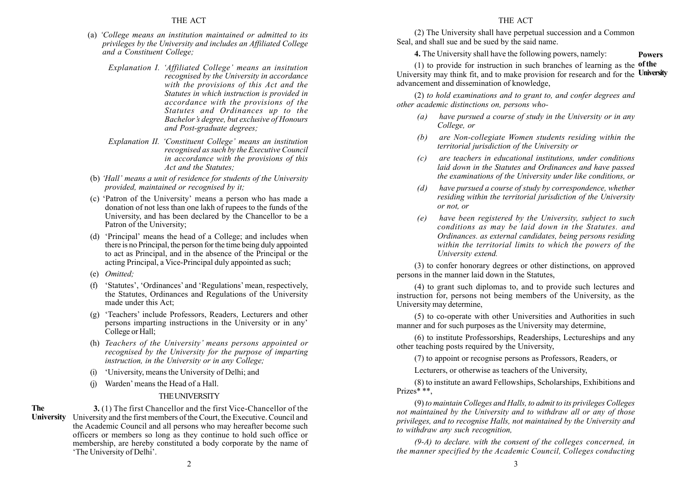- (a)  $'College$  means an institution maintained or admitted to its privileges by the University and includes an Affiliated College and a Constituent College;
	- Explanation I. 'Affiliated College' means an insitution recognised by the University in accordance with the provisions of this Act and the Statutes in which instruction is provided in accordance with the provisions of the Statutes and Ordinances up to the Bachelor's degree, but exclusive of Honours and Post-graduate degrees;
	- Explanation II. 'Constituent College' means an institution recognised as such by the Executive Council in accordance with the provisions of this Act and the Statutes;
- (b) 'Hall' means a unit of residence for students of the University provided, maintained or recognised by it;
- (c) 'Patron of the University' means a person who has made a donation of not less than one lakh of rupees to the funds of the University, and has been declared by the Chancellor to be a Patron of the University;
- (d) 'Principal' means the head of a College; and includes when there is no Principal, the person for the time being duly appointed to act as Principal, and in the absence of the Principal or the acting Principal, a Vice-Principal duly appointed as such;
- (e) Omitted:
- (f) 'Statutes', 'Ordinances' and 'Regulations' mean, respectively, the Statutes, Ordinances and Regulations of the University made under this Act;
- (g) 'Teachers' include Professors, Readers, Lecturers and other persons imparting instructions in the University or in any College or Hall;
- (h) Teachers of the University' means persons appointed or recognised by the University for the purpose of imparting instruction, in the University or in any College;
- (i) ëUniversity, means the University of Delhi; and
- (i) Warden' means the Head of a Hall.

# THEUNIVERSITY

3. (1) The first Chancellor and the first Vice-Chancellor of the University University and the first members of the Court, the Executive, Council and the Academic Council and all persons who may hereafter become such officers or members so long as they continue to hold such office or membership, are hereby constituted a body corporate by the name of 'The University of Delhi'. The

## THE ACT

(2) The University shall have perpetual succession and a Common Seal, and shall sue and be sued by the said name.

4. The University shall have the following powers, namely:

(1) to provide for instruction in such branches of learning as the **of the** University may think fit, and to make provision for research and for the University advancement and dissemination of knowledge,

Powers

(2) to hold examinations and to grant to, and confer degrees and other academic distinctions on, persons who-

- (a) have pursued a course of study in the University or in any College, or
- (b) are Non-collegiate Women students residing within the territorial jurisdiction of the University or
- (c) are teachers in educational institutions, under conditions laid down in the Statutes and Ordinances and have passed the examinations of the University under like conditions, or
- (d) have pursued a course of study by correspondence, whether residing within the territorial jurisdiction of the University or not, or
- (e) have been registered by the University, subject to such conditions as may be laid down in the Statutes. and Ordinances. as external candidates, being persons residing within the territorial limits to which the powers of the University extend.

(3) to confer honorary degrees or other distinctions, on approved persons in the manner laid down in the Statutes,

(4) to grant such diplomas to, and to provide such lectures and instruction for, persons not being members of the University, as the University may determine,

(5) to co-operate with other Universities and Authorities in such manner and for such purposes as the University may determine,

(6) to institute Professorships, Readerships, Lectureships and any other teaching posts required by the University,

(7) to appoint or recognise persons as Professors, Readers, or

Lecturers, or otherwise as teachers of the University,

(8) to institute an award Fellowships, Scholarships, Exhibitions and Prizes\* \*\*,

(9) to maintain Colleges and Halls, to admit to its privileges Colleges not maintained by the University and to withdraw all or any of those privileges, and to recognise Halls, not maintained by the University and to withdraw any such recognition,

 $(9-A)$  to declare, with the consent of the colleges concerned, in the manner specified by the Academic Council, Colleges conducting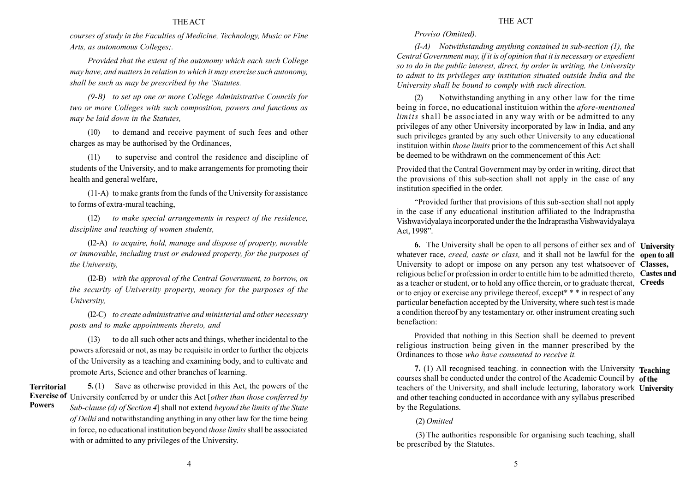courses of study in the Faculties of Medicine, Technology, Music or Fine Arts, as autonomous Colleges;.

Provided that the extent of the autonomy which each such College may have, and matters in relation to which it may exercise such autonomy, shall be such as may be prescribed by the 'Statutes.

(9-B) to set up one or more College Administrative Councils for two or more Colleges with such composition, powers and functions as may be laid down in the Statutes,

(10) to demand and receive payment of such fees and other charges as may be authorised by the Ordinances,

(11) to supervise and control the residence and discipline of students of the University, and to make arrangements for promoting their health and general welfare,

(11-A) to make grants from the funds of the University for assistance to forms of extra-mural teaching,

(12) to make special arrangements in respect of the residence, discipline and teaching of women students,

(I2-A) to acquire, hold, manage and dispose of property, movable or immovable, including trust or endowed property, for the purposes of the University,

(I2-B) with the approval of the Central Government, to borrow, on the security of University property, money for the purposes of the University,

(I2-C) to create administrative and ministerial and other necessary posts and to make appointments thereto, and

(13) to do all such other acts and things, whether incidental to the powers aforesaid or not, as may be requisite in order to further the objects of the University as a teaching and examining body, and to cultivate and promote Arts, Science and other branches of learning.

**Territorial** Powers

5.(1) Save as otherwise provided in this Act, the powers of the **Exercise of** University conferred by or under this Act *lother than those conferred by* Sub-clause (d) of Section 4] shall not extend beyond the limits of the State of Delhi and notwithstanding anything in any other law for the time being in force, no educational institution beyond *those limits* shall be associated with or admitted to any privileges of the University.

## Proviso (Omitted).

 $(I-A)$  Notwithstanding anything contained in sub-section  $(I)$ , the Central Government may, if it is of opinion that it is necessary or expedient so to do in the public interest, direct, by order in writing, the University to admit to its privileges any institution situated outside India and the University shall be bound to comply with such direction.

(2) Notwithstanding anything in any other law for the time being in force, no educational instituion within the afore-mentioned limits shall be associated in any way with or be admitted to any privileges of any other University incorporated by law in India, and any such privileges granted by any such other University to any educational instituion within those limits prior to the commencement of this Act shall be deemed to be withdrawn on the commencement of this Act:

Provided that the Central Government may by order in writing, direct that the provisions of this sub-section shall not apply in the case of any institution specified in the order.

ìProvided further that provisions of this sub-section shall not apply in the case if any educational institution affiliated to the Indraprastha Vishwavidyalaya incorporated under the the Indraprastha Vishwavidyalaya Act, 1998".

**6.** The University shall be open to all persons of either sex and of **University** whatever race, *creed, caste or class*, and it shall not be lawful for the **open to all** University to adopt or impose on any person any test whatsoever of  $\overline{C}$  lasses. religious belief or profession in order to entitle him to be admitted thereto. Castes and as a teacher or student, or to hold any office therein, or to graduate thereat. Creeds or to enjoy or exercise any privilege thereof, except\* \* \* in respect of any particular benefaction accepted by the University, where such test is made a condition thereof by any testamentary or. other instrument creating such benefaction:

Provided that nothing in this Section shall be deemed to prevent religious instruction being given in the manner prescribed by the Ordinances to those who have consented to receive it.

7. (1) All recognised teaching. in connection with the University Teaching courses shall be conducted under the control of the Academic Council by of the teachers of the University, and shall include lecturing, laboratory work University and other teaching conducted in accordance with any syllabus prescribed by the Regulations.

(2) Omitted

(3) The authorities responsible for organising such teaching, shall be prescribed by the Statutes.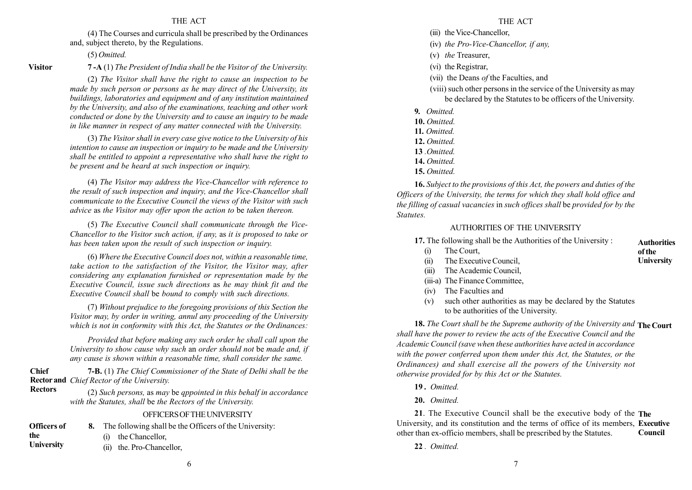(4) The Courses and curricula shall be prescribed by the Ordinances and, subject thereto, by the Regulations.

(5) Omitted.

Visitor

Rectors

## 7 -A (1) The President of India shall be the Visitor of the University.

(2) The Visitor shall have the right to cause an inspection to be made by such person or persons as he may direct of the University, its buildings, laboratories and equipment and of any institution maintained by the University, and also of the examinations, teaching and other work conducted or done by the University and to cause an inquiry to be made in like manner in respect of any matter connected with the University.

(3) The Visitor shall in every case give notice to the University of his intention to cause an inspection or inquiry to be made and the University shall be entitled to appoint a representative who shall have the right to be present and be heard at such inspection or inquiry.

(4) The Visitor may address the Vice-Chancellor with reference to the result of such inspection and inquiry, and the Vice-Chancellor shall communicate to the Executive Council the views of the Visitor with such advice as the Visitor may offer upon the action to be taken thereon.

(5) The Executive Council shall communicate through the Vice-Chancellor to the Visitor such action, if any, as it is proposed to take or has been taken upon the result of such inspection or inquiry.

(6) Where the Executive Council does not, within a reasonable time, take action to the satisfaction of the Visitor, the Visitor may, after considering any explanation furnished or representation made by the Executive Council, issue such directions as he may think fit and the Executive Council shall be bound to comply with such directions.

(7) Without prejudice to the foregoing provisions of this Section the Visitor may, by order in writing, annul any proceeding of the University which is not in conformity with this Act, the Statutes or the Ordinances:

Provided that before making any such order he shall call upon the University to show cause why such an order should not be made and, if any cause is shown within a reasonable time, shall consider the same.

7-B. (1) The Chief Commissioner of the State of Delhi shall be the **Rector and** Chief Rector of the University. Chief

> (2) Such persons, as may be qppointed in this behalf in accordance with the Statutes, shall be the Rectors of the University.

## OFFICERSOFTHEUNIVERSITY

| <b>Officers of</b> | The following shall be the Officers of the University: |
|--------------------|--------------------------------------------------------|
| the                | (i) the Chancellor,                                    |
| <b>University</b>  | (ii) the Pro-Chancellor.                               |

#### THE ACT

- (iii) the Vice-Chancellor
- (iv) the Pro-Vice-Chancellor, if any,
- (v) the Treasurer,
- (vi) the Registrar,
- (vii) the Deans of the Faculties, and

(viii) such other persons in the service of the University as may be declared by the Statutes to be officers of the University.

- 9. Omitted.
- 10. Omitted.
- 11. Omitted.
- 12. Omitted.
- 13 .Omitted.
- 14. Omitted.
- 15. Omitted.

16. Subject to the provisions of this Act, the powers and duties of the Officers of the University, the terms for which they shall hold office and the filling of casual vacancies in such offices shall be provided for by the Statutes.

## AUTHORITIES OF THE UNIVERSITY

17. The following shall be the Authorities of the University :

- (i) The Court, of the
- (ii) The Executive Council,
- (iii) The Academic Council,
- (iii-a) The Finance Committee,
- (iv) The Faculties and
- (v) such other authorities as may be declared by the Statutes to be authorities of the University.

18. The Court shall be the Supreme authority of the University and The Court shall have the power to review the acts of the Executive Council and the Academic Council (save when these authorities have acted in accordance with the power conferred upon them under this Act, the Statutes, or the Ordinances) and shall exercise all the powers of the University not otherwise provided for by this Act or the Statutes.

- 19 . Omitted.
- 20. Omitted.

21. The Executive Council shall be the executive body of the The University, and its constitution and the terms of office of its members, **Executive** other than ex-officio members, shall be prescribed by the Statutes. Council

22. Omitted.

**Authorities University**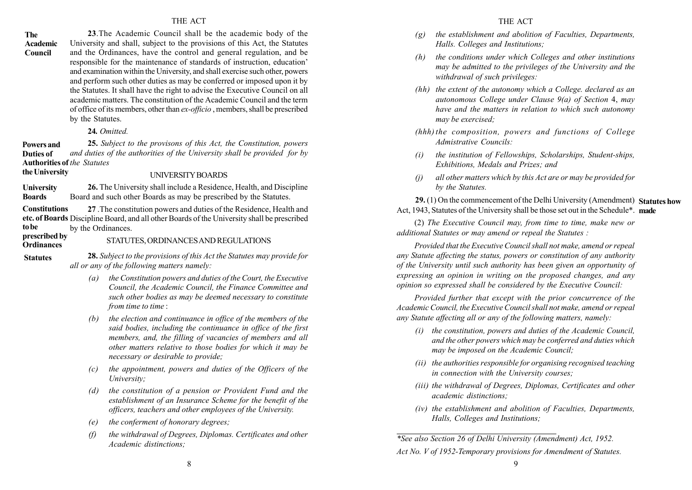#### The Academic Council

23.The Academic Council shall be the academic body of the University and shall, subject to the provisions of this Act, the Statutes and the Ordinances, have the control and general regulation, and be responsible for the maintenance of standards of instruction, education<sup>3</sup> and examination within the University, and shall exercise such other, powers and perform such other duties as may be conferred or imposed upon it by the Statutes. It shall have the right to advise the Executive Council on all academic matters. The constitution of the Academic Council and the term of office of its members, other than ex-officio , members, shall be prescribed by the Statutes.

## 24. Omitted.

25. Subject to the provisons of this Act, the Constitution, powers and duties of the authorities of the University shall be provided for by Authorities of the Statutes Powers and Duties of the University

#### UNIVERSITYBOARDS

26. The University shall include a Residence, Health, and Discipline Board and such other Boards as may be prescribed by the Statutes. **University** Boards

27 .The constitution powers and duties of the Residence, Health and etc. of Boards Discipline Board, and all other Boards of the University shall be prescribed by the Ordinances. **Constitutions** to be

#### prescribed by **Ordinances**

STATUTES, ORDINANCESANDREGULATIONS

**Statutes** 

28. Subject to the provisions of this Act the Statutes may provide for all or any of the following matters namely:

- (a) the Constitution powers and duties of the Court, the Executive Council, the Academic Council, the Finance Committee and such other bodies as may be deemed necessary to constitute from time to time :
- $(b)$  the election and continuance in office of the members of the said bodies, including the continuance in office of the first members, and, the filling of vacancies of members and all other matters relative to those bodies for which it may be necessary or desirable to provide;
- (c) the appointment, powers and duties of the Officers of the University;
- (d) the constitution of a pension or Provident Fund and the establishment of an Insurance Scheme for the benefit of the officers, teachers and other employees of the University.
- (e) the conferment of honorary degrees;
- (f) the withdrawal of Degrees, Diplomas. Certificates and other Academic distinctions;
- $(g)$  the establishment and abolition of Faculties, Departments, Halls. Colleges and Institutions;
- (h) the conditions under which Colleges and other institutions may be admitted to the privileges of the University and the withdrawal of such privileges:
- (hh) the extent of the autonomy which a College. declared as an autonomous College under Clause 9(a) of Section 4, may have and the matters in relation to which such autonomy may be exercised;
- (hhh) the composition, powers and functions of College Admistrative Councils:
- (i) the institution of Fellowships, Scholarships, Student-ships, Exhibitions, Medals and Prizes; and
- (j) all other matters which by this Act are or may be provided for by the Statutes.

29. (1) On the commencement of the Delhi University (Amendment) Statutes how Act, 1943, Statutes of the University shall be those set out in the Schedule<sup>\*</sup>. made

(2) The Executive Council may, from time to time, make new or additional Statutes or may amend or repeal the Statutes :

Provided that the Executive Council shall not make, amend or repeal any Statute affecting the status, powers or constitution of any authority of the University until such authority has been given an opportunity of expressing an opinion in writing on the proposed changes, and any opinion so expressed shall be considered by the Executive Council:

Provided further that except with the prior concurrence of the Academic Council, the Executive Council shall not make, amend or repeal any Statute affecting all or any of the following matters, namely:

- (i) the constitution, powers and duties of the Academic Council, and the other powers which may be conferred and duties which may be imposed on the Academic Council;
- (ii) the authorities responsible for organising recognised teaching in connection with the University courses;
- (iii) the withdrawal of Degrees, Diplomas, Certificates and other academic distinctions;
- (iv) the establishment and abolition of Faculties, Departments, Halls, Colleges and Institutions;

\*See also Section 26 of Delhi University (Amendment) Act, 1952. Act No. V of 1952-Temporary provisions for Amendment of Statutes.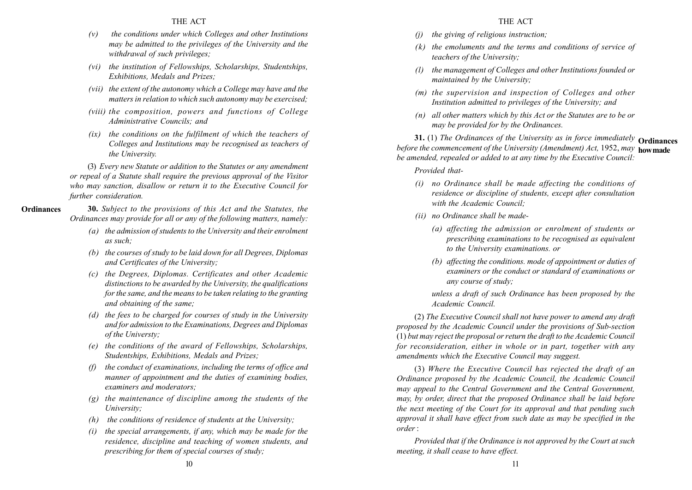- $(v)$  the conditions under which Colleges and other Institutions may be admitted to the privileges of the University and the withdrawal of such privileges;
- (vi) the institution of Fellowships, Scholarships, Studentships, Exhibitions, Medals and Prizes;
- (vii) the extent of the autonomy which a College may have and the matters in relation to which such autonomy may be exercised;
- (viii) the composition, powers and functions of College Administrative Councils; and
- $(ix)$  the conditions on the fulfilment of which the teachers of Colleges and Institutions may be recognised as teachers of the University.

(3) Every new Statute or addition to the Statutes or any amendment or repeal of a Statute shall require the previous approval of the Visitor who may sanction, disallow or return it to the Executive Council for further consideration.

- **Ordinances**
- 30. Subject to the provisions of this Act and the Statutes, the Ordinances may provide for all or any of the following matters, namely:
	- (a) the admission of students to the University and their enrolment as such;
	- (b) the courses of study to be laid down for all Degrees, Diplomas and Certificates of the University;
	- (c) the Degrees, Diplomas. Certificates and other Academic distinctions to be awarded by the University, the qualifications for the same, and the means to be taken relating to the granting and obtaining of the same;
	- (d) the fees to be charged for courses of study in the University and for admission to the Examinations, Degrees and Diplomas of the Universty;
	- (e) the conditions of the award of Fellowships, Scholarships, Studentships, Exhibitions, Medals and Prizes;
	- $(f)$  the conduct of examinations, including the terms of office and manner of appointment and the duties of examining bodies, examiners and moderators;
	- (g) the maintenance of discipline among the students of the University;
	- $(h)$  the conditions of residence of students at the University;
	- $(i)$  the special arrangements, if any, which may be made for the residence, discipline and teaching of women students, and prescribing for them of special courses of study;
- (j) the giving of religious instruction;
- $(k)$  the emoluments and the terms and conditions of service of teachers of the University;
- (l) the management of Colleges and other Institutions founded or maintained by the University;
- (m) the supervision and inspection of Colleges and other Institution admitted to privileges of the University; and
- (n) all other matters which by this Act or the Statutes are to be or may be provided for by the Ordinances.

**31.** (1) The Ordinances of the University as in force immediately  $O$ rdinances before the commencement of the University (Amendment) Act, 1952, may how made be amended, repealed or added to at any time by the Executive Council:

Provided that-

- (i) no Ordinance shall be made affecting the conditions of residence or discipline of students, except after consultation with the Academic Council:
- (ii) no Ordinance shall be made-
	- (a) affecting the admission or enrolment of students or prescribing examinations to be recognised as equivalent to the University examinations. or
	- (b) affecting the conditions. mode of appointment or duties of examiners or the conduct or standard of examinations or any course of study;

unless a draft of such Ordinance has been proposed by the Academic Council.

(2) The Executive Council shall not have power to amend any draft proposed by the Academic Council under the provisions of Sub-section (1) but may reject the proposal or return the draft to the Academic Council for reconsideration, either in whole or in part, together with any amendments which the Executive Council may suggest.

(3) Where the Executive Council has rejected the draft of an Ordinance proposed by the Academic Council, the Academic Council may appeal to the Central Government and the Central Government, may, by order, direct that the proposed Ordinance shall be laid before the next meeting of the Court for its approval and that pending such approval it shall have effect from such date as may be specified in the order :

Provided that if the Ordinance is not approved by the Court at such meeting, it shall cease to have effect.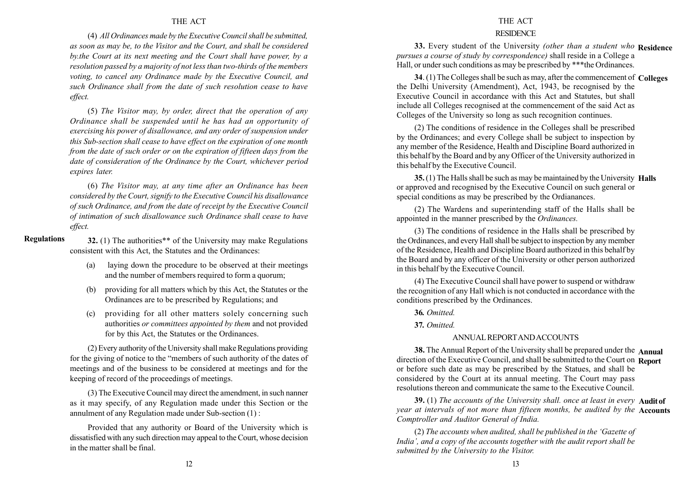(4) All Ordinances made by the Executive Council shall be submitted, as soon as may be, to the Visitor and the Court, and shall be considered by.the Court at its next meeting and the Court shall have power, by a resolution passed by a majority of not less than two-thirds of the members voting, to cancel any Ordinance made by the Executive Council, and such Ordinance shall from the date of such resolution cease to have effect.

(5) The Visitor may, by order, direct that the operation of any Ordinance shall be suspended until he has had an opportunity of exercising his power of disallowance, and any order of suspension under this Sub-section shall cease to have effect on the expiration of one month from the date of such order or on the expiration of fifteen days from the date of consideration of the Ordinance by the Court, whichever period expires later.

(6) The Visitor may, at any time after an Ordinance has been considered by the Court, signify to the Executive Council his disallowance of such Ordinance, and from the date of receipt by the Executive Council of intimation of such disallowance such Ordinance shall cease to have effect.

#### Regulations

32. (1) The authorities\*\* of the University may make Regulations consistent with this Act, the Statutes and the Ordinances:

- (a) laying down the procedure to be observed at their meetings and the number of members required to form a quorum;
- (b) providing for all matters which by this Act, the Statutes or the Ordinances are to be prescribed by Regulations; and
- (c) providing for all other matters solely concerning such authorities or committees appointed by them and not provided for by this Act, the Statutes or the Ordinances.

(2) Every authority of the University shall make Regulations providing for the giving of notice to the "members of such authority of the dates of meetings and of the business to be considered at meetings and for the keeping of record of the proceedings of meetings.

(3) The Executive Council may direct the amendment, in such nanner as it may specify, of any Regulation made under this Section or the annulment of any Regulation made under Sub-section (1) :

Provided that any authority or Board of the University which is dissatisfied with any such direction may appeal to the Court, whose decision in the matter shall be final.

#### THE ACT

#### **RESIDENCE**

33. Every student of the University (other than a student who Residence pursues a course of study by correspondence) shall reside in a College a Hall, or under such conditions as may be prescribed by \*\*\*the Ordinances.

34. (1) The Colleges shall be such as may, after the commencement of Colleges the Delhi University (Amendment), Act, 1943, be recognised by the Executive Council in accordance with this Act and Statutes, but shall include all Colleges recognised at the commencement of the said Act as Colleges of the University so long as such recognition continues.

(2) The conditions of residence in the Colleges shall be prescribed by the Ordinances; and every College shall be subject to inspection by any member of the Residence, Health and Discipline Board authorized in this behalf by the Board and by any Officer of the University authorized in this behalf by the Executive Council.

35. (1) The Halls shall be such as may be maintained by the University Halls or approved and recognised by the Executive Council on such general or special conditions as may be prescribed by the Ordianances.

(2) The Wardens and superintending staff of the Halls shall be appointed in the manner prescribed by the Ordinances.

(3) The conditions of residence in the Halls shall be prescribed by the Ordinances, and every Hall shall be subject to inspection by any member of the Residence, Health and Discipline Board authorized in this behalf by the Board and by any officer of the University or other person authorized in this behalf by the Executive Council.

(4) The Executive Council shall have power to suspend or withdraw the recognition of any Hall which is not conducted in accordance with the conditions prescribed by the Ordinances.

36. Omitted.

37. Omitted.

#### ANNUALREPORTANDACCOUNTS

38. The Annual Report of the University shall be prepared under the Annual direction of the Executive Council, and shall be submitted to the Court on Report or before such date as may be prescribed by the Statues, and shall be considered by the Court at its annual meeting. The Court may pass resolutions thereon and communicate the same to the Executive Council.

39. (1) The accounts of the University shall. once at least in every **Audit of** vear at intervals of not more than fifteen months, be audited by the **Accounts** Comptroller and Auditor General of India.

 $(2)$  The accounts when audited, shall be published in the 'Gazette of India', and a copy of the accounts together with the audit report shall be submitted by the University to the Visitor.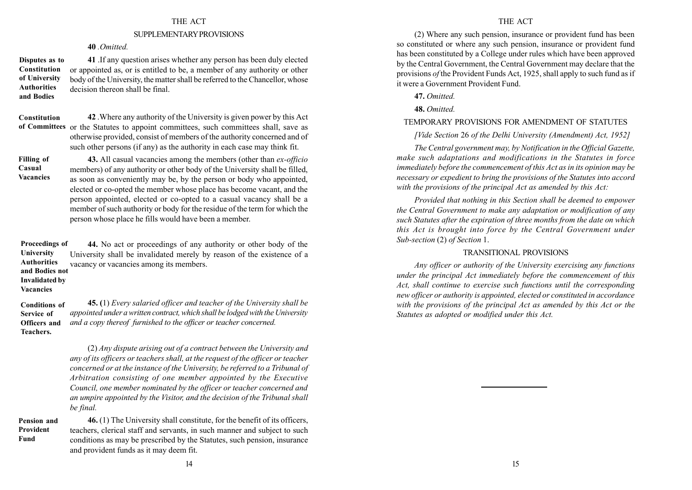#### SUPPLEMENTARYPROVISIONS

## 40 Omitted

41 .If any question arises whether any person has been duly elected or appointed as, or is entitled to be, a member of any authority or other body of the University, the matter shall be referred to the Chancellor, whose decision thereon shall be final. Disputes as to Constitution of University Authorities and Bodies

42 .Where any authority of the University is given power by this Act of Committees or the Statutes to appoint committees, such committees shall, save as otherwise provided, consist of members of the authority concerned and of such other persons (if any) as the authority in each case may think fit. Constitution

#### Filling of Casual Vacancies

43. All casual vacancies among the members (other than ex-officio members) of any authority or other body of the University shall be filled, as soon as conveniently may be, by the person or body who appointed, elected or co-opted the member whose place has become vacant, and the person appointed, elected or co-opted to a casual vacancy shall be a member of such authority or body for the residue of the term for which the person whose place he fills would have been a member.

44. No act or proceedings of any authority or other body of the University shall be invalidated merely by reason of the existence of a vacancy or vacancies among its members. Proceedings of University Authorities and Bodies not Invalidated by

Vacancies

45. (1) Every salaried officer and teacher of the University shall be appointed under a written contract, which shall be lodged with the University and a copy thereof furnished to the officer or teacher concerned. Conditions of Service of Officers and Teachers.

> (2) Any dispute arising out of a contract between the University and any of its officers or teachers shall, at the request of the officer or teacher concerned or at the instance of the University, be referred to a Tribunal of Arbitration consisting of one member appointed by the Executive Council, one member nominated by the officer or teacher concerned and an umpire appointed by the Visitor, and the decision of the Tribunal shall be final.

#### Pension and Provident Fund

46. (1) The University shall constitute, for the benefit of its officers, teachers, clerical staff and servants, in such manner and subject to such conditions as may be prescribed by the Statutes, such pension, insurance and provident funds as it may deem fit.

## THE ACT

(2) Where any such pension, insurance or provident fund has been so constituted or where any such pension, insurance or provident fund has been constituted by a College under rules which have been approved by the Central Government, the Central Government may declare that the provisions of the Provident Funds Act, 1925, shall apply to such fund as if it were a Government Provident Fund.

47. Omitted.

48. Omitted.

## TEMPORARY PROVISIONS FOR AMENDMENT OF STATUTES

## [Vide Section 26 of the Delhi University (Amendment) Act, 1952]

The Central government may, by Notification in the Official Gazette, make such adaptations and modifications in the Statutes in force immediately before the commencement of this Act as in its opinion may be necessary or expedient to bring the provisions of the Statutes into accord with the provisions of the principal Act as amended by this Act:

Provided that nothing in this Section shall be deemed to empower the Central Government to make any adaptation or modification of any such Statutes after the expiration of three months from the date on which this Act is brought into force by the Central Government under Sub-section (2) of Section 1.

## TRANSITIONAL PROVISIONS

Any officer or authority of the University exercising any functions under the principal Act immediately before the commencement of this Act, shall continue to exercise such functions until the corresponding new officer or authority is appointed, elected or constituted in accordance with the provisions of the principal Act as amended by this Act or the Statutes as adopted or modified under this Act.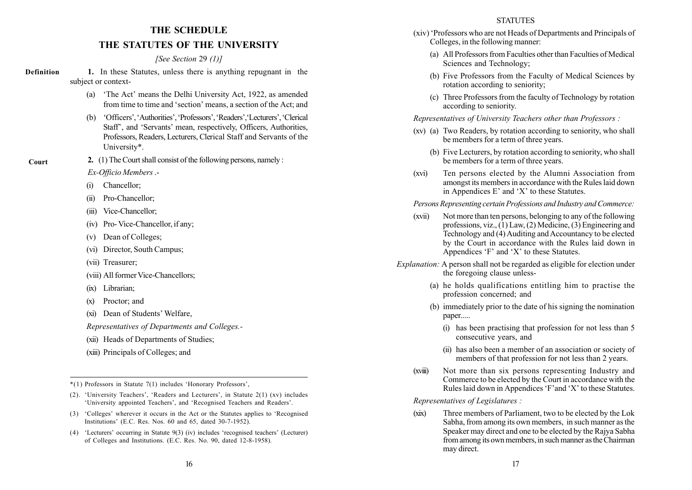# THE SCHEDULE THE STATUTES OF THE UNIVERSITY

## [See Section 29 (1)]

1. In these Statutes, unless there is anything repugnant in the subject or context- Definition

- (a) The Act' means the Delhi University Act, 1922, as amended from time to time and 'section' means, a section of the Act; and
- (b) Gfficers', 'Authorities', 'Professors', 'Readers', 'Lecturers', 'Clerical' Staff<sup>7</sup>, and 'Servants' mean, respectively, Officers, Authorities, Professors, Readers, Lecturers, Clerical Staff and Servants of the University\*.
- 2. (1) The Court shall consist of the following persons, namely :

Ex-Officio Members.-

(i) Chancellor;

Court

- (ii) Pro-Chancellor;
- (iii) Vice-Chancellor;
- (iv) Pro- Vice-Chancellor, if any;
- (v) Dean of Colleges;
- (vi) Director, South Campus;
- (vii) Treasurer;
- (viii) All former Vice-Chancellors:
- (ix) Librarian;
- (x) Proctor; and
- (xi) Dean of Students' Welfare,

Representatives of Departments and Colleges.-

- (xii) Heads of Departments of Studies;
- (xiii) Principals of Colleges; and

 $*(1)$  Professors in Statute 7(1) includes 'Honorary Professors',

- (2). 'University Teachers', 'Readers and Lecturers', in Statute 2(1) (xv) includes 'University appointed Teachers', and 'Recognised Teachers and Readers'.
- (3) 'Colleges' wherever it occurs in the Act or the Statutes applies to 'Recognised Institutions' (E.C. Res. Nos. 60 and 65, dated 30-7-1952).
- (4) 'Lecturers' occurring in Statute  $9(3)$  (iv) includes 'recognised teachers' (Lecturer) of Colleges and Institutions. (E.C. Res. No. 90, dated 12-8-1958).
- (xiv) ëProfessors who are not Heads of Departments and Principals of Colleges, in the following manner:
	- (a) All Professors from Faculties other than Faculties of Medical Sciences and Technology;
	- (b) Five Professors from the Faculty of Medical Sciences by rotation according to seniority;
	- (c) Three Professors from the faculty of Technology by rotation according to seniority.

Representatives of University Teachers other than Professors :

- (xv) (a) Two Readers, by rotation according to seniority, who shall be members for a term of three years.
	- (b) Five Lecturers, by rotation according to seniority, who shall be members for a term of three years.
- (xvi) Ten persons elected by the Alumni Association from amongst its members in accordance with the Rules laid down in Appendices E' and  $'X'$  to these Statutes.

## Persons Representing certain Professions and Industry and Commerce:

- (xvii) Not more than ten persons, belonging to any of the following professions, viz.,  $(1)$  Law,  $(2)$  Medicine,  $(3)$  Engineering and Technology and (4) Auditing and Accountancy to be elected by the Court in accordance with the Rules laid down in Appendices  $F$  and  $'X'$  to these Statutes.
- Explanation: A person shall not be regarded as eligible for election under the foregoing clause unless-
	- (a) he holds qualifications entitling him to practise the profession concerned; and
	- (b) immediately prior to the date of his signing the nomination paper.....
		- (i) has been practising that profession for not less than 5 consecutive years, and
		- (ii) has also been a member of an association or society of members of that profession for not less than 2 years.
	- (xviii) Not more than six persons representing Industry and Commerce to be elected by the Court in accordance with the Rules laid down in Appendices  $F$  and  $'X'$  to these Statutes.

Representatives of Legislatures :

(xix) Three members of Parliament, two to be elected by the Lok Sabha, from among its own members, in such manner as the Speaker may direct and one to be elected by the Rajya Sabha from among its own members, in such manner as the Chairman may direct.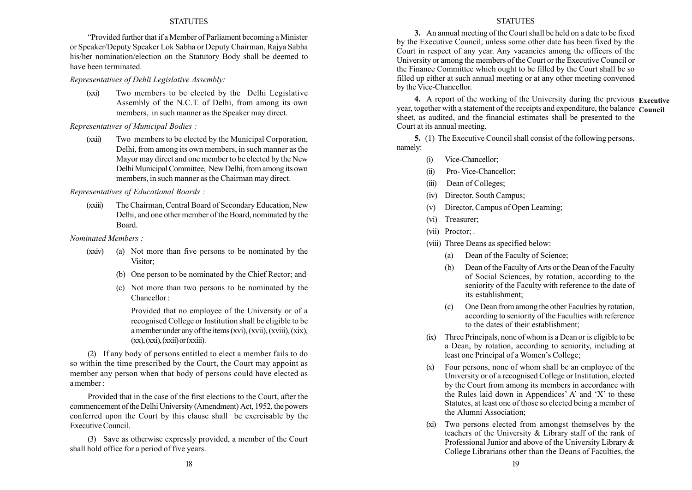ìProvided further that if a Member of Parliament becoming a Minister or Speaker/Deputy Speaker Lok Sabha or Deputy Chairman, Rajya Sabha his/her nomination/election on the Statutory Body shall be deemed to have been terminated.

Representatives of Dehli Legislative Assembly:

(xxi) Two members to be elected by the Delhi Legislative Assembly of the N.C.T. of Delhi, from among its own members, in such manner as the Speaker may direct.

Representatives of Municipal Bodies :

(xxii) Two members to be elected by the Municipal Corporation, Delhi, from among its own members, in such manner as the Mayor may direct and one member to be elected by the New Delhi Municipal Committee, New Delhi, from among its own members, in such manner as the Chairman may direct.

Representatives of Educational Boards :

(xxiii) The Chairman, Central Board of Secondary Education, New Delhi, and one other member of the Board, nominated by the Board.

Nominated Members :

- (xxiv) (a) Not more than five persons to be nominated by the Visitor;
	- (b) One person to be nominated by the Chief Rector; and
	- (c) Not more than two persons to be nominated by the Chancellor :

Provided that no employee of the University or of a recognised College or Institution shall be eligible to be a member under any of the items  $(xvi)$ ,  $(xvii)$ ,  $(xviii)$ ,  $(xix)$ ,  $(xx)$ ,  $(xxi)$ ,  $(xxii)$  or  $(xxiii)$ .

(2) If any body of persons entitled to elect a member fails to do so within the time prescribed by the Court, the Court may appoint as member any person when that body of persons could have elected as a member :

Provided that in the case of the first elections to the Court, after the commencement of the Delhi University (Amendment) Act, 1952, the powers conferred upon the Court by this clause shall be exercisable by the Executive Council.

(3) Save as otherwise expressly provided, a member of the Court shall hold office for a period of five years.

#### **STATUTES**

3. An annual meeting of the Court shall be held on a date to be fixed by the Executive Council, unless some other date has been fixed by the Court in respect of any year. Any vacancies among the officers of the University or among the members of the Court or the Executive Council or the Finance Committee which ought to be filled by the Court shall be so filled up either at such annual meeting or at any other meeting convened by the Vice-Chancellor.

4. A report of the working of the University during the previous Executive year, together with a statement of the receipts and expenditure, the balance Council sheet, as audited, and the financial estimates shall be presented to the Court at its annual meeting.

5. (1) The Executive Council shall consist of the following persons, namely:

- (i) Vice-Chancellor;
- (ii) Pro- Vice-Chancellor;
- (iii) Dean of Colleges;
- (iv) Director, South Campus;
- (v) Director, Campus of Open Learning;
- (vi) Treasurer;
- (vii) Proctor; .
- (viii) Three Deans as specified below:
	- (a) Dean of the Faculty of Science;
	- (b) Dean of the Faculty of Arts or the Dean of the Faculty of Social Sciences, by rotation, according to the seniority of the Faculty with reference to the date of its establishment;
	- (c) One Dean from among the other Faculties by rotation, according to seniority of the Faculties with reference to the dates of their establishment;
- (ix) Three Principals, none of whom is a Dean or is eligible to be a Dean, by rotation, according to seniority, including at least one Principal of a Women's College;
- (x) Four persons, none of whom shall be an employee of the University or of a recognised College or Institution, elected by the Court from among its members in accordance with the Rules laid down in Appendices' A' and 'X' to these Statutes, at least one of those so elected being a member of the Alumni Association;
- Two persons elected from amongst themselves by the teachers of the University & Library staff of the rank of Professional Junior and above of the University Library & College Librarians other than the Deans of Faculties, the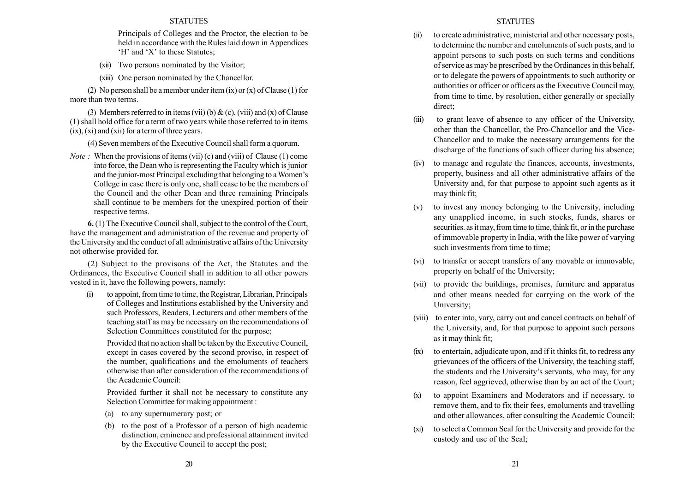Principals of Colleges and the Proctor, the election to be held in accordance with the Rules laid down in Appendices 'H' and 'X' to these Statutes:

- (xii) Two persons nominated by the Visitor;
- (xiii) One person nominated by the Chancellor.

(2) No person shall be a member under item  $(ix)$  or  $(x)$  of Clause (1) for more than two terms.

(3) Members referred to in items (vii) (b)  $\&$  (c), (viii) and (x) of Clause (1) shall hold office for a term of two years while those referred to in items  $(ix)$ ,  $(xi)$  and  $(xii)$  for a term of three years.

(4) Seven members of the Executive Council shall form a quorum.

*Note*: When the provisions of items (vii) (c) and (viii) of Clause (1) come into force, the Dean who is representing the Faculty which is junior and the junior-most Principal excluding that belonging to a Women's College in case there is only one, shall cease to be the members of the Council and the other Dean and three remaining Principals shall continue to be members for the unexpired portion of their respective terms.

6. (1) The Executive Council shall, subject to the control of the Court, have the management and administration of the revenue and property of the University and the conduct of all administrative affairs of the University not otherwise provided for.

(2) Subject to the provisons of the Act, the Statutes and the Ordinances, the Executive Council shall in addition to all other powers vested in it, have the following powers, namely:

(i) to appoint, from time to time, the Registrar, Librarian, Principals of Colleges and Institutions established by the University and such Professors, Readers, Lecturers and other members of the teaching staff as may be necessary on the recommendations of Selection Committees constituted for the purpose:

Provided that no action shall be taken by the Executive Council, except in cases covered by the second proviso, in respect of the number, qualifications and the emoluments of teachers otherwise than after consideration of the recommendations of the Academic Council:

Provided further it shall not be necessary to constitute any Selection Committee for making appointment :

- (a) to any supernumerary post; or
- (b) to the post of a Professor of a person of high academic distinction, eminence and professional attainment invited by the Executive Council to accept the post;

## STATUTES

- (ii) to create administrative, ministerial and other necessary posts, to determine the number and emoluments of such posts, and to appoint persons to such posts on such terms and conditions of service as may be prescribed by the Ordinances in this behalf, or to delegate the powers of appointments to such authority or authorities or officer or officers as the Executive Council may, from time to time, by resolution, either generally or specially direct;
- (iii) to grant leave of absence to any officer of the University, other than the Chancellor, the Pro-Chancellor and the Vice-Chancellor and to make the necessary arrangements for the discharge of the functions of such officer during his absence;
- (iv) to manage and regulate the finances, accounts, investments, property, business and all other administrative affairs of the University and, for that purpose to appoint such agents as it may think fit;
- (v) to invest any money belonging to the University, including any unapplied income, in such stocks, funds, shares or securities. as it may, from time to time, think fit, or in the purchase of immovable property in India, with the like power of varying such investments from time to time:
- (vi) to transfer or accept transfers of any movable or immovable, property on behalf of the University;
- (vii) to provide the buildings, premises, furniture and apparatus and other means needed for carrying on the work of the University;
- (viii) to enter into, vary, carry out and cancel contracts on behalf of the University, and, for that purpose to appoint such persons as it may think fit;
- (ix) to entertain, adjudicate upon, and if it thinks fit, to redress any grievances of the officers of the University, the teaching staff, the students and the University's servants, who may, for any reason, feel aggrieved, otherwise than by an act of the Court;
- (x) to appoint Examiners and Moderators and if necessary, to remove them, and to fix their fees, emoluments and travelling and other allowances, after consulting the Academic Council;
- (xi) to select a Common Seal for the University and provide for the custody and use of the Seal;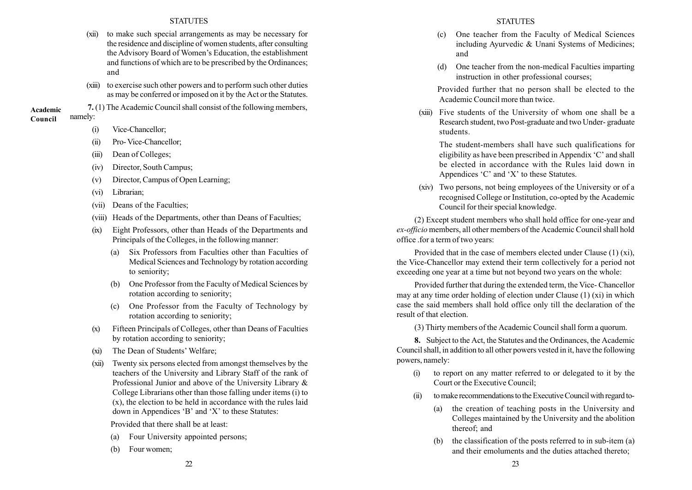- (xii) to make such special arrangements as may be necessary for the residence and discipline of women students, after consulting the Advisory Board of Women's Education, the establishment and functions of which are to be prescribed by the Ordinances; and
- (xiii) to exercise such other powers and to perform such other duties as may be conferred or imposed on it by the Act or the Statutes.
- 7. (1) The Academic Council shall consist of the following members, namely: Academic

## Council

- (i) Vice-Chancellor;
- (ii) Pro- Vice-Chancellor;
- (iii) Dean of Colleges;
- (iv) Director, South Campus;
- (v) Director, Campus of Open Learning;
- (vi) Librarian;
- (vii) Deans of the Faculties;
- (viii) Heads of the Departments, other than Deans of Faculties;
- (ix) Eight Professors, other than Heads of the Departments and Principals of the Colleges, in the following manner:
	- (a) Six Professors from Faculties other than Faculties of Medical Sciences and Technology by rotation according to seniority;
	- (b) One Professor from the Faculty of Medical Sciences by rotation according to seniority;
	- (c) One Professor from the Faculty of Technology by rotation according to seniority;
- (x) Fifteen Principals of Colleges, other than Deans of Faculties by rotation according to seniority;
- (xi) The Dean of Students' Welfare:
- (xii) Twenty six persons elected from amongst themselves by the teachers of the University and Library Staff of the rank of Professional Junior and above of the University Library & College Librarians other than those falling under items (i) to (x), the election to be held in accordance with the rules laid down in Appendices  $B'$  and  $'X'$  to these Statutes:

Provided that there shall be at least:

- (a) Four University appointed persons;
- (b) Four women;
- (c) One teacher from the Faculty of Medical Sciences including Ayurvedic & Unani Systems of Medicines; and
- (d) One teacher from the non-medical Faculties imparting instruction in other professional courses;

Provided further that no person shall be elected to the Academic Council more than twice.

(xiii) Five students of the University of whom one shall be a Research student, two Post-graduate and two Under- graduate students.

The student-members shall have such qualifications for eligibility as have been prescribed in Appendix  $C'$  and shall be elected in accordance with the Rules laid down in Appendices  $C'$  and  $X'$  to these Statutes.

(xiv) Two persons, not being employees of the University or of a recognised College or Institution, co-opted by the Academic Council for their special knowledge.

(2) Except student members who shall hold office for one-year and ex-officio members, all other members of the Academic Council shall hold office .for a term of two years:

Provided that in the case of members elected under Clause (1) (xi), the Vice-Chancellor may extend their term collectively for a period not exceeding one year at a time but not beyond two years on the whole:

Provided further that during the extended term, the Vice- Chancellor may at any time order holding of election under Clause (1) (xi) in which case the said members shall hold office only till the declaration of the result of that election.

(3) Thirty members of the Academic Council shall form a quorum.

8. Subject to the Act, the Statutes and the Ordinances, the Academic Council shall, in addition to all other powers vested in it, have the following powers, namely:

- (i) to report on any matter referred to or delegated to it by the Court or the Executive Council;
- (ii) to make recommendations to the Executive Council with regard to-
	- (a) the creation of teaching posts in the University and Colleges maintained by the University and the abolition thereof; and
	- (b) the classification of the posts referred to in sub-item (a) and their emoluments and the duties attached thereto;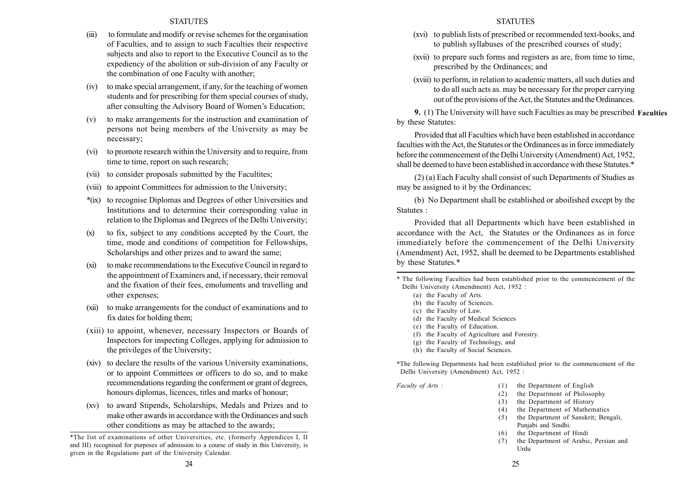- (iii) to formulate and modify or revise schemes for the organisation of Faculties, and to assign to such Faculties their respective subjects and also to report to the Executive Council as to the expediency of the abolition or sub-division of any Faculty or the combination of one Faculty with another;
- (iv) to make special arrangement, if any, for the teaching of women students and for prescribing for them special courses of study, after consulting the Advisory Board of Women's Education;
- (v) to make arrangements for the instruction and examination of persons not being members of the University as may be necessary;
- (vi) to promote research within the University and to require, from time to time, report on such research;
- (vii) to consider proposals submitted by the Facultites;
- (viii) to appoint Committees for admission to the University;
- \*(ix) to recognise Diplomas and Degrees of other Universities and Institutions and to determine their corresponding value in relation to the Diplomas and Degrees of the Delhi University;
- (x) to fix, subject to any conditions accepted by the Court, the time, mode and conditions of competition for Fellowships, Scholarships and other prizes and to award the same;
- (xi) to make recommendations to the Executive Council in regard to the appointment of Examiners and, if necessary, their removal and the fixation of their fees, emoluments and travelling and other expenses;
- (xii) to make arrangements for the conduct of examinations and to fix dates for holding them;
- (xiii) to appoint, whenever, necessary Inspectors or Boards of Inspectors for inspecting Colleges, applying for admission to the privileges of the University;
- (xiv) to declare the results of the various University examinations, or to appoint Committees or officers to do so, and to make recommendations regarding the conferment or grant of degrees, honours diplomas, licences, titles and marks of honour;
- (xv) to award Stipends, Scholarships, Medals and Prizes and to make other awards in accordance with the Ordinances and such other conditions as may be attached to the awards;

## **STATUTES**

- (xvi) to publish lists of prescribed or recommended text-books, and to publish syllabuses of the prescribed courses of study;
- (xvii) to prepare such forms and registers as are, from time to time, prescribed by the Ordinances; and
- (xviii) to perform, in relation to academic matters, all such duties and to do all such acts as. may be necessary for the proper carrying out of the provisions of the Act, the Statutes and the Ordinances.

9. (1) The University will have such Faculties as may be prescribed Facultiesby these Statutes:

Provided that all Faculties which have been established in accordance faculties with the Act, the Statutes or the Ordinances as in force immediately before the commencement of the Delhi University (Amendment) Act, 1952, shall be deemed to have been established in accordance with these Statutes.\*

(2) (a) Each Faculty shall consist of such Departments of Studies as may be assigned to it by the Ordinances;

(b) No Department shall be established or aboilished except by the Statutes :

Provided that all Departments which have been established in accordance with the Act, the Statutes or the Ordinances as in force immediately before the commencement of the Delhi University (Amendment) Act, 1952, shall be deemed to be Departments established by these Statutes.\*

- (a) the Faculty of Arts.
- (b) the Faculty of Sciences.
- (c) the Faculty of Law.
- (d) the Faculty of Medical Sciences
- (e) the Faculty of Education.
- (f) the Faculty of Agriculture and Forestry.
- (g) the Faculty of Technology, and
- (h) the Faculty of Social Sciences.

\*The following Departments had been established prior to the commencement of the Delhi University (Amendment) Act, 1952 :

- Faculty of Arts : (1) the Department of English
	- (2) the Department of Philosophy
	- (3) the Department of History
	- (4) the Department of Mathematics
	- (5) the Department of Sanskrit; Bengali, Punjabi and Sindhi.
	- (6) the Department of Hindi
	- (7) the Department of Arabic, Persian and Urdu

<sup>\*</sup>The list of examinations of other Universities, etc. (formerly Appendices I, II and III) recognised for purposes of admission to a course of study in this University, is given in the Regulations part of the University Calendar.

<sup>\*</sup> The following Faculties had been established prior to the commencement of the Delhi University (Amendment) Act, 1952 :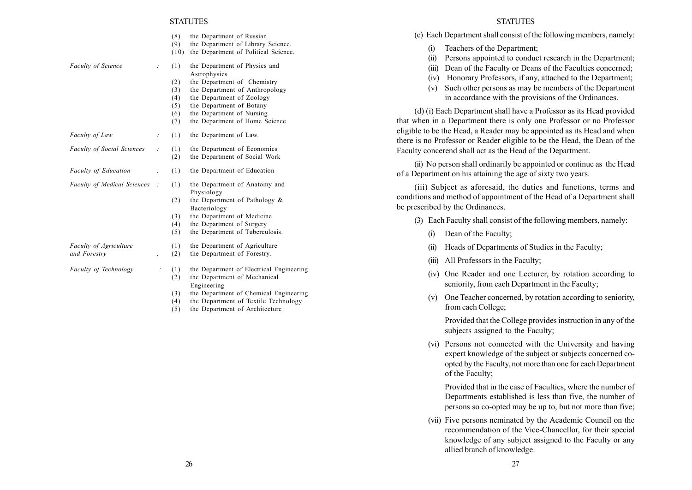|                                    |                | (8)  | the Department of Russian                |
|------------------------------------|----------------|------|------------------------------------------|
|                                    |                | (9)  | the Department of Library Science.       |
|                                    |                | (10) | the Department of Political Science.     |
| <b>Faculty of Science</b>          |                | (1)  | the Department of Physics and            |
|                                    |                |      | Astrophysics                             |
|                                    |                | (2)  | the Department of Chemistry              |
|                                    |                | (3)  | the Department of Anthropology           |
|                                    |                | (4)  | the Department of Zoology                |
|                                    |                | (5)  | the Department of Botany                 |
|                                    |                | (6)  | the Department of Nursing                |
|                                    |                | (7)  | the Department of Home Science           |
| Faculty of Law                     | $\therefore$   | (1)  | the Department of Law.                   |
| <b>Faculty of Social Sciences</b>  | $\vdots$       | (1)  | the Department of Economics              |
|                                    |                | (2)  | the Department of Social Work            |
| <b>Faculty of Education</b>        | $\ddot{\cdot}$ | (1)  | the Department of Education              |
| <b>Faculty of Medical Sciences</b> |                | (1)  | the Department of Anatomy and            |
|                                    |                |      | Physiology                               |
|                                    |                | (2)  | the Department of Pathology &            |
|                                    |                |      | Bacteriology                             |
|                                    |                | (3)  | the Department of Medicine               |
|                                    |                | (4)  | the Department of Surgery                |
|                                    |                | (5)  | the Department of Tuberculosis.          |
| <b>Faculty of Agriculture</b>      |                | (1)  | the Department of Agriculture            |
| and Forestry                       |                | (2)  | the Department of Forestry.              |
| <b>Faculty of Technology</b>       | $\therefore$   | (1)  | the Department of Electrical Engineering |
|                                    |                | (2)  | the Department of Mechanical             |
|                                    |                |      | Engineering                              |
|                                    |                | (3)  | the Department of Chemical Engineering   |
|                                    |                | (4)  | the Department of Textile Technology     |
|                                    |                |      |                                          |

(5) the Department of Architecture

#### **STATUTES**

(c) Each Department shall consist of the following members, namely:

- (i) Teachers of the Department;
- (ii) Persons appointed to conduct research in the Department;
- (iii) Dean of the Faculty or Deans of the Faculties concerned;
- (iv) Honorary Professors, if any, attached to the Department;
- (v) Such other persons as may be members of the Department in accordance with the provisions of the Ordinances.

(d) (i) Each Department shall have a Professor as its Head provided that when in a Department there is only one Professor or no Professor eligible to be the Head, a Reader may be appointed as its Head and when there is no Professor or Reader eligible to be the Head, the Dean of the Faculty concerend shall act as the Head of the Department.

(ii) No person shall ordinarily be appointed or continue as the Head of a Department on his attaining the age of sixty two years.

(iii) Subject as aforesaid, the duties and functions, terms and conditions and method of appointment of the Head of a Department shall be prescribed by the Ordinances.

- (3) Each Faculty shall consist of the following members, namely:
	- (i) Dean of the Faculty;
	- (ii) Heads of Departments of Studies in the Faculty;
	- (iii) All Professors in the Faculty;
	- (iv) One Reader and one Lecturer, by rotation according to seniority, from each Department in the Faculty;
	- (v) One Teacher concerned, by rotation according to seniority, from each College;

Provided that the College provides instruction in any of the subjects assigned to the Faculty;

(vi) Persons not connected with the University and having expert knowledge of the subject or subjects concerned coopted by the Faculty, not more than one for each Department of the Faculty;

Provided that in the case of Faculties, where the number of Departments established is less than five, the number of persons so co-opted may be up to, but not more than five;

(vii) Five persons ncminated by the Academic Council on the recommendation of the Vice-Chancellor, for their special knowledge of any subject assigned to the Faculty or any allied branch of knowledge.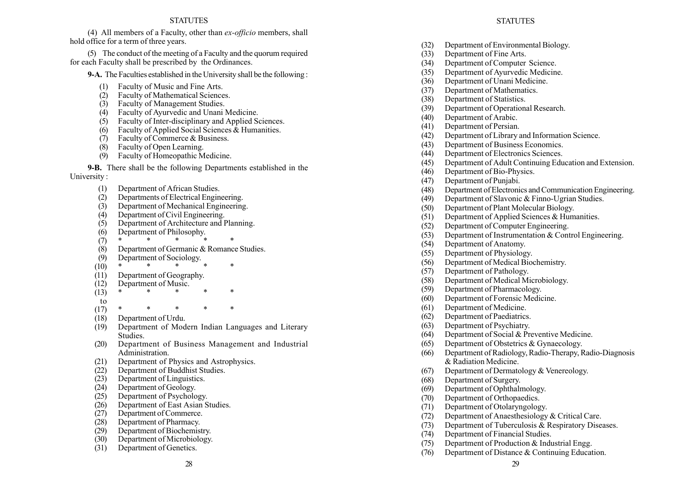(4) All members of a Faculty, other than ex-officio members, shall hold office for a term of three years.

(5) The conduct of the meeting of a Faculty and the quorum required for each Faculty shall be prescribed by the Ordinances.

9-A. The Faculties established in the University shall be the following :

- Faculty of Music and Fine Arts.
- (2) Faculty of Mathematical Sciences.
- (3) Faculty of Management Studies.
- (4) Faculty of Ayurvedic and Unani Medicine.
- (5) Faculty of Inter-disciplinary and Applied Sciences.
- (6) Faculty of Applied Social Sciences & Humanities.
- (7) Faculty of Commerce & Business.
- (8) Faculty of Open Learning.
- (9) Faculty of Homeopathic Medicine.

9-B. There shall be the following Departments established in the University :

- (1) Department of African Studies.
- (2) Departments of Electrical Engineering.
- (3) Department of Mechanical Engineering.
- (4) Department of Civil Engineering.
- (5) Department of Architecture and Planning.
- (6) Department of Philosophy.
- $(7)$  \* \* \* \* \*
- (8) Department of Germanic & Romance Studies.
- (9) Department of Sociology.
- $(10) *$  \* \* \* \* \*
- (11) Department of Geography.
- (12) Department of Music.  $(13) *$  \* \* \* \*
- 
- to
- $(17)$  \* \* \* \* \*
- (18) Department of Urdu.
- (19) Department of Modern Indian Languages and Literary Studies.
- (20) Department of Business Management and Industrial Administration.
- (21) Department of Physics and Astrophysics.
- (22) Department of Buddhist Studies.
- (23) Department of Linguistics.
- (24) Department of Geology.
- (25) Department of Psychology.
- (26) Department of East Asian Studies.
- (27) Department of Commerce.
- (28) Department of Pharmacy.
- (29) Department of Biochemistry.
- (30) Department of Microbiology.
- (31) Department of Genetics.

## **STATUTES**

- (32) Department of Environmental Biology.
- (33) Department of Fine Arts.
- (34) Department of Computer Science.
- (35) Department of Ayurvedic Medicine.
- (36) Department of Unani Medicine.
- (37) Department of Mathematics.
- (38) Department of Statistics.
- (39) Department of Operational Research.
- (40) Department of Arabic.
- (41) Department of Persian.
- (42) Department of Library and Information Science.
- (43) Department of Business Economics.
- (44) Department of Electronics Sciences.
- (45) Department of Adult Continuing Education and Extension.
- (46) Department of Bio-Physics.
- (47) Department of Punjabi.
- (48) Department of Electronics and Communication Engineering.
- (49) Department of Slavonic & Finno-Ugrian Studies.
- (50) Department of Plant Molecular Biology.
- (51) Department of Applied Sciences & Humanities.
- (52) Department of Computer Engineering.
- (53) Department of Instrumentation & Control Engineering.
- (54) Department of Anatomy.
- (55) Department of Physiology.
- (56) Department of Medical Biochemistry.
- (57) Department of Pathology.
- (58) Department of Medical Microbiology.
- (59) Department of Pharmacology.
- (60) Department of Forensic Medicine.
- (61) Department of Medicine.
- (62) Department of Paediatrics.
- (63) Department of Psychiatry.
- (64) Department of Social & Preventive Medicine.
- (65) Department of Obstetrics & Gynaecology.
- (66) Department of Radiology, Radio-Therapy, Radio-Diagnosis & Radiation Medicine.
- (67) Department of Dermatology & Venereology.
- (68) Department of Surgery.
- (69) Department of Ophthalmology.
- (70) Department of Orthopaedics.
- (71) Department of Otolaryngology.
- (72) Department of Anaesthesiology & Critical Care.
- (73) Department of Tuberculosis & Respiratory Diseases.
- (74) Department of Financial Studies.
- (75) Department of Production & Industrial Engg.
- (76) Department of Distance & Continuing Education.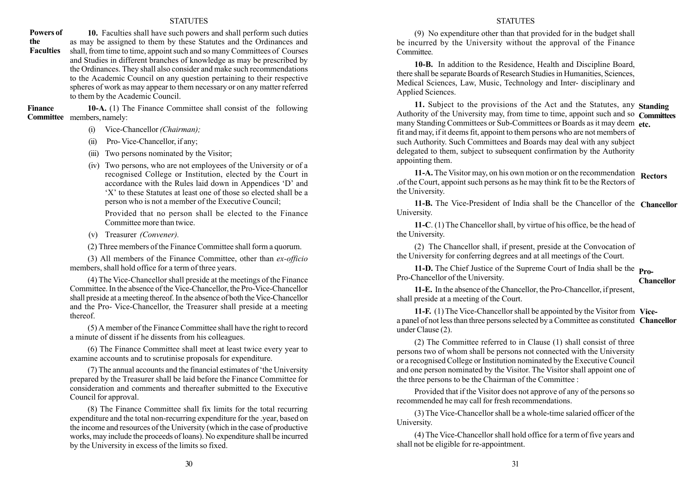10. Faculties shall have such powers and shall perform such duties as may be assigned to them by these Statutes and the Ordinances and shall, from time to time, appoint such and so many Committees of Courses and Studies in different branches of knowledge as may be prescribed by the Ordinances. They shall also consider and make such recommendations to the Academic Council on any question pertaining to their respective spheres of work as may appear to them necessary or on any matter referred to them by the Academic Council. Powers of the **Faculties** 

10-A. (1) The Finance Committee shall consist of the following Committee members, namely: Finance

- (i) Vice-Chancellor (Chairman);
- (ii) Pro- Vice-Chancellor, if any;
- (iii) Two persons nominated by the Visitor;
- (iv) Two persons, who are not employees of the University or of a recognised College or Institution, elected by the Court in accordance with the Rules laid down in Appendices 'D' and  $X'$  to these Statutes at least one of those so elected shall be a person who is not a member of the Executive Council;

Provided that no person shall be elected to the Finance Committee more than twice.

(v) Treasurer (Convener).

(2) Three members of the Finance Committee shall form a quorum.

(3) All members of the Finance Committee, other than ex-officio members, shall hold office for a term of three years.

(4) The Vice-Chancellor shall preside at the meetings of the Finance Committee. In the absence of the Vice-Chancellor, the Pro-Vice-Chancellor shall preside at a meeting thereof. In the absence of both the Vice-Chancellor and the Pro- Vice-Chancellor, the Treasurer shall preside at a meeting thereof.

(5) A member of the Finance Committee shall have the right to record a minute of dissent if he dissents from his colleagues.

(6) The Finance Committee shall meet at least twice every year to examine accounts and to scrutinise proposals for expenditure.

(7) The annual accounts and the financial estimates of ëthe University prepared by the Treasurer shall be laid before the Finance Committee for consideration and comments and thereafter submitted to the Executive Council for approval.

(8) The Finance Committee shall fix limits for the total recurring expenditure and the total non-recurring expenditure for the .year, based on the income and resources of the University (which in the case of productive works, may include the proceeds of loans). No expenditure shall be incurred by the University in excess of the limits so fixed.

#### **STATUTES**

(9) No expenditure other than that provided for in the budget shall be incurred by the University without the approval of the Finance Committee.

10-B. In addition to the Residence, Health and Discipline Board, there shall be separate Boards of Research Studies in Humanities, Sciences, Medical Sciences, Law, Music, Technology and Inter- disciplinary and Applied Sciences.

11. Subject to the provisions of the Act and the Statutes, any Standing Authority of the University may, from time to time, appoint such and so Committees many Standing Committees or Sub-Committees or Boards as it may deem etc. fit and may, if it deems fit, appoint to them persons who are not members of such Authority. Such Committees and Boards may deal with any subject delegated to them, subject to subsequent confirmation by the Authority appointing them.

11-A. The Visitor may, on his own motion or on the recommendation Rectors .of the Court, appoint such persons as he may think fit to be the Rectors of the University.

11-B. The Vice-President of India shall be the Chancellor of the Chancellor University.

11-C. (1) The Chancellor shall, by virtue of his office, be the head of the University.

(2) The Chancellor shall, if present, preside at the Convocation of the University for conferring degrees and at all meetings of the Court.

11-D. The Chief Justice of the Supreme Court of India shall be the **Pro-**Pro-Chancellor of the University. Chancellor

11-E. In the absence of the Chancellor, the Pro-Chancellor, if present, shall preside at a meeting of the Court.

11-F. (1) The Vice-Chancellor shall be appointed by the Visitor from Vicea panel of not less than three persons selected by a Committee as constituted Chancellor under Clause (2).

(2) The Committee referred to in Clause (1) shall consist of three persons two of whom shall be persons not connected with the University or a recognised College or Institution nominated by the Executive Council and one person nominated by the Visitor. The Visitor shall appoint one of the three persons to be the Chairman of the Committee :

Provided that if the Visitor does not approve of any of the persons so recommended he may call for fresh recommendations.

(3) The Vice-Chancellor shall be a whole-time salaried officer of the University.

(4) The Vice-Chancellor shall hold office for a term of five years and shall not be eligible for re-appointment.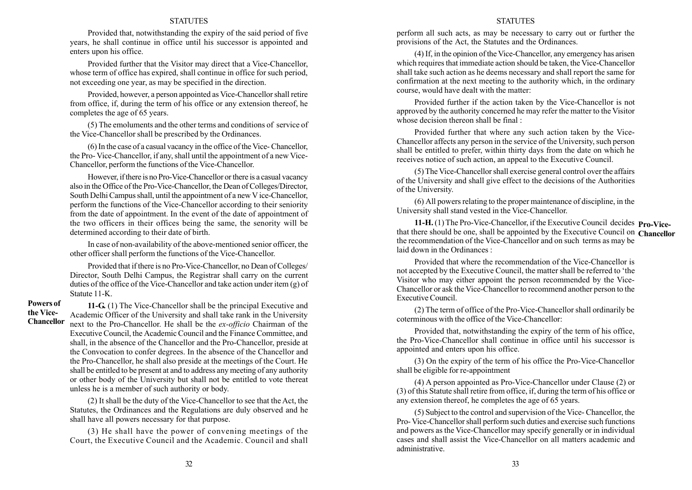Provided that, notwithstanding the expiry of the said period of five years, he shall continue in office until his successor is appointed and enters upon his office.

Provided further that the Visitor may direct that a Vice-Chancellor, whose term of office has expired, shall continue in office for such period, not exceeding one year, as may be specified in the direction.

Provided, however, a person appointed as Vice-Chancellor shall retire from office, if, during the term of his office or any extension thereof, he completes the age of 65 years.

(5) The emoluments and the other terms and conditions of service of the Vice-Chancellor shall be prescribed by the Ordinances.

(6) In the case of a casual vacancy in the office of the Vice- Chancellor, the Pro- Vice-Chancellor, if any, shall until the appointment of a new Vice-Chancellor, perform the functions of the Vice-Chancellor.

However, if there is no Pro-Vice-Chancellor or there is a casual vacancy also in the Office of the Pro-Vice-Chancellor, the Dean of Colleges/Director, South Delhi Campus shall, until the appointment of a new V ice-Chancellor, perform the functions of the Vice-Chancellor according to their seniority from the date of appointment. In the event of the date of appointment of the two officers in their offices being the same, the senority will be determined according to their date of birth.

In case of non-availability of the above-mentioned senior officer, the other officer shall perform the functions of the Vice-Chancellor.

Provided that if there is no Pro-Vice-Chancellor, no Dean of Colleges/ Director, South Delhi Campus, the Registrar shall carry on the current duties of the office of the Vice-Chancellor and take action under item (g) of Statute 11-K.

Powers of the Vice-Chancellor

11-G. (1) The Vice-Chancellor shall be the principal Executive and Academic Officer of the University and shall take rank in the University next to the Pro-Chancellor. He shall be the ex-officio Chairman of the Executive Council, the Academic Council and the Finance Committee, and shall, in the absence of the Chancellor and the Pro-Chancellor, preside at the Convocation to confer degrees. In the absence of the Chancellor and the Pro-Chancellor, he shall also preside at the meetings of the Court. He shall be entitled to be present at and to address any meeting of any authority or other body of the University but shall not be entitled to vote thereat unless he is a member of such authority or body.

(2) It shall be the duty of the Vice-Chancellor to see that the Act, the Statutes, the Ordinances and the Regulations are duly observed and he shall have all powers necessary for that purpose.

(3) He shall have the power of convening meetings of the Court, the Executive Council and the Academic. Council and shall

#### **STATUTES**

perform all such acts, as may be necessary to carry out or further the provisions of the Act, the Statutes and the Ordinances.

(4) If, in the opinion of the Vice-Chancellor, any emergency has arisen which requires that immediate action should be taken, the Vice-Chancellor shall take such action as he deems necessary and shall report the same for confirmation at the next meeting to the authority which, in the ordinary course, would have dealt with the matter:

Provided further if the action taken by the Vice-Chancellor is not approved by the authority concerned he may refer the matter to the Visitor whose decision thereon shall be final :

Provided further that where any such action taken by the Vice-Chancellor affects any person in the service of the University, such person shall be entitled to prefer, within thirty days from the date on which he receives notice of such action, an appeal to the Executive Council.

(5) The Vice-Chancellor shall exercise general control over the affairs of the University and shall give effect to the decisions of the Authorities of the University.

(6) All powers relating to the proper maintenance of discipline, in the University shall stand vested in the Vice-Chancellor.

11-H. (1) The Pro-Vice-Chancellor, if the Executive Council decides **Pro-Vice**that there should be one, shall be appointed by the Executive Council on Chancellor the recommendation of the Vice-Chancellor and on such terms as may be laid down in the Ordinances :

Provided that where the recommendation of the Vice-Chancellor is not accepted by the Executive Council, the matter shall be referred to 'the Visitor who may either appoint the person recommended by the Vice-Chancellor or ask the Vice-Chancellor to recommend another person to the Executive Council.

(2) The term of office of the Pro-Vice-Chancellor shall ordinarily be coterminous with the office of the Vice-Chancellor:

Provided that, notwithstanding the expiry of the term of his office, the Pro-Vice-Chancellor shall continue in office until his successor is appointed and enters upon his office.

(3) On the expiry of the term of his office the Pro-Vice-Chancellor shall be eligible for re-appointment

(4) A person appointed as Pro-Vice-Chancellor under Clause (2) or (3) of this Statute shall retire from office, if, during the term of his office or any extension thereof, he completes the age of 65 years.

(5) Subject to the control and supervision of the Vice- Chancellor, the Pro- Vice-Chancellor shall perform such duties and exercise such functions and powers as the Vice-Chancellor may specify generally or in individual cases and shall assist the Vice-Chancellor on all matters academic and administrative.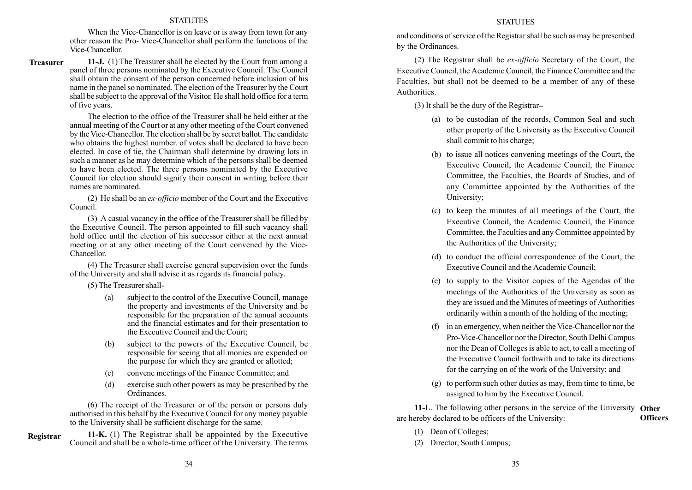When the Vice-Chancellor is on leave or is away from town for any other reason the Pro- Vice-Chancellor shall perform the functions of the Vice-Chancellor.

11-J. (1) The Treasurer shall be elected by the Court from among a panel of three persons nominated by the Executive Council. The Council shall obtain the consent of the person concerned before inclusion of his name in the panel so nominated. The election of the Treasurer by the Court shall be subject to the approval of the Visitor. He shall hold office for a term of five years. Treasurer

> The election to the office of the Treasurer shall be held either at the annual meeting of the Court or at any other meeting of the Court convened by the Vice-Chancellor. The election shall be by secret ballot. The candidate who obtains the highest number. of votes shall be declared to have been elected. In case of tie, the Chairman shall determine by drawing lots in such a manner as he may determine which of the persons shall be deemed to have been elected. The three persons nominated by the Executive Council for election should signify their consent in writing before their names are nominated.

> (2) He shall be an ex-officio member of the Court and the Executive Council.

> (3) A casual vacancy in the office of the Treasurer shall be filled by the Executive Council. The person appointed to fill such vacancy shall hold office until the election of his successor either at the next annual meeting or at any other meeting of the Court convened by the Vice-Chancellor.

> (4) The Treasurer shall exercise general supervision over the funds of the University and shall advise it as regards its financial policy.

(5) The Treasurer shall-

- (a) subject to the control of the Executive Council, manage the property and investments of the University and be responsible for the preparation of the annual accounts and the financial estimates and for their presentation to the Executive Council and the Court;
- (b) subject to the powers of the Executive Council, be responsible for seeing that all monies are expended on the purpose for which they are granted or allotted;
- (c) convene meetings of the Finance Committee; and
- (d) exercise such other powers as may be prescribed by the Ordinances.

(6) The receipt of the Treasurer or of the person or persons duly authorised in this behalf by the Executive Council for any money payable to the University shall be sufficient discharge for the same.

11-K. (1) The Registrar shall be appointed by the Executive Council and shall be a whole-time officer of the University. The terms Registrar

## **STATUTES**

and conditions of service of the Registrar shall be such as may be prescribed by the Ordinances.

(2) The Registrar shall be ex-officio Secretary of the Court, the Executive Council, the Academic Council, the Finance Committee and the Faculties, but shall not be deemed to be a member of any of these Authorities.

(3) It shall be the duty of the Registrar--

- (a) to be custodian of the records, Common Seal and such other property of the University as the Executive Council shall commit to his charge;
- (b) to issue all notices convening meetings of the Court, the Executive Council, the Academic Council, the Finance Committee, the Faculties, the Boards of Studies, and of any Committee appointed by the Authorities of the University;
- (c) to keep the minutes of all meetings of the Court, the Executive Council, the Academic Council, the Finance Committee, the Faculties and any Committee appointed by the Authorities of the University;
- (d) to conduct the official correspondence of the Court, the Executive Council and the Academic Council;
- (e) to supply to the Visitor copies of the Agendas of the meetings of the Authorities of the University as soon as they are issued and the Minutes of meetings of Authorities ordinarily within a month of the holding of the meeting;
- (f) in an emergency, when neither the Vice-Chancellor nor the Pro-Vice-Chancellor nor the Director, South Delhi Campus nor the Dean of Colleges is able to act, to call a meeting of the Executive Council forthwith and to take its directions for the carrying on of the work of the University; and
- (g) to perform such other duties as may, from time to time, be assigned to him by the Executive Council.

11-L. The following other persons in the service of the University Other are hereby declared to be officers of the University: **Officers** 

- (1) Dean of Colleges;
- (2) Director, South Campus;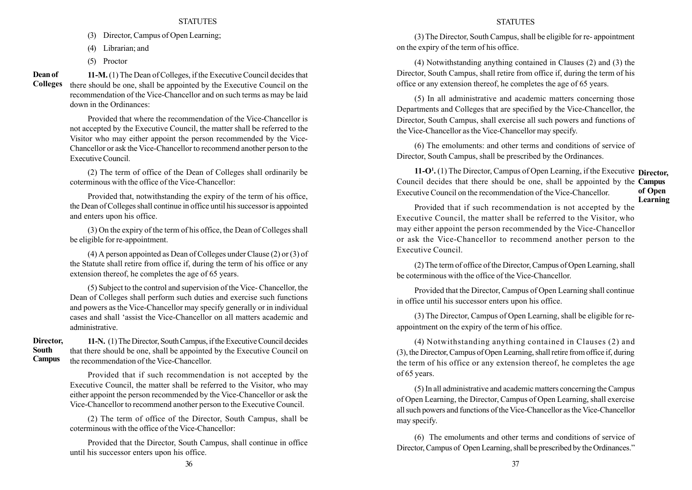- (3) Director, Campus of Open Learning;
- (4) Librarian; and
- (5) Proctor

Dean of Colleges

11-M.(1) The Dean of Colleges, if the Executive Council decides that there should be one, shall be appointed by the Executive Council on the recommendation of the Vice-Chancellor and on such terms as may be laid down in the Ordinances:

Provided that where the recommendation of the Vice-Chancellor is not accepted by the Executive Council, the matter shall be referred to the Visitor who may either appoint the person recommended by the Vice-Chancellor or ask the Vice-Chancellor to recommend another person to the Executive Council.

(2) The term of office of the Dean of Colleges shall ordinarily be coterminous with the office of the Vice-Chancellor:

Provided that, notwithstanding the expiry of the term of his office, the Dean of Colleges shall continue in office until his successor is appointed and enters upon his office.

(3) On the expiry of the term of his office, the Dean of Colleges shall be eligible for re-appointment.

(4) A person appointed as Dean of Colleges under Clause (2) or (3) of the Statute shall retire from office if, during the term of his office or any extension thereof, he completes the age of 65 years.

(5) Subject to the control and supervision of the Vice- Chancellor, the Dean of Colleges shall perform such duties and exercise such functions and powers as the Vice-Chancellor may specify generally or in individual cases and shall ëassist the Vice-Chancellor on all matters academic and administrative.

### Director, South Campus

11-N. (1)The Director, South Campus, if the Executive Council decides that there should be one, shall be appointed by the Executive Council on the recommendation of the Vice-Chancellor.

Provided that if such recommendation is not accepted by the Executive Council, the matter shall be referred to the Visitor, who may either appoint the person recommended by the Vice-Chancellor or ask the Vice-Chancellor to recommend another person to the Executive Council.

(2) The term of office of the Director, South Campus, shall be coterminous with the office of the Vice-Chancellor:

Provided that the Director, South Campus, shall continue in office until his successor enters upon his office.

## **STATUTES**

(3) The Director, South Campus, shall be eligible for re- appointment on the expiry of the term of his office.

(4) Notwithstanding anything contained in Clauses (2) and (3) the Director, South Campus, shall retire from office if, during the term of his office or any extension thereof, he completes the age of 65 years.

(5) In all administrative and academic matters concerning those Departments and Colleges that are specified by the Vice-Chancellor, the Director, South Campus, shall exercise all such powers and functions of the Vice-Chancellor as the Vice-Chancellor may specify.

(6) The emoluments: and other terms and conditions of service of Director, South Campus, shall be prescribed by the Ordinances.

11-O<sup>1</sup>. (1) The Director, Campus of Open Learning, if the Executive **Director**, Council decides that there should be one, shall be appointed by the **Campus** Executive Council on the recommendation of the Vice-Chancellor. of Open Learning

Provided that if such recommendation is not accepted by the Executive Council, the matter shall be referred to the Visitor, who may either appoint the person recommended by the Vice-Chancellor or ask the Vice-Chancellor to recommend another person to the Executive Council.

(2) The term of office of the Director, Campus of Open Learning, shall be coterminous with the office of the Vice-Chancellor.

Provided that the Director, Campus of Open Learning shall continue in office until his successor enters upon his office.

(3) The Director, Campus of Open Learning, shall be eligible for reappointment on the expiry of the term of his office.

(4) Notwithstanding anything contained in Clauses (2) and (3), the Director, Campus of Open Learning, shall retire from office if, during the term of his office or any extension thereof, he completes the age of 65 years.

(5) In all administrative and academic matters concerning the Campus of Open Learning, the Director, Campus of Open Learning, shall exercise all such powers and functions of the Vice-Chancellor as the Vice-Chancellor may specify.

(6) The emoluments and other terms and conditions of service of Director, Campus of Open Learning, shall be prescribed by the Ordinances.<sup>7</sup>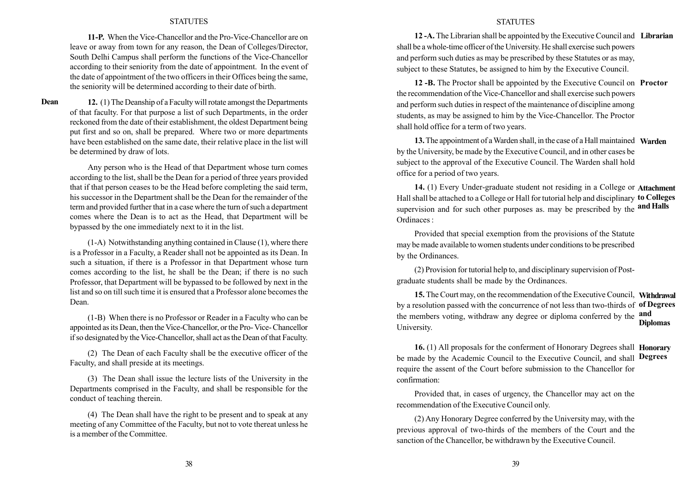11-P. When the Vice-Chancellor and the Pro-Vice-Chancellor are on leave or away from town for any reason, the Dean of Colleges/Director, South Delhi Campus shall perform the functions of the Vice-Chancellor according to their seniority from the date of appointment. In the event of the date of appointment of the two officers in their Offices being the same, the seniority will be determined according to their date of birth.

Dean

12. (1) The Deanship of a Faculty will rotate amongst the Departments of that faculty. For that purpose a list of such Departments, in the order reckoned from the date of their establishment, the oldest Department being put first and so on, shall be prepared. Where two or more departments have been established on the same date, their relative place in the list will be determined by draw of lots.

Any person who is the Head of that Department whose turn comes according to the list, shall be the Dean for a period of three years provided that if that person ceases to be the Head before completing the said term, his successor in the Department shall be the Dean for the remainder of the term and provided further that in a case where the turn of such a department comes where the Dean is to act as the Head, that Department will be bypassed by the one immediately next to it in the list.

(1-A) Notwithstanding anything contained in Clause (1), where there is a Professor in a Faculty, a Reader shall not be appointed as its Dean. In such a situation, if there is a Professor in that Department whose turn comes according to the list, he shall be the Dean; if there is no such Professor, that Department will be bypassed to be followed by next in the list and so on till such time it is ensured that a Professor alone becomes the Dean.

(1-B) When there is no Professor or Reader in a Faculty who can be appointed as its Dean, then the Vice-Chancellor, or the Pro- Vice- Chancellor if so designated by the Vice-Chancellor, shall act as the Dean of that Faculty.

(2) The Dean of each Faculty shall be the executive officer of the Faculty, and shall preside at its meetings.

(3) The Dean shall issue the lecture lists of the University in the Departments comprised in the Faculty, and shall be responsible for the conduct of teaching therein.

(4) The Dean shall have the right to be present and to speak at any meeting of any Committee of the Faculty, but not to vote thereat unless he is a member of the Committee.

#### **STATUTES**

12-A. The Librarian shall be appointed by the Executive Council and Librarian shall be a whole-time officer of the University. He shall exercise such powers and perform such duties as may be prescribed by these Statutes or as may, subject to these Statutes, be assigned to him by the Executive Council.

12 -B. The Proctor shall be appointed by the Executive Council on **Proctor** the recommendation of the Vice-Chancellor and shall exercise such powers and perform such duties in respect of the maintenance of discipline among students, as may be assigned to him by the Vice-Chancellor. The Proctor shall hold office for a term of two years.

13. The appointment of a Warden shall, in the case of a Hall maintained Warden by the University, be made by the Executive Council, and in other cases be subject to the approval of the Executive Council. The Warden shall hold office for a period of two years.

14. (1) Every Under-graduate student not residing in a College or Attachment Hall shall be attached to a College or Hall for tutorial help and disciplinary **to Colleges** supervision and for such other purposes as, may be prescribed by the **and Halls** Ordinaces :

Provided that special exemption from the provisions of the Statute may be made available to women students under conditions to be prescribed by the Ordinances.

(2) Provision for tutorial help to, and disciplinary supervision of Postgraduate students shall be made by the Ordinances.

15. The Court may, on the recommendation of the Executive Council, Withdrawal by a resolution passed with the concurrence of not less than two-thirds of **of Degrees** the members voting, withdraw any degree or diploma conferred by the **and** University. Diplomas

16. (1) All proposals for the conferment of Honorary Degrees shall **Honorary** be made by the Academic Council to the Executive Council, and shall **Degrees** require the assent of the Court before submission to the Chancellor for confirmation:

Provided that, in cases of urgency, the Chancellor may act on the recommendation of the Executive Council only.

(2) Any Honorary Degree conferred by the University may, with the previous approval of two-thirds of the members of the Court and the sanction of the Chancellor, be withdrawn by the Executive Council.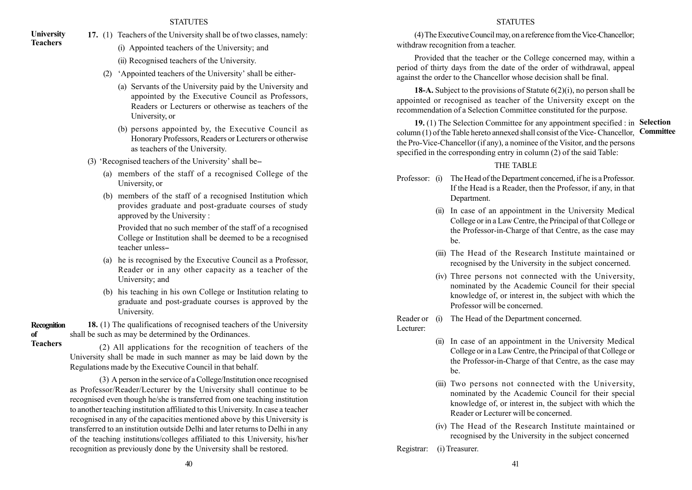- 17. (1) Teachers of the University shall be of two classes, namely:
	- (i) Appointed teachers of the University; and
	- (ii) Recognised teachers of the University.
	- (2)  $\Delta$  exposured teachers of the University' shall be either-
		- (a) Servants of the University paid by the University and appointed by the Executive Council as Professors, Readers or Lecturers or otherwise as teachers of the University, or
		- (b) persons appointed by, the Executive Council as Honorary Professors, Readers or Lecturers or otherwise as teachers of the University.
	- $(3)$  'Recognised teachers of the University' shall be-
		- (a) members of the staff of a recognised College of the University, or
		- (b) members of the staff of a recognised Institution which provides graduate and post-graduate courses of study approved by the University :

Provided that no such member of the staff of a recognised College or Institution shall be deemed to be a recognised teacher unless--

- (a) he is recognised by the Executive Council as a Professor, Reader or in any other capacity as a teacher of the University; and
- (b) his teaching in his own College or Institution relating to graduate and post-graduate courses is approved by the University.

18. (1) The qualifications of recognised teachers of the University shall be such as may be determined by the Ordinances. Recognition of Teachers

(2) All applications for the recognition of teachers of the University shall be made in such manner as may be laid down by the Regulations made by the Executive Council in that behalf.

(3) A person in the service of a College/Institution once recognised as Professor/Reader/Lecturer by the University shall continue to be recognised even though he/she is transferred from one teaching institution to another teaching institution affiliated to this University. In case a teacher recognised in any of the capacities mentioned above by this University is transferred to an institution outside Delhi and later returns to Delhi in any of the teaching institutions/colleges affiliated to this University, his/her recognition as previously done by the University shall be restored.

#### **STATUTES**

(4)The ExecutiveCouncil may, on a reference fromtheVice-Chancellor; withdraw recognition from a teacher.

Provided that the teacher or the College concerned may, within a period of thirty days from the date of the order of withdrawal, appeal against the order to the Chancellor whose decision shall be final.

18-A. Subject to the provisions of Statute  $6(2)(i)$ , no person shall be appointed or recognised as teacher of the University except on the recommendation of a Selection Committee constituted for the purpose.

19. (1) The Selection Committee for any appointment specified : in Selection column (1) of the Table hereto annexed shall consist of the Vice- Chancellor, the Pro-Vice-Chancellor (if any), a nominee of the Visitor, and the persons specified in the corresponding entry in column (2) of the said Table: **Committee** 

## THE TABLE

- Professor: (i) The Head of the Department concerned, if he is a Professor. If the Head is a Reader, then the Professor, if any, in that Department.
	- (ii) In case of an appointment in the University Medical College or in a Law Centre, the Principal of that College or the Professor-in-Charge of that Centre, as the case may be.
	- (iii) The Head of the Research Institute maintained or recognised by the University in the subject concerned.
	- (iv) Three persons not connected with the University, nominated by the Academic Council for their special knowledge of, or interest in, the subject with which the Professor will be concerned.

Reader or (i) The Head of the Department concerned.

Lecturer:

- (ii) In case of an appointment in the University Medical College or in a Law Centre, the Principal of that College or the Professor-in-Charge of that Centre, as the case may be.
- (iii) Two persons not connected with the University, nominated by the Academic Council for their special knowledge of, or interest in, the subject with which the Reader or Lecturer will be concerned.
- (iv) The Head of the Research Institute maintained or recognised by the University in the subject concerned

Registrar: (i) Treasurer.

**University** Teachers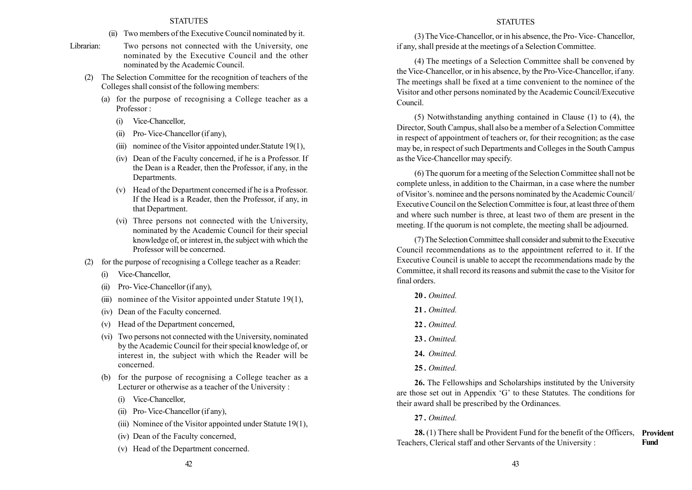- (ii) Two members of the Executive Council nominated by it.
- Librarian: Two persons not connected with the University, one nominated by the Executive Council and the other nominated by the Academic Council.
	- (2) The Selection Committee for the recognition of teachers of the Colleges shall consist of the following members:
		- (a) for the purpose of recognising a College teacher as a Professor :
			- (i) Vice-Chancellor,
			- (ii) Pro- Vice-Chancellor (if any),
			- (iii) nominee of the Visitor appointed under.Statute 19(1),
			- (iv) Dean of the Faculty concerned, if he is a Professor. If the Dean is a Reader, then the Professor, if any, in the Departments.
			- (v) Head of the Department concerned if he is a Professor. If the Head is a Reader, then the Professor, if any, in that Department.
			- (vi) Three persons not connected with the University, nominated by the Academic Council for their special knowledge of, or interest in, the subject with which the Professor will be concerned.
	- (2) for the purpose of recognising a College teacher as a Reader:
		- (i) Vice-Chancellor,
		- (ii) Pro- Vice-Chancellor (if any),
		- (iii) nominee of the Visitor appointed under Statute  $19(1)$ ,
		- (iv) Dean of the Faculty concerned.
		- (v) Head of the Department concerned,
		- (vi) Two persons not connected with the University, nominated by the Academic Council for their special knowledge of, or interest in, the subject with which the Reader will be concerned.
		- (b) for the purpose of recognising a College teacher as a Lecturer or otherwise as a teacher of the University :
			- (i) Vice-Chancellor,
			- (ii) Pro- Vice-Chancellor (if any),
			- (iii) Nominee of the Visitor appointed under Statute 19(1),
			- (iv) Dean of the Faculty concerned,
			- (v) Head of the Department concerned.

#### **STATUTES**

(3) The Vice-Chancellor, or in his absence, the Pro- Vice- Chancellor, if any, shall preside at the meetings of a Selection Committee.

(4) The meetings of a Selection Committee shall be convened by the Vice-Chancellor, or in his absence, by the Pro-Vice-Chancellor, if any. The meetings shall be fixed at a time convenient to the nominee of the Visitor and other persons nominated by the Academic Council/Executive Council.

(5) Notwithstanding anything contained in Clause (1) to (4), the Director, South Campus, shall also be a member of a Selection Committee in respect of appointment of teachers or, for their recognition; as the case may be, in respect of such Departments and Colleges in the South Campus as the Vice-Chancellor may specify.

(6) The quorum for a meeting of the Selection Committee shall not be complete unless, in addition to the Chairman, in a case where the number of Visitor's. nominee and the persons nominated by the Academic Council/ Executive Council on the Selection Committee is four, at least three of them and where such number is three, at least two of them are present in the meeting. If the quorum is not complete, the meeting shall be adjourned.

(7) The Selection Committee shall consider and submit to the Executive Council recommendations as to the appointment referred to it. If the Executive Council is unable to accept the recommendations made by the Committee, it shall record its reasons and submit the case to the Visitor for final orders.

- 20. Omitted
- 21 Omitted
- 22. Omitted
- 23. Omitted.
- 24. Omitted.
- 25. Omitted.

26. The Fellowships and Scholarships instituted by the University are those set out in Appendix 'G' to these Statutes. The conditions for their award shall be prescribed by the Ordinances.

27. Omitted.

28. (1) There shall be Provident Fund for the benefit of the Officers, Provident Teachers, Clerical staff and other Servants of the University : Fund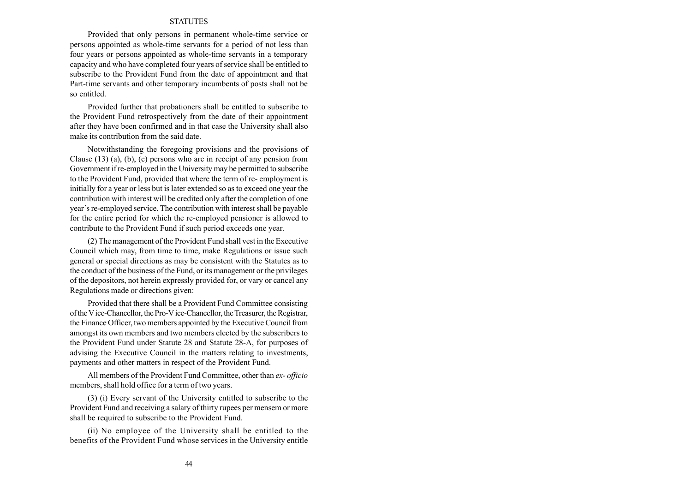Provided that only persons in permanent whole-time service or persons appointed as whole-time servants for a period of not less than four years or persons appointed as whole-time servants in a temporary capacity and who have completed four years of service shall be entitled to subscribe to the Provident Fund from the date of appointment and that Part-time servants and other temporary incumbents of posts shall not be so entitled.

Provided further that probationers shall be entitled to subscribe to the Provident Fund retrospectively from the date of their appointment after they have been confirmed and in that case the University shall also make its contribution from the said date.

Notwithstanding the foregoing provisions and the provisions of Clause (13) (a), (b), (c) persons who are in receipt of any pension from Government if re-employed in the University may be permitted to subscribe to the Provident Fund, provided that where the term of re- employment is initially for a year or less but is later extended so as to exceed one year the contribution with interest will be credited only after the completion of one year's re-employed service. The contribution with interest shall be payable for the entire period for which the re-employed pensioner is allowed to contribute to the Provident Fund if such period exceeds one year.

(2) The management of the Provident Fund shall vest in the Executive Council which may, from time to time, make Regulations or issue such general or special directions as may be consistent with the Statutes as to the conduct of the business of the Fund, or its management or the privileges of the depositors, not herein expressly provided for, or vary or cancel any Regulations made or directions given:

Provided that there shall be a Provident Fund Committee consisting of theVice-Chancellor, the Pro-Vice-Chancellor, theTreasurer, the Registrar, the Finance Officer, two members appointed by the Executive Council from amongst its own members and two members elected by the subscribers to the Provident Fund under Statute 28 and Statute 28-A, for purposes of advising the Executive Council in the matters relating to investments, payments and other matters in respect of the Provident Fund.

All members of the Provident Fund Committee, other than ex- officio members, shall hold office for a term of two years.

(3) (i) Every servant of the University entitled to subscribe to the Provident Fund and receiving a salary of thirty rupees per mensem or more shall be required to subscribe to the Provident Fund.

(ii) No employee of the University shall be entitled to the benefits of the Provident Fund whose services in the University entitle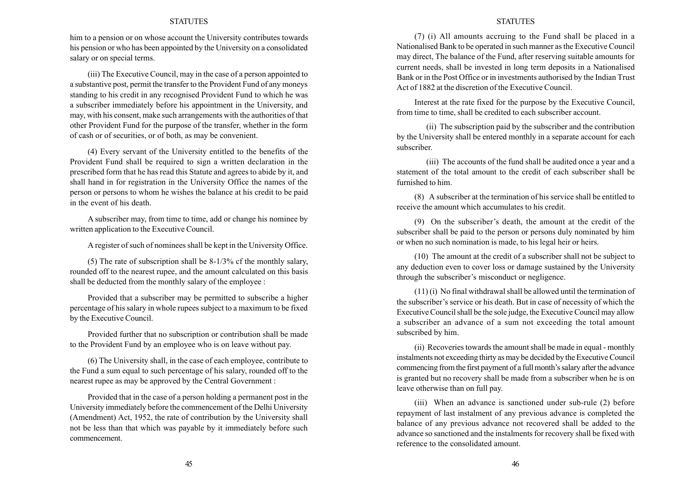him to a pension or on whose account the University contributes towards his pension or who has been appointed by the University on a consolidated salary or on special terms.

(iii) The Executive Council, may in the case of a person appointed to a substantive post, permit the transfer to the Provident Fund of any moneys standing to his credit in any recognised Provident Fund to which he was a subscriber immediately before his appointment in the University, and may, with his consent, make such arrangements with the authorities of that other Provident Fund for the purpose of the transfer, whether in the form of cash or of securities, or of both, as may be convenient.

(4) Every servant of the University entitled to the benefits of the Provident Fund shall be required to sign a written declaration in the prescribed form that he has read this Statute and agrees to abide by it, and shall hand in for registration in the University Office the names of the person or persons to whom he wishes the balance at his credit to be paid in the event of his death.

A subscriber may, from time to time, add or change his nominee by written application to the Executive Council.

A register of such of nominees shall be kept in the University Office.

(5) The rate of subscription shall be 8-1/3% cf the monthly salary, rounded off to the nearest rupee, and the amount calculated on this basis shall be deducted from the monthly salary of the employee :

Provided that a subscriber may be permitted to subscribe a higher percentage of his salary in whole rupees subject to a maximum to be fixed by the Executive Council.

Provided further that no subscription or contribution shall be made to the Provident Fund by an employee who is on leave without pay.

(6) The University shall, in the case of each employee, contribute to the Fund a sum equal to such percentage of his salary, rounded off to the nearest rupee as may be approved by the Central Government :

Provided that in the case of a person holding a permanent post in the University immediately before the commencement of the Delhi University (Amendment) Act, 1952, the rate of contribution by the University shall not be less than that which was payable by it immediately before such commencement.

#### **STATUTES**

(7) (i) All amounts accruing to the Fund shall be placed in a Nationalised Bank to be operated in such manner as the Executive Council may direct, The balance of the Fund, after reserving suitable amounts for current needs, shall be invested in long term deposits in a Nationalised Bank or in the Post Office or in investments authorised by the Indian Trust Act of 1882 at the discretion of the Executive Council.

Interest at the rate fixed for the purpose by the Executive Council, from time to time, shall be credited to each subscriber account.

(ii) The subscription paid by the subscriber and the contribution by the University shall be entered monthly in a separate account for each subscriber.

(iii) The accounts of the fund shall be audited once a year and a statement of the total amount to the credit of each subscriber shall be furnished to him.

(8) A subscriber at the termination of his service shall be entitled to receive the amount which accumulates to his credit.

(9) On the subscriber's death, the amount at the credit of the subscriber shall be paid to the person or persons duly nominated by him or when no such nomination is made, to his legal heir or heirs.

(10) The amount at the credit of a subscriber shall not be subject to any deduction even to cover loss or damage sustained by the University through the subscriber's misconduct or negligence.

(11) (i) No final withdrawal shall be allowed until the termination of the subscriber's service or his death. But in case of necessity of which the Executive Council shall be the sole judge, the Executive Council may allow a subscriber an advance of a sum not exceeding the total amount subscribed by him.

(ii) Recoveries towards the amount shall be made in equal - monthly instalments not exceeding thirty as may be decided by the Executive Council commencing from the first payment of a full month's salary after the advance is granted but no recovery shall be made from a subscriber when he is on leave otherwise than on full pay.

(iii) When an advance is sanctioned under sub-rule (2) before repayment of last instalment of any previous advance is completed the balance of any previous advance not recovered shall be added to the advance so sanctioned and the instalments for recovery shall be fixed with reference to the consolidated amount.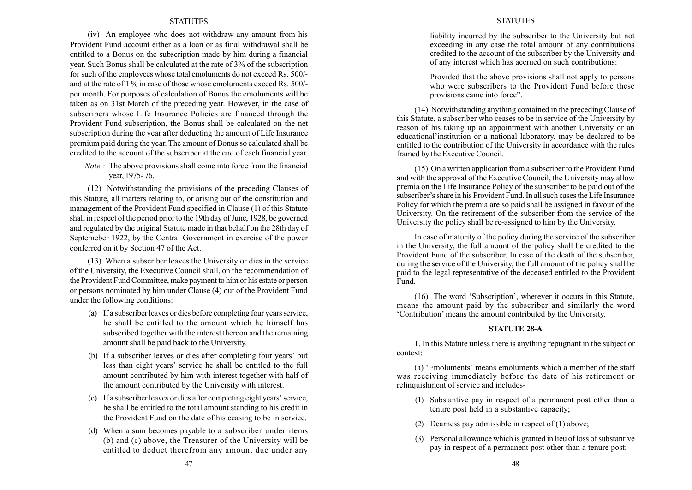(iv) An employee who does not withdraw any amount from his Provident Fund account either as a loan or as final withdrawal shall be entitled to a Bonus on the subscription made by him during a financial year. Such Bonus shall be calculated at the rate of 3% of the subscription for such of the employees whose total emoluments do not exceed Rs. 500/ and at the rate of 1 % in case of those whose emoluments exceed Rs. 500/ per month. For purposes of calculation of Bonus the emoluments will be taken as on 31st March of the preceding year. However, in the case of subscribers whose Life Insurance Policies are financed through the Provident Fund subscription, the Bonus shall be calculated on the net subscription during the year after deducting the amount of Life Insurance premium paid during the year. The amount of Bonus so calculated shall be credited to the account of the subscriber at the end of each financial year.

Note : The above provisions shall come into force from the financial year, 1975- 76.

(12) Notwithstanding the provisions of the preceding Clauses of this Statute, all matters relating to, or arising out of the constitution and management of the Provident Fund specified in Clause (1) of this Statute shall in respect of the period prior to the 19th day of June, 1928, be governed and regulated by the original Statute made in that behalf on the 28th day of Septemeber 1922, by the Central Government in exercise of the power conferred on it by Section 47 of the Act.

(13) When a subscriber leaves the University or dies in the service of the University, the Executive Council shall, on the recommendation of the Provident Fund Committee, make payment to him or his estate or person or persons nominated by him under Clause (4) out of the Provident Fund under the following conditions:

- (a) If a subscriber leaves or dies before completing four years service, he shall be entitled to the amount which he himself has subscribed together with the interest thereon and the remaining amount shall be paid back to the University.
- (b) If a subscriber leaves or dies after completing four years' but less than eight years' service he shall be entitled to the full amount contributed by him with interest together with half of the amount contributed by the University with interest.
- (c) If a subscriber leaves or dies after completing eight years' service, he shall be entitled to the total amount standing to his credit in the Provident Fund on the date of his ceasing to be in service.
- (d) When a sum becomes payable to a subscriber under items (b) and (c) above, the Treasurer of the University will be entitled to deduct therefrom any amount due under any

#### **STATUTES**

liability incurred by the subscriber to the University but not exceeding in any case the total amount of any contributions credited to the account of the subscriber by the University and of any interest which has accrued on such contributions:

Provided that the above provisions shall not apply to persons who were subscribers to the Provident Fund before these provisions came into force".

(14) Notwithstanding anything contained in the preceding Clause of this Statute, a subscriber who ceases to be in service of the University by reason of his taking up an appointment with another University or an educational institution or a national laboratory, may be declared to be entitled to the contribution of the University in accordance with the rules framed by the Executive Council.

(15) On a written application from a subscriber to the Provident Fund and with the approval of the Executive Council, the University may allow premia on the Life Insurance Policy of the subscriber to be paid out of the subscriber's share in his Provident Fund. In all such cases the Life Insurance Policy for which the premia are so paid shall be assigned in favour of the University. On the retirement of the subscriber from the service of the University the policy shall be re-assigned to him by the University.

In case of maturity of the policy during the service of the subscriber in the University, the full amount of the policy shall be credited to the Provident Fund of the subscriber. In case of the death of the subscriber, during the service of the University, the full amount of the policy shall be paid to the legal representative of the deceased entitled to the Provident Fund.

 $(16)$  The word 'Subscription', wherever it occurs in this Statute, means the amount paid by the subscriber and similarly the word ëContributioní means the amount contributed by the University.

#### STATUTE 28-A

1. In this Statute unless there is anything repugnant in the subject or context:

(a) 'Emoluments' means emoluments which a member of the staff was receiving immediately before the date of his retirement or relinquishment of service and includes-

- (1) Substantive pay in respect of a permanent post other than a tenure post held in a substantive capacity;
- (2) Dearness pay admissible in respect of (1) above;
- (3) Personal allowance which is granted in lieu of loss of substantive pay in respect of a permanent post other than a tenure post;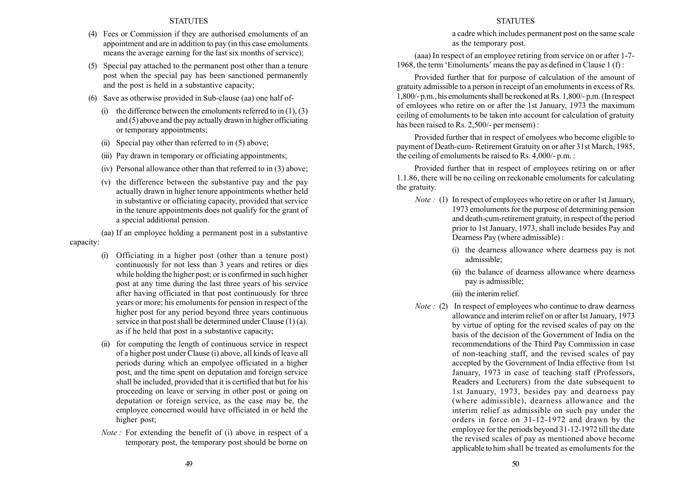- (4) Fees or Commission if they are authorised emoluments of an appointment and are in addition to pay (in this case emoluments means the average earning for the last six months of service);
- (5) Special pay attached to the permanent post other than a tenure post when the special pay has been sanctioned permanently and the post is held in a substantive capacity;
- (6) Save as otherwise provided in Sub-clause (aa) one half of-
	- (i) the difference between the emoluments referred to in  $(1)$ ,  $(3)$ and (5) above and the pay actually drawn in higher officiating or temporary appointments;
	- (ii) Special pay other than referred to in (5) above;
	- (iii) Pay drawn in temporary or officiating appointments;
	- (iv) Personal allowance other than that referred to in (3) above;
	- (v) the difference between the substantive pay and the pay actually drawn in higher tenure appointments whether held in substantive or officiating capacity, provided that service in the tenure appointments does not qualify for the grant of a special additional pension.

(aa) If an employee holding a permanent post in a substantive

## capacity:

- (i) Officiating in a higher post (other than a tenure post) continuously for not less than 3 years and retires or dies while holding the higher post; or is confirmed in such higher post at any time during the last three years of his service after having officiated in that post continuously for three years or more; his emoluments for pension in respect of the higher post for any period beyond three years continuous service in that post shall be determined under Clause (1) (a). as if he held that post in a substantive capacity;
- (ii) for computing the length of continuous service in respect of a higher post under Clause (i) above, all kinds of leave all periods during which an empolyee officiated in a higher post, and the time spent on deputation and foreign service shall be included, provided that it is certified that but for his proceeding on leave or serving in other post or going on deputation or foreign service, as the case may be, the employee concerned would have officiated in or held the higher post;
- Note : For extending the benefit of (i) above in respect of a temporary post, the temporary post should be borne on

## **STATUTES**

a cadre which includes permanent post on the same scale as the temporary post.

(aaa) In respect of an employee retiring from service on or after 1-7- 1968, the term 'Emoluments' means the pay as defined in Clause  $1(f)$ :

Provided further that for purpose of calculation of the amount of gratuity admissible to a person in receipt of an emoluments in excess of Rs. 1,800/- p.m., his emoluments shall be reckoned at Rs. 1,800/- p.m. (In respect of emloyees who retire on or after the 1st January, 1973 the maximum ceiling of emoluments to be taken into account for calculation of gratuity has been raised to Rs. 2,500/- per mensem):

Provided further that in respect of emolyees who become eligible to payment of Death-cum- Retirement Gratuity on or after 31st March, 1985, the ceiling of emoluments be raised to Rs. 4,000/- p.m. :

Provided further that in respect of employees retiring on or after 1.1.86, there will be no ceiling on reckonable emoluments for calculating the gratuity.

- Note : (1) In respect of employees who retire on or after 1st January, 1973 emoluments for the purpose of determining pension and death-cum-retirement gratuity, in respect of the period prior to 1st January, 1973, shall include besides Pay and Dearness Pay (where admissible) :
	- (i) the dearness allowance where dearness pay is not admissible;
	- (ii) the balance of dearness allowance where dearness pay is admissible;
	- (iii) the interim relief.
- Note : (2) In respect of employees who continue to draw dearness allowance and interim relief on or after Ist January, 1973 by virtue of opting for the revised scales of pay on the basis of the decision of the Government of India on the recommendations of the Third Pay Commission in case of non-teaching staff, and the revised scales of pay accepted by the Government of India effective from 1st January, 1973 in case of teaching staff (Professors, Readers and Lecturers) from the date subsequent to 1st January, 1973, besides pay and dearness pay (where admissible), dearness allowance and the interim relief as admissible on such pay under the orders in force on 31-12-1972 and drawn by the employee for the periods beyond 31-12-1972 till the date the revised scales of pay as mentioned above become applicable to him shall be treated as emoluments for the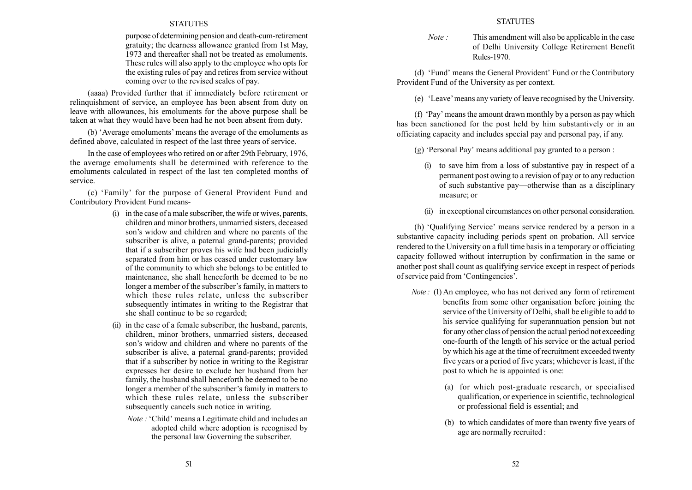purpose of determining pension and death-cum-retirement gratuity; the dearness allowance granted from 1st May, 1973 and thereafter shall not be treated as emoluments. These rules will also apply to the employee who opts for the existing rules of pay and retires from service without coming over to the revised scales of pay.

(aaaa) Provided further that if immediately before retirement or relinquishment of service, an employee has been absent from duty on leave with allowances, his emoluments for the above purpose shall be taken at what they would have been had he not been absent from duty.

(b) 'Average emoluments' means the average of the emoluments as defined above, calculated in respect of the last three years of service.

In the case of employees who retired on or after 29th February, 1976, the average emoluments shall be determined with reference to the emoluments calculated in respect of the last ten completed months of service.

(c) ëFamilyí for the purpose of General Provident Fund and Contributory Provident Fund means-

- (i) in the case of a male subscriber, the wife or wives, parents, children and minor brothers, unmarried sisters, deceased son's widow and children and where no parents of the subscriber is alive, a paternal grand-parents; provided that if a subscriber proves his wife had been judicially separated from him or has ceased under customary law of the community to which she belongs to be entitled to maintenance, she shall henceforth be deemed to be no longer a member of the subscriber's family, in matters to which these rules relate, unless the subscriber subsequently intimates in writing to the Registrar that she shall continue to be so regarded;
- (ii) in the case of a female subscriber, the husband, parents, children, minor brothers, unmarried sisters, deceased son's widow and children and where no parents of the subscriber is alive, a paternal grand-parents; provided that if a subscriber by notice in writing to the Registrar expresses her desire to exclude her husband from her family, the husband shall henceforth be deemed to be no longer a member of the subscriber's family in matters to which these rules relate, unless the subscriber subsequently cancels such notice in writing.
	- Note : 'Child' means a Legitimate child and includes an adopted child where adoption is recognised by the personal law Governing the subscriber.

Note : This amendment will also be applicable in the case of Delhi University College Retirement Benefit Rules-1970.

(d) 'Fund' means the General Provident' Fund or the Contributory Provident Fund of the University as per context.

(e) ëLeaveímeans any variety of leave recognised by the University.

(f)  $Pay'$  means the amount drawn monthly by a person as pay which has been sanctioned for the post held by him substantively or in an officiating capacity and includes special pay and personal pay, if any.

 $(g)$  'Personal Pay' means additional pay granted to a person :

- (i) to save him from a loss of substantive pay in respect of a permanent post owing to a revision of pay or to any reduction of such substantive pay—otherwise than as a disciplinary measure; or
- (ii) in exceptional circumstances on other personal consideration.

(h) 'Qualifying Service' means service rendered by a person in a substantive capacity including periods spent on probation. All service rendered to the University on a full time basis in a temporary or officiating capacity followed without interruption by confirmation in the same or another post shall count as qualifying service except in respect of periods of service paid from 'Contingencies'.

- Note : (1) An employee, who has not derived any form of retirement benefits from some other organisation before joining the service of the University of Delhi, shall be eligible to add to his service qualifying for superannuation pension but not for any other class of pension the actual period not exceeding one-fourth of the length of his service or the actual period by which his age at the time of recruitment exceeded twenty five years or a period of five years; whichever is least, if the post to which he is appointed is one:
	- (a) for which post-graduate research, or specialised qualification, or experience in scientific, technological or professional field is essential; and
	- (b) to which candidates of more than twenty five years of age are normally recruited :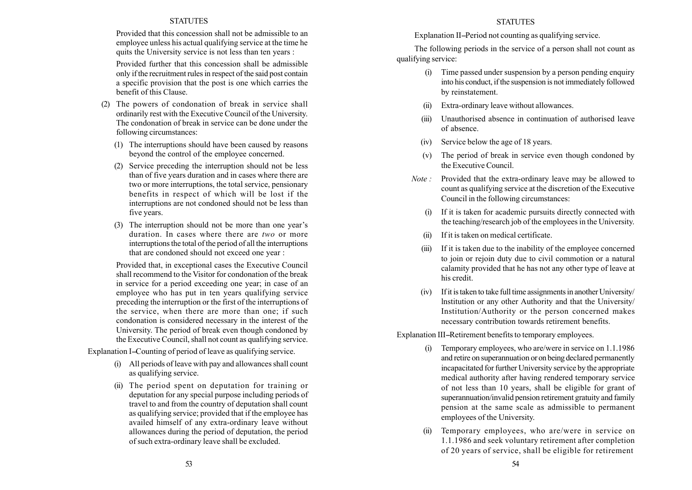Provided that this concession shall not be admissible to an employee unless his actual qualifying service at the time he quits the University service is not less than ten years :

Provided further that this concession shall be admissible only if the recruitment rules in respect of the said post contain a specific provision that the post is one which carries the benefit of this Clause.

- (2) The powers of condonation of break in service shall ordinarily rest with the Executive Council of the University. The condonation of break in service can be done under the following circumstances:
	- (1) The interruptions should have been caused by reasons beyond the control of the employee concerned.
	- (2) Service preceding the interruption should not be less than of five years duration and in cases where there are two or more interruptions, the total service, pensionary benefits in respect of which will be lost if the interruptions are not condoned should not be less than five years.
	- (3) The interruption should not be more than one year's duration. In cases where there are two or more interruptions the total of the period of all the interruptions that are condoned should not exceed one year :

Provided that, in exceptional cases the Executive Council shall recommend to the Visitor for condonation of the break in service for a period exceeding one year; in case of an employee who has put in ten years qualifying service preceding the interruption or the first of the interruptions of the service, when there are more than one; if such condonation is considered necessary in the interest of the University. The period of break even though condoned by the Executive Council, shall not count as qualifying service.

Explanation I-Counting of period of leave as qualifying service.

- (i) All periods of leave with pay and allowances shall count as qualifying service.
- (ii) The period spent on deputation for training or deputation for any special purpose including periods of travel to and from the country of deputation shall count as qualifying service; provided that if the employee has availed himself of any extra-ordinary leave without allowances during the period of deputation, the period of such extra-ordinary leave shall be excluded.

## **STATUTES**

Explanation II-Period not counting as qualifying service.

The following periods in the service of a person shall not count as qualifying service:

- (i) Time passed under suspension by a person pending enquiry into his conduct, if the suspension is not immediately followed by reinstatement.
- (ii) Extra-ordinary leave without allowances.
- (iii) Unauthorised absence in continuation of authorised leave of absence.
- (iv) Service below the age of 18 years.
- (v) The period of break in service even though condoned by the Executive Council.
- Note : Provided that the extra-ordinary leave may be allowed to count as qualifying service at the discretion of the Executive Council in the following circumstances:
	- If it is taken for academic pursuits directly connected with the teaching/research job of the employees in the University.
	- (ii) If it istaken on medical certificate.
	- (iii) If it is taken due to the inability of the employee concerned to join or rejoin duty due to civil commotion or a natural calamity provided that he has not any other type of leave at his credit.
	- (iv) If it istaken to take full time assignments in another University/ lnstitution or any other Authority and that the University/ Institution/Authority or the person concerned makes necessary contribution towards retirement benefits.

Explanation III-Retirement benefits to temporary employees.

- (i) Temporary employees, who are/were in service on 1.1.1986 and retire on superannuation or on being declared permanently incapacitated for further University service by the appropriate medical authority after having rendered temporary service of not less than 10 years, shall be eligible for grant of superannuation/invalid pension retirement gratuity and family pension at the same scale as admissible to permanent employees of the University.
- (ii) Temporary employees, who are/were in service on 1.1.1986 and seek voluntary retirement after completion of 20 years of service, shall be eligible for retirement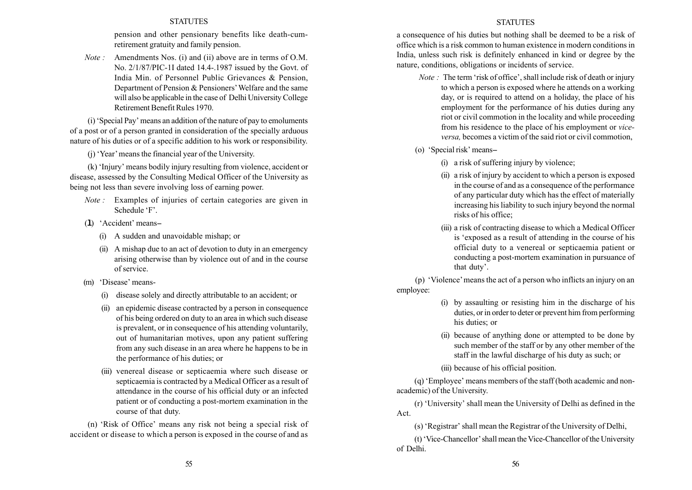pension and other pensionary benefits like death-cumretirement gratuity and family pension.

Note : Amendments Nos. (i) and (ii) above are in terms of O.M. No. 2/1/87/PIC-1I dated 14.4-.1987 issued by the Govt. of India Min. of Personnel Public Grievances & Pension, Department of Pension & Pensioners' Welfare and the same will also be applicable in the case of Delhi University College Retirement Benefit Rules 1970.

(i) ëSpecial Payí means an addition of the nature of pay to emoluments of a post or of a person granted in consideration of the specially arduous nature of his duties or of a specific addition to his work or responsibility.

 $(i)$  'Year' means the financial year of the University.

(k) 'Injury' means bodily injury resulting from violence, accident or disease, assessed by the Consulting Medical Officer of the University as being not less than severe involving loss of earning power.

- Note : Examples of injuries of certain categories are given in Schedule 'F'.
- (1) 'Accident' means-
	- (i) A sudden and unavoidable mishap; or
	- (ii) A mishap due to an act of devotion to duty in an emergency arising otherwise than by violence out of and in the course of service.
- (m) 'Disease' means-
	- (i) disease solely and directly attributable to an accident; or
	- (ii) an epidemic disease contracted by a person in consequence of his being ordered on duty to an area in which such disease is prevalent, or in consequence of his attending voluntarily, out of humanitarian motives, upon any patient suffering from any such disease in an area where he happens to be in the performance of his duties; or
	- (iii) venereal disease or septicaemia where such disease or septicaemia is contracted by a Medical Officer as a result of attendance in the course of his official duty or an infected patient or of conducting a post-mortem examination in the course of that duty.

(n) ëRisk of Officeí means any risk not being a special risk of accident or disease to which a person is exposed in the course of and as

## **STATUTES**

a consequence of his duties but nothing shall be deemed to be a risk of office which is a risk common to human existence in modern conditions in India, unless such risk is definitely enhanced in kind or degree by the nature, conditions, obligations or incidents of service.

- *Note*: The term 'risk of office', shall include risk of death or injury to which a person is exposed where he attends on a working day, or is required to attend on a holiday, the place of his employment for the performance of his duties during any riot or civil commotion in the locality and while proceeding from his residence to the place of his employment or viceversa, becomes a victim of the said riot or civil commotion,
- $(o)$  'Special risk' means--
	- (i) a risk of suffering injury by violence;
	- (ii) a risk of injury by accident to which a person is exposed in the course of and as a consequence of the performance of any particular duty which has the effect of materially increasing his liability to such injury beyond the normal risks of his office;
	- (iii) a risk of contracting disease to which a Medical Officer is ëexposed as a result of attending in the course of his official duty to a venereal or septicaemia patient or conducting a post-mortem examination in pursuance of that duty'.

(p)  $\dot{\text{v}}$  Violence' means the act of a person who inflicts an injury on an employee:

- (i) by assaulting or resisting him in the discharge of his duties, or in order to deter or prevent him from performing his duties; or
- (ii) because of anything done or attempted to be done by such member of the staff or by any other member of the staff in the lawful discharge of his duty as such; or

(iii) because of his official position.

(q) ëEmployeeí means members of the staff (both academic and nonacademic) of the University.

(r) ëUniversityí shall mean the University of Delhi as defined in the Act.

(s) 'Registrar' shall mean the Registrar of the University of Delhi,

(t) 'Vice-Chancellor' shall mean the Vice-Chancellor of the University of Delhi.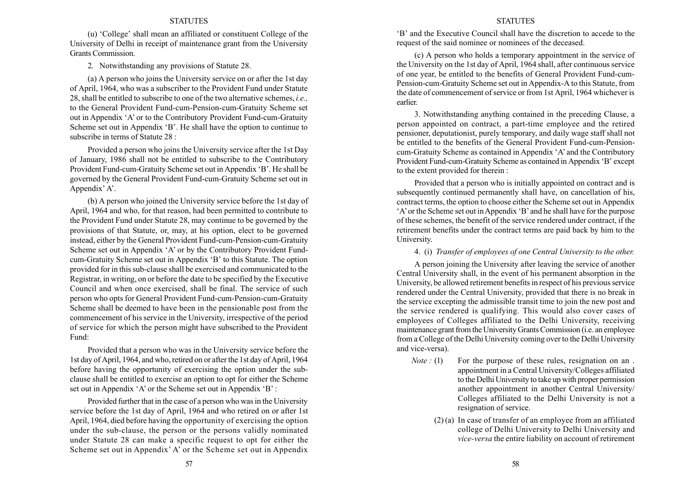(u) 'College' shall mean an affiliated or constituent College of the University of Delhi in receipt of maintenance grant from the University Grants Commission.

2. Notwithstanding any provisions of Statute 28.

(a) A person who joins the University service on or after the 1st day of April, 1964, who was a subscriber to the Provident Fund under Statute 28, shall be entitled to subscribe to one of the two alternative schemes, *i.e.*, to the General Provident Fund-cum-Pension-cum-Gratuity Scheme set out in Appendix ëAí or to the Contributory Provident Fund-cum-Gratuity Scheme set out in Appendix 'B'. He shall have the option to continue to subscribe in terms of Statute 28 :

Provided a person who joins the University service after the 1st Day of January, 1986 shall not be entitled to subscribe to the Contributory Provident Fund-cum-Gratuity Scheme set out in Appendix 'B'. He shall be governed by the General Provident Fund-cum-Gratuity Scheme set out in Appendix' A'.

(b) A person who joined the University service before the 1st day of April, 1964 and who, for that reason, had been permitted to contribute to the Provident Fund under Statute 28, may continue to be governed by the provisions of that Statute, or, may, at his option, elect to be governed instead, either by the General Provident Fund-cum-Pension-cum-Gratuity Scheme set out in Appendix 'A' or by the Contributory Provident Fundcum-Gratuity Scheme set out in Appendix 'B' to this Statute. The option provided for in this sub-clause shall be exercised and communicated to the Registrar, in writing, on or before the date to be specified by the Executive Council and when once exercised, shall be final. The service of such person who opts for General Provident Fund-cum-Pension-cum-Gratuity Scheme shall be deemed to have been in the pensionable post from the commencement of his service in the University, irrespective of the period of service for which the person might have subscribed to the Provident Fund:

Provided that a person who was in the University service before the 1st day of April, 1964, and who, retired on or after the 1st day of April, 1964 before having the opportunity of exercising the option under the subclause shall be entitled to exercise an option to opt for either the Scheme set out in Appendix  $A'$  or the Scheme set out in Appendix  $B'$ :

Provided further that in the case of a person who was in the University service before the 1st day of April, 1964 and who retired on or after 1st April, 1964, died before having the opportunity of exercising the option under the sub-clause, the person or the persons validly nominated under Statute 28 can make a specific request to opt for either the Scheme set out in Appendix<sup>'</sup> A' or the Scheme set out in Appendix

#### STATUTES

ëBí and the Executive Council shall have the discretion to accede to the request of the said nominee or nominees of the deceased.

(c) A person who holds a temporary appointment in the service of the University on the 1st day of April, 1964 shall, after continuous service of one year, be entitled to the benefits of General Provident Fund-cum-Pension-cum-Gratuity Scheme set out in Appendix-A to this Statute, from the date of commencement of service or from 1st April, 1964 whichever is earlier.

3. Notwithstanding anything contained in the preceding Clause, a person appointed on contract, a part-time employee and the retired pensioner, deputationist, purely temporary, and daily wage staff shall not be entitled to the benefits of the General Provident Fund-cum-Pensioncum-Gratuity Scheme as contained in Appendix 'A' and the Contributory Provident Fund-cum-Gratuity Scheme as contained in Appendix 'B' except to the extent provided for therein :

Provided that a person who is initially appointed on contract and is subsequently continued permanently shall have, on cancellation of his, contract terms, the option to choose either the Scheme set out in Appendix  $A'$  or the Scheme set out in Appendix  $B'$  and he shall have for the purpose of these schemes, the benefit of the service rendered under contract, if the retirement benefits under the contract terms are paid back by him to the University.

4. (i) Transfer of employees of one Central University to the other.

A person joining the University after leaving the service of another Central University shall, in the event of his permanent absorption in the University, be allowed retirement benefits in respect of his previous service rendered under the Central University, provided that there is no break in the service excepting the admissible transit time to join the new post and the service rendered is qualifying. This would also cover cases of employees of Colleges affiliated to the Delhi University, receiving maintenance grant from the University Grants Commission (i.e. an employee from a College of the Delhi University coming over to the Delhi University and vice-versa).

- Note : (1) For the purpose of these rules, resignation on an. appointment in a Central University/Colleges affiliated to the Delhi University to take up with proper permission another appointment in another Central University/ Colleges affiliated to the Delhi University is not a resignation of service.
	- (2) (a) In case of transfer of an employee from an affiliated college of Delhi University to Delhi University and vice-versa the entire liability on account of retirement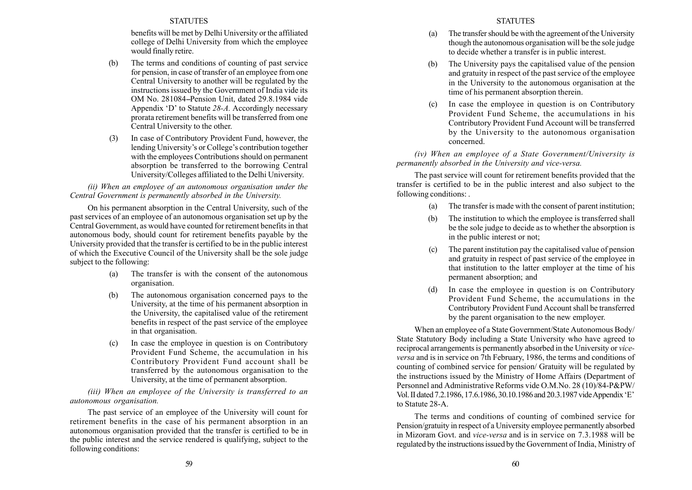benefits will be met by Delhi University or the affiliated college of Delhi University from which the employee would finally retire.

- (b) The terms and conditions of counting of past service for pension, in case of transfer of an employee from one Central University to another will be regulated by the instructions issued by the Government of India vide its OM No. 281084-Pension Unit, dated 29.8.1984 vide Appendix  $D'$  to Statute 28-A. Accordingly necessary prorata retirement benefits will be transferred from one Central University to the other.
- (3) In case of Contributory Provident Fund, however, the lending University's or College's contribution together with the employees Contributions should on permanent absorption be transferred to the borrowing Central University/Colleges affiliated to the Delhi University.

(ii) When an employee of an autonomous organisation under the Central Government is permanently absorbed in the University.

On his permanent absorption in the Central University, such of the past services of an employee of an autonomous organisation set up by the Central Government, as would have counted for retirement benefits in that autonomous body, should count for retirement benefits payable by the University provided that the transfer is certified to be in the public interest of which the Executive Council of the University shall be the sole judge subject to the following:

- (a) The transfer is with the consent of the autonomous organisation.
- (b) The autonomous organisation concerned pays to the University, at the time of his permanent absorption in the University, the capitalised value of the retirement benefits in respect of the past service of the employee in that organisation.
- (c) In case the employee in question is on Contributory Provident Fund Scheme, the accumulation in his Contributory Provident Fund account shall be transferred by the autonomous organisation to the University, at the time of permanent absorption.

(iii) When an employee of the University is transferred to an autonomous organisation.

The past service of an employee of the University will count for retirement benefits in the case of his permanent absorption in an autonomous organisation provided that the transfer is certified to be in the public interest and the service rendered is qualifying, subject to the following conditions:

- (a) The transfer should be with the agreement of the University though the autonomous organisation will be the sole judge to decide whether a transfer is in public interest.
- (b) The University pays the capitalised value of the pension and gratuity in respect of the past service of the employee in the University to the autonomous organisation at the time of his permanent absorption therein.
- (c) In case the employee in question is on Contributory Provident Fund Scheme, the accumulations in his Contributory Provident Fund Account will be transferred by the University to the autonomous organisation concerned.

(iv) When an employee of a State Government/University is permanently absorbed in the University and vice-versa.

The past service will count for retirement benefits provided that the transfer is certified to be in the public interest and also subject to the following conditions: .

- (a) The transfer is made with the consent of parent institution;
- (b) The institution to which the employee is transferred shall be the sole judge to decide as to whether the absorption is in the public interest or not;
- (c) The parent institution pay the capitalised value of pension and gratuity in respect of past service of the employee in that institution to the latter employer at the time of his permanent absorption; and
- (d) In case the employee in question is on Contributory Provident Fund Scheme, the accumulations in the Contributory Provident Fund Account shall be transferred by the parent organisation to the new employer.

When an employee of a State Government/State Autonomous Body/ State Statutory Body including a State University who have agreed to reciprocal arrangements is permanently absorbed in the University or viceversa and is in service on 7th February, 1986, the terms and conditions of counting of combined service for pension/ Gratuity will be regulated by the instructions issued by the Ministry of Home Affairs (Department of Personnel and Administrative Reforms vide O.M.No. 28 (10)/84-P&PW/ Vol. II dated 7.2.1986, 17.6.1986, 30.10.1986 and 20.3.1987 vide Appendix 'E' to Statute 28-A.

The terms and conditions of counting of combined service for Pension/gratuity in respect of a University employee permanently absorbed in Mizoram Govt. and vice-versa and is in service on 7.3.1988 will be regulated by the instructions issued by the Government of India, Ministry of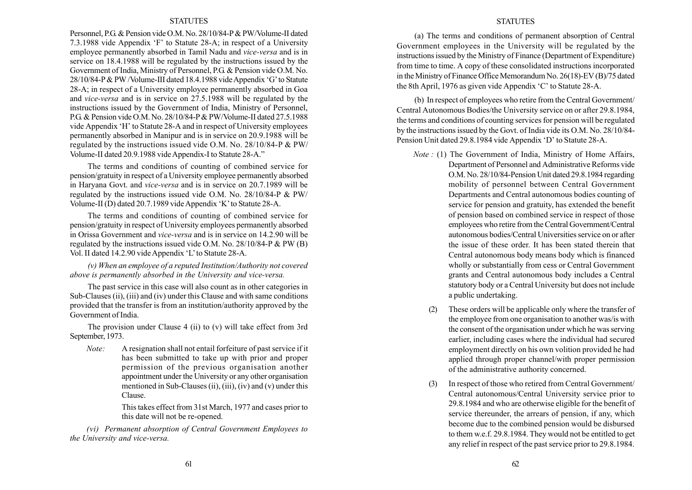Personnel, P.G. & Pension vide O.M. No. 28/10/84-P& PW/Volume-II dated 7.3.1988 vide Appendix 'F' to Statute 28-A; in respect of a University employee permanently absorbed in Tamil Nadu and vice-versa and is in service on 18.4.1988 will be regulated by the instructions issued by the Government of India, Ministry of Personnel, P.G. & Pension vide O.M. No.  $28/10/84$ -P & PW /Volume-III dated 18.4.1988 vide Appendix 'G' to Statute 28-A; in respect of a University employee permanently absorbed in Goa and vice-versa and is in service on 27.5.1988 will be regulated by the instructions issued by the Government of India, Ministry of Personnel, P.G. & Pension vide O.M. No. 28/10/84-P& PW/Volume-II dated 27.5.1988 vide Appendix 'H' to Statute 28-A and in respect of University employees permanently absorbed in Manipur and is in service on 20.9.1988 will be regulated by the instructions issued vide O.M. No. 28/10/84-P & PW/ Volume-II dated 20.9.1988 vide Appendix-I to Statute 28-A.<sup>37</sup>

The terms and conditions of counting of combined service for pension/gratuity in respect of a University employee permanently absorbed in Haryana Govt. and vice-versa and is in service on 20.7.1989 will be regulated by the instructions issued vide O.M. No. 28/10/84-P & PW/ Volume-II (D) dated 20.7.1989 vide Appendix 'K' to Statute 28-A.

The terms and conditions of counting of combined service for pension/gratuity in respect of University employees permanently absorbed in Orissa Government and vice-versa and is in service on 14.2.90 will be regulated by the instructions issued vide O.M. No. 28/10/84-P & PW (B) Vol. II dated 14.2.90 vide Appendix 'L' to Statute 28-A.

(v) When an employee of a reputed Institution/Authority not covered above is permanently absorbed in the University and vice-versa.

The past service in this case will also count as in other categories in Sub-Clauses (ii), (iii) and (iv) under this Clause and with same conditions provided that the transfer is from an institution/authority approved by the Government of India.

The provision under Clause 4 (ii) to (v) will take effect from 3rd September, 1973.

Note: A resignation shall not entail forfeiture of past service if it has been submitted to take up with prior and proper permission of the previous organisation another appointment under the University or any other organisation mentioned in Sub-Clauses (ii), (iii), (iv) and (v) under this Clause.

> This takes effect from 31st March, 1977 and cases prior to this date will not be re-opened.

(vi) Permanent absorption of Central Government Employees to the University and vice-versa.

#### STATUTES

(a) The terms and conditions of permanent absorption of Central Government employees in the University will be regulated by the instructions issued by the Ministry of Finance (Department of Expenditure) from time to time. A copy of these consolidated instructions incorporated in the Ministry of Finance Office Memorandum No. 26(18)-EV (B)/75 dated the 8th April, 1976 as given vide Appendix  $\degree$  to Statute 28-A.

(b) In respect of employees who retire from the Central Government/ Central Autonomous Bodies/the University service on or after 29.8.1984, the terms and conditions of counting services for pension will be regulated by the instructions issued by the Govt. of India vide its O.M. No. 28/10/84- Pension Unit dated 29.8.1984 vide Appendix 'D' to Statute 28-A.

- Note : (1) The Government of India, Ministry of Home Affairs, Department of Personnel and Administrative Reforms vide O.M. No. 28/10/84-Pension Unit dated 29.8.1984 regarding mobility of personnel between Central Government Departments and Central autonomous bodies counting of service for pension and gratuity, has extended the benefit of pension based on combined service in respect of those employees who retire from the Central Government/Central autonomous bodies/Central Universities service on or after the issue of these order. It has been stated therein that Central autonomous body means body which is financed wholly or substantially from cess or Central Government grants and Central autonomous body includes a Central statutory body or a Central University but does not include a public undertaking.
	- (2) These orders will be applicable only where the transfer of the employee from one organisation to another was/is with the consent of the organisation under which he was serving earlier, including cases where the individual had secured employment directly on his own volition provided he had applied through proper channel/with proper permission of the administrative authority concerned.
	- (3) In respect of those who retired from Central Government/ Central autonomous/Central University service prior to 29.8.1984 and who are otherwise eligible for the benefit of service thereunder, the arrears of pension, if any, which become due to the combined pension would be disbursed to them w.e.f. 29.8.1984. They would not be entitled to get any relief in respect of the past service prior to 29.8.1984.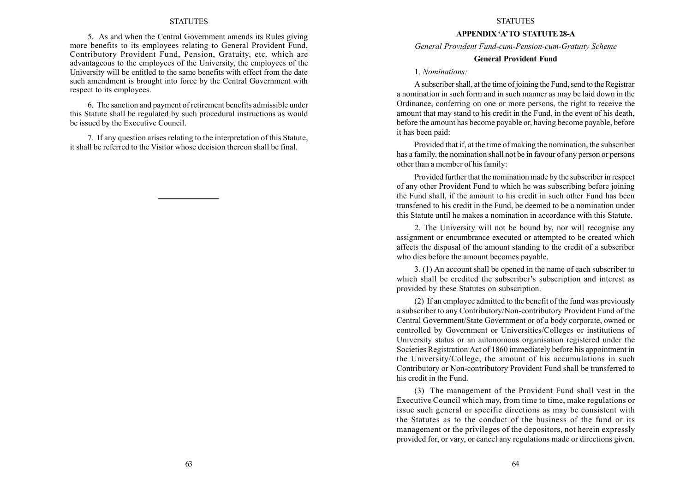5. As and when the Central Government amends its Rules giving more benefits to its employees relating to General Provident Fund, Contributory Provident Fund, Pension, Gratuity, etc. which are advantageous to the employees of the University, the employees of the University will be entitled to the same benefits with effect from the date such amendment is brought into force by the Central Government with respect to its employees.

6. The sanction and payment of retirement benefits admissible under this Statute shall be regulated by such procedural instructions as would be issued by the Executive Council.

7. If any question arises relating to the interpretation of this Statute, it shall be referred to the Visitor whose decision thereon shall be final.

#### **STATUTES**

#### APPENDIX 'A'TO STATUTE 28-A

General Provident Fund-cum-Pension-cum-Gratuity Scheme

## General Provident Fund

1. Nominations:

A subscriber shall, at the time of joining the Fund, send to the Registrar a nomination in such form and in such manner as may be laid down in the Ordinance, conferring on one or more persons, the right to receive the amount that may stand to his credit in the Fund, in the event of his death, before the amount has become payable or, having become payable, before it has been paid:

Provided that if, at the time of making the nomination, the subscriber has a family, the nomination shall not be in favour of any person or persons other than a member of his family:

Provided further that the nomination made by the subscriber in respect of any other Provident Fund to which he was subscribing before joining the Fund shall, if the amount to his credit in such other Fund has been transfened to his credit in the Fund, be deemed to be a nomination under this Statute until he makes a nomination in accordance with this Statute.

2. The University will not be bound by, nor will recognise any assignment or encumbrance executed or attempted to be created which affects the disposal of the amount standing to the credit of a subscriber who dies before the amount becomes payable.

3. (1) An account shall be opened in the name of each subscriber to which shall be credited the subscriber's subscription and interest as provided by these Statutes on subscription.

(2) If an employee admitted to the benefit of the fund was previously a subscriber to any Contributory/Non-contributory Provident Fund of the Central Government/State Government or of a body corporate, owned or controlled by Government or Universities/Colleges or institutions of University status or an autonomous organisation registered under the Societies Registration Act of 1860 immediately before his appointment in the University/College, the amount of his accumulations in such Contributory or Non-contributory Provident Fund shall be transferred to his credit in the Fund.

(3) The management of the Provident Fund shall vest in the Executive Council which may, from time to time, make regulations or issue such general or specific directions as may be consistent with the Statutes as to the conduct of the business of the fund or its management or the privileges of the depositors, not herein expressly provided for, or vary, or cancel any regulations made or directions given.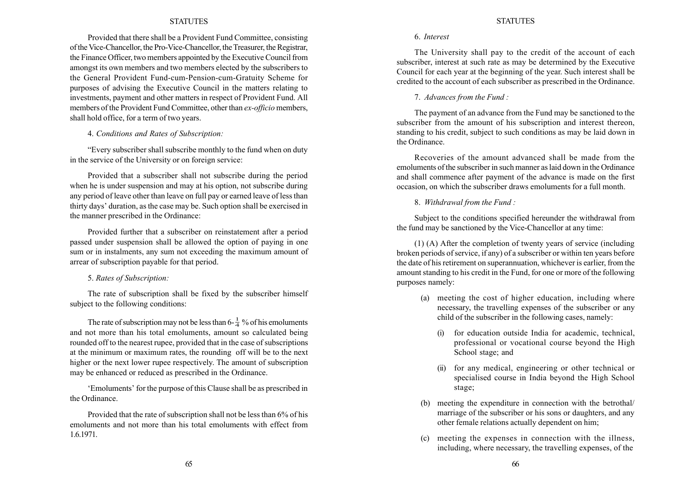Provided that there shall be a Provident Fund Committee, consisting of the Vice-Chancellor, the Pro-Vice-Chancellor, the Treasurer, the Registrar, the Finance Officer, two members appointed by the Executive Council from amongst its own members and two members elected by the subscribers to the General Provident Fund-cum-Pension-cum-Gratuity Scheme for purposes of advising the Executive Council in the matters relating to investments, payment and other matters in respect of Provident Fund. All members of the Provident Fund Committee, other than ex-officio members, shall hold office, for a term of two years.

## 4. Conditions and Rates of Subscription:

ìEvery subscriber shall subscribe monthly to the fund when on duty in the service of the University or on foreign service:

Provided that a subscriber shall not subscribe during the period when he is under suspension and may at his option, not subscribe during any period of leave other than leave on full pay or earned leave of less than thirty days' duration, as the case may be. Such option shall be exercised in the manner prescribed in the Ordinance:

Provided further that a subscriber on reinstatement after a period passed under suspension shall be allowed the option of paying in one sum or in instalments, any sum not exceeding the maximum amount of arrear of subscription payable for that period.

5. Rates of Subscription:

The rate of subscription shall be fixed by the subscriber himself subject to the following conditions:

The rate of subscription may not be less than  $6-\frac{1}{4}$  % of his emoluments and not more than his total emoluments, amount so calculated being rounded off to the nearest rupee, provided that in the case of subscriptions at the minimum or maximum rates, the rounding off will be to the next higher or the next lower rupee respectively. The amount of subscription may be enhanced or reduced as prescribed in the Ordinance.

ëEmolumentsí for the purpose of this Clause shall be as prescribed in the Ordinance.

Provided that the rate of subscription shall not be less than 6% of his emoluments and not more than his total emoluments with effect from 1.6.1971.

#### **STATUTES**

#### 6. Interest

The University shall pay to the credit of the account of each subscriber, interest at such rate as may be determined by the Executive Council for each year at the beginning of the year. Such interest shall be credited to the account of each subscriber as prescribed in the Ordinance.

7. Advances from the Fund :

The payment of an advance from the Fund may be sanctioned to the subscriber from the amount of his subscription and interest thereon, standing to his credit, subject to such conditions as may be laid down in the Ordinance.

Recoveries of the amount advanced shall be made from the emoluments of the subscriber in such manner as laid down in the Ordinance and shall commence after payment of the advance is made on the first occasion, on which the subscriber draws emoluments for a full month.

8. Withdrawal from the Fund :

Subject to the conditions specified hereunder the withdrawal from the fund may be sanctioned by the Vice-Chancellor at any time:

(1) (A) After the completion of twenty years of service (including broken periods of service, if any) of a subscriber or within ten years before the date of his retirement on superannuation, whichever is earlier, from the amount standing to his credit in the Fund, for one or more of the following purposes namely:

- (a) meeting the cost of higher education, including where necessary, the travelling expenses of the subscriber or any child of the subscriber in the following cases, namely:
	- for education outside India for academic, technical, professional or vocational course beyond the High School stage; and
	- (ii) for any medical, engineering or other technical or specialised course in India beyond the High School stage;
- (b) meeting the expenditure in connection with the betrothal/ marriage of the subscriber or his sons or daughters, and any other female relations actually dependent on him;
- (c) meeting the expenses in connection with the illness, including, where necessary, the travelling expenses, of the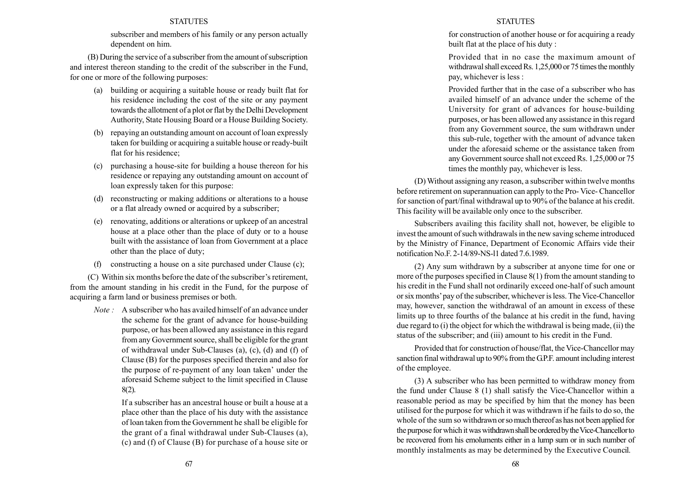subscriber and members of his family or any person actually dependent on him.

(B) During the service of a subscriber from the amount of subscription and interest thereon standing to the credit of the subscriber in the Fund, for one or more of the following purposes:

- (a) building or acquiring a suitable house or ready built flat for his residence including the cost of the site or any payment towards the allotment of a plot or flat by the Delhi Development Authority, State Housing Board or a House Building Society.
- (b) repaying an outstanding amount on account of loan expressly taken for building or acquiring a suitable house or ready-built flat for his residence;
- (c) purchasing a house-site for building a house thereon for his residence or repaying any outstanding amount on account of loan expressly taken for this purpose:
- (d) reconstructing or making additions or alterations to a house or a flat already owned or acquired by a subscriber;
- (e) renovating, additions or alterations or upkeep of an ancestral house at a place other than the place of duty or to a house built with the assistance of loan from Government at a place other than the place of duty;
- (f) constructing a house on a site purchased under Clause (c);

(C) Within six months before the date of the subscriber's retirement, from the amount standing in his credit in the Fund, for the purpose of acquiring a farm land or business premises or both.

Note : A subscriber who has availed himself of an advance under the scheme for the grant of advance for house-building purpose, or has been allowed any assistance in this regard from any Government source, shall be eligible for the grant of withdrawal under Sub-Clauses (a), (c), (d) and (f) of Clause (B) for the purposes specified therein and also for the purpose of re-payment of any loan taken' under the aforesaid Scheme subject to the limit specified in Clause 8(2).

> If a subscriber has an ancestral house or built a house at a place other than the place of his duty with the assistance of loan taken from the Government he shall be eligible for the grant of a final withdrawal under Sub-Clauses (a), (c) and (f) of Clause (B) for purchase of a house site or

## **STATUTES**

for construction of another house or for acquiring a ready built flat at the place of his duty :

Provided that in no case the maximum amount of withdrawal shall exceed Rs. 1,25,000 or 75 times the monthly pay, whichever is less :

Provided further that in the case of a subscriber who has availed himself of an advance under the scheme of the University for grant of advances for house-building purposes, or has been allowed any assistance in this regard from any Government source, the sum withdrawn under this sub-rule, together with the amount of advance taken under the aforesaid scheme or the assistance taken from any Government source shall not exceed Rs. 1,25,000 or 75 times the monthly pay, whichever is less.

(D) Without assigning any reason, a subscriber within twelve months before retirement on superannuation can apply to the Pro- Vice- Chancellor for sanction of part/final withdrawal up to 90% of the balance at his credit. This facility will be available only once to the subscriber.

Subscribers availing this facility shall not, however, be eligible to invest the amount of such withdrawals in the new saving scheme introduced by the Ministry of Finance, Department of Economic Affairs vide their notification No.F. 2-14/89-NS-l1 dated 7.6.1989.

(2) Any sum withdrawn by a subscriber at anyone time for one or more of the purposes specified in Clause 8(1) from the amount standing to his credit in the Fund shall not ordinarily exceed one-half of such amount or six months' pay of the subscriber, whichever is less. The Vice-Chancellor may, however, sanction the withdrawal of an amount in excess of these limits up to three fourths of the balance at his credit in the fund, having due regard to (i) the object for which the withdrawal is being made, (ii) the status of the subscriber; and (iii) amount to his credit in the Fund.

Provided that for construction of house/flat, the Vice-Chancellor may sanction final withdrawal up to 90% from the G.P.F. amount including interest of the employee.

(3) A subscriber who has been permitted to withdraw money from the fund under Clause 8 (1) shall satisfy the Vice-Chancellor within a reasonable period as may be specified by him that the money has been utilised for the purpose for which it was withdrawn if he fails to do so, the whole of the sum so withdrawn or so much thereof as has not been applied for the purpose for which it was withdrawn shall be ordered by the Vice-Chancellor to be recovered from his emoluments either in a lump sum or in such number of monthly instalments as may be determined by the Executive Council.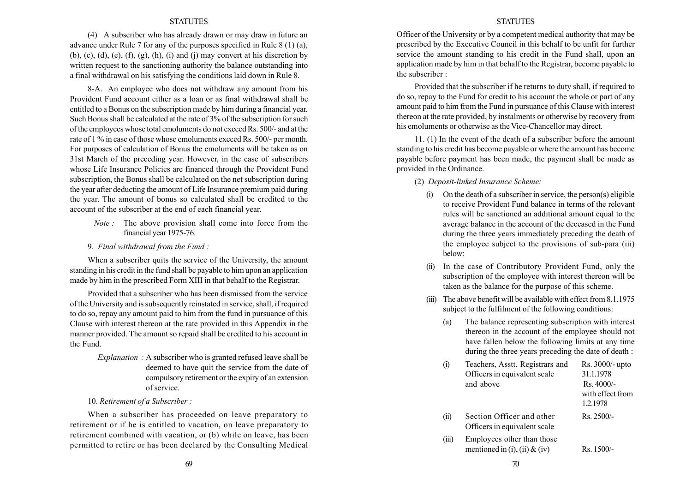(4) A subscriber who has already drawn or may draw in future an advance under Rule 7 for any of the purposes specified in Rule 8 (1) (a), (b), (c), (d), (e), (f), (g), (h), (i) and (j) may convert at his discretion by written request to the sanctioning authority the balance outstanding into a final withdrawal on his satisfying the conditions laid down in Rule 8.

8-A. An employee who does not withdraw any amount from his Provident Fund account either as a loan or as final withdrawal shall be entitled to a Bonus on the subscription made by him during a financial year. Such Bonus shall be calculated at the rate of 3% of the subscription for such of the employees whose total emoluments do not exceed Rs. 500/- and at the rate of 1 % in case of those whose emoluments exceed Rs. 500/- per month. For purposes of calculation of Bonus the emoluments will be taken as on 31st March of the preceding year. However, in the case of subscribers whose Life Insurance Policies are financed through the Provident Fund subscription, the Bonus shall be calculated on the net subscription during the year after deducting the amount of Life Insurance premium paid during the year. The amount of bonus so calculated shall be credited to the account of the subscriber at the end of each financial year.

- Note : The above provision shall come into force from the financial year 1975-76.
- 9. Final withdrawal from the Fund :

When a subscriber quits the service of the University, the amount standing in his credit in the fund shall be payable to him upon an application made by him in the prescribed Form XIII in that behalf to the Registrar.

Provided that a subscriber who has been dismissed from the service of the University and is subsequently reinstated in service, shall, if required to do so, repay any amount paid to him from the fund in pursuance of this Clause with interest thereon at the rate provided in this Appendix in the manner provided. The amount so repaid shall be credited to his account in the Fund.

- Explanation : A subscriber who is granted refused leave shall be deemed to have quit the service from the date of compulsory retirement or the expiry of an extension of service.
- 10. Retirement of a Subscriber :

When a subscriber has proceeded on leave preparatory to retirement or if he is entitled to vacation, on leave preparatory to retirement combined with vacation, or (b) while on leave, has been permitted to retire or has been declared by the Consulting Medical

#### STATUTES

Officer of the University or by a competent medical authority that may be prescribed by the Executive Council in this behalf to be unfit for further service the amount standing to his credit in the Fund shall, upon an application made by him in that behalf to the Registrar, become payable to the subscriber :

Provided that the subscriber if he returns to duty shall, if required to do so, repay to the Fund for credit to his account the whole or part of any amount paid to him from the Fund in pursuance of this Clause with interest thereon at the rate provided, by instalments or otherwise by recovery from his emoluments or otherwise as the Vice-Chancellor may direct.

11. (1) In the event of the death of a subscriber before the amount standing to his credit has become payable or where the amount has become payable before payment has been made, the payment shall be made as provided in the Ordinance.

(2) Deposit-linked Insurance Scheme:

- (i) On the death of a subscriber in service, the person(s) eligible to receive Provident Fund balance in terms of the relevant rules will be sanctioned an additional amount equal to the average balance in the account of the deceased in the Fund during the three years immediately preceding the death of the employee subject to the provisions of sub-para (iii) below:
- (ii) In the case of Contributory Provident Fund, only the subscription of the employee with interest thereon will be taken as the balance for the purpose of this scheme.
- (iii) The above benefit will be available with effect from 8.1.1975 subject to the fulfilment of the following conditions:
	- (a) The balance representing subscription with interest thereon in the account of the employee should not have fallen below the following limits at any time during the three years preceding the date of death :

| $\left(1\right)$ | Teachers, Asstt. Registrars and<br>Officers in equivalent scale<br>and above | Rs. 3000/- upto<br>31.1.1978<br>$Rs.4000/-$<br>with effect from<br>1.2.1978 |
|------------------|------------------------------------------------------------------------------|-----------------------------------------------------------------------------|
| (ii)             | Section Officer and other<br>Officers in equivalent scale                    | $Rs. 2500/-$                                                                |
| (iii)            | Employees other than those<br>mentioned in (i), (ii) $&$ (iv)                | Rs. 1500/-                                                                  |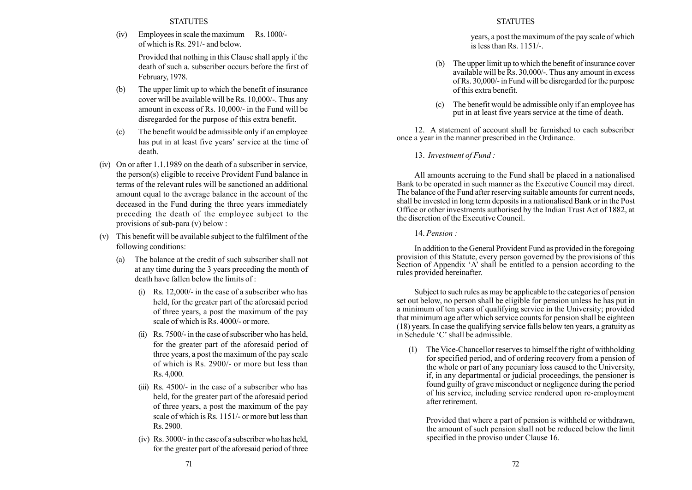(iv) Employees in scale the maximum Rs. 1000/ of which is Rs. 291/- and below.

> Provided that nothing in this Clause shall apply if the death of such a. subscriber occurs before the first of February, 1978.

- (b) The upper limit up to which the benefit of insurance cover will be available will be Rs. 10,000/-. Thus any amount in excess of Rs. 10,000/- in the Fund will be disregarded for the purpose of this extra benefit.
- (c) The benefit would be admissible only if an employee has put in at least five years' service at the time of death.
- (iv) On or after 1.1.1989 on the death of a subscriber in service, the person(s) eligible to receive Provident Fund balance in terms of the relevant rules will be sanctioned an additional amount equal to the average balance in the account of the deceased in the Fund during the three years immediately preceding the death of the employee subject to the provisions of sub-para (v) below :
- (v) This benefit will be available subject to the fulfilment of the following conditions:
	- (a) The balance at the credit of such subscriber shall not at any time during the 3 years preceding the month of death have fallen below the limits of :
		- (i) Rs. 12,000/- in the case of a subscriber who has held, for the greater part of the aforesaid period of three years, a post the maximum of the pay scale of which is Rs. 4000/- or more.
		- (ii) Rs. 7500/- in the case of subscriber who has held, for the greater part of the aforesaid period of three years, a post the maximum of the pay scale of which is Rs. 2900/- or more but less than Rs. 4,000.
		- (iii) Rs. 4500/- in the case of a subscriber who has held, for the greater part of the aforesaid period of three years, a post the maximum of the pay scale of which is Rs. 1151/- or more but less than Rs. 2900.
		- (iv) Rs. 3000/- in the case of a subscriber who has held, for the greater part of the aforesaid period of three

## **STATUTES**

years, a post the maximum of the pay scale of which is less than Rs. 1151/-.

- (b) The upper limit up to which the benefit of insurance cover available will be Rs. 30,000/-. Thus any amount in excess of Rs. 30,000/- in Fund will be disregarded for the purpose of this extra benefit.
- (c) The benefit would be admissible only if an employee has put in at least five years service at the time of death.

12. A statement of account shall be furnished to each subscriber once a year in the manner prescribed in the Ordinance.

13. Investment of Fund :

All amounts accruing to the Fund shall be placed in a nationalised Bank to be operated in such manner as the Executive Council may direct. The balance of the Fund after reserving suitable amounts for current needs, shall be invested in long term deposits in a nationalised Bank or in the Post Office or other investments authorised by the Indian Trust Act of 1882, at the discretion of the Executive Council.

14. Pension :

In addition to the General Provident Fund as provided in the foregoing provision of this Statute, every person governed by the provisions of this Section of Appendix  $A'$  shall be entitled to a pension according to the rules provided hereinafter.

Subject to such rules as may be applicable to the categories of pension set out below, no person shall be eligible for pension unless he has put in a minimum of ten years of qualifying service in the University; provided that minimum age after which service counts for pension shall be eighteen (18) years. In case the qualifying service falls below ten years, a gratuity as in Schedule  $C'$  shall be admissible.

(1) The Vice-Chancellor reserves to himself the right of withholding for specified period, and of ordering recovery from a pension of the whole or part of any pecuniary loss caused to the University, if, in any departmental or judicial proceedings, the pensioner is found guilty of grave misconduct or negligence during the period of his service, including service rendered upon re-employment after retirement.

Provided that where a part of pension is withheld or withdrawn, the amount of such pension shall not be reduced below the limit specified in the proviso under Clause 16.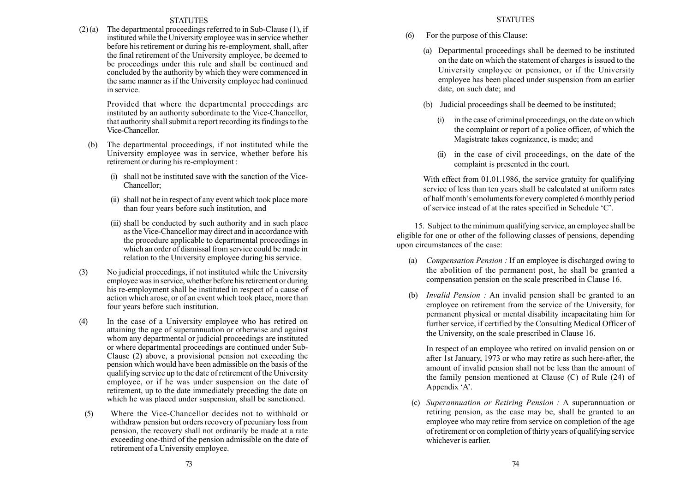(2) (a) The departmental proceedings referred to in Sub-Clause (1), if instituted while the University employee was in service whether before his retirement or during his re-employment, shall, after the final retirement of the University employee, be deemed to be proceedings under this rule and shall be continued and concluded by the authority by which they were commenced in the same manner as if the University employee had continued in service.

> Provided that where the departmental proceedings are instituted by an authority subordinate to the Vice-Chancellor, that authority shall submit a report recording its findings to the Vice-Chancellor.

- (b) The departmental proceedings, if not instituted while the University employee was in service, whether before his retirement or during his re-employment :
	- (i) shall not be instituted save with the sanction of the Vice-Chancellor;
	- (ii) shall not be in respect of any event which took place more than four years before such institution, and
	- (iii) shall be conducted by such authority and in such place as the Vice-Chancellor may direct and in accordance with the procedure applicable to departmental proceedings in which an order of dismissal from service could be made in relation to the University employee during his service.
- (3) No judicial proceedings, if not instituted while the University employee was in service, whether before his retirement or during his re-employment shall be instituted in respect of a cause of action which arose, or of an event which took place, more than four years before such institution.
- (4) In the case of a University employee who has retired on attaining the age of superannuation or otherwise and against whom any departmental or judicial proceedings are instituted or where departmental proceedings are continued under Sub-Clause (2) above, a provisional pension not exceeding the pension which would have been admissible on the basis of the qualifying service up to the date of retirement of the University employee, or if he was under suspension on the date of retirement, up to the date immediately preceding the date on which he was placed under suspension, shall be sanctioned.
- (5) Where the Vice-Chancellor decides not to withhold or withdraw pension but orders recovery of pecuniary loss from pension, the recovery shall not ordinarily be made at a rate exceeding one-third of the pension admissible on the date of retirement of a University employee.
- (6) For the purpose of this Clause:
	- (a) Departmental proceedings shall be deemed to be instituted on the date on which the statement of charges is issued to the University employee or pensioner, or if the University employee has been placed under suspension from an earlier date, on such date; and
	- (b) Judicial proceedings shall be deemed to be instituted;
		- (i) in the case of criminal proceedings, on the date on which the complaint or report of a police officer, of which the Magistrate takes cognizance, is made; and
		- (ii) in the case of civil proceedings, on the date of the complaint is presented in the court.

With effect from 01.01.1986, the service gratuity for qualifying service of less than ten years shall be calculated at uniform rates of half month's emoluments for every completed 6 monthly period of service instead of at the rates specified in Schedule 'C'.

15. Subject to the minimum qualifying service, an employee shall be eligible for one or other of the following classes of pensions, depending upon circumstances of the case:

- (a) Compensation Pension : If an employee is discharged owing to the abolition of the permanent post, he shall be granted a compensation pension on the scale prescribed in Clause 16.
- (b) Invalid Pension : An invalid pension shall be granted to an employee on retirement from the service of the University, for permanent physical or mental disability incapacitating him for further service, if certified by the Consulting Medical Officer of the University, on the scale prescribed in Clause 16.

In respect of an employee who retired on invalid pension on or after 1st January, 1973 or who may retire as such here-after, the amount of invalid pension shall not be less than the amount of the family pension mentioned at Clause (C) of Rule (24) of Appendix 'A'.

(c) Superannuation or Retiring Pension : A superannuation or retiring pension, as the case may be, shall be granted to an employee who may retire from service on completion of the age of retirement or on completion of thirty years of qualifying service whichever is earlier.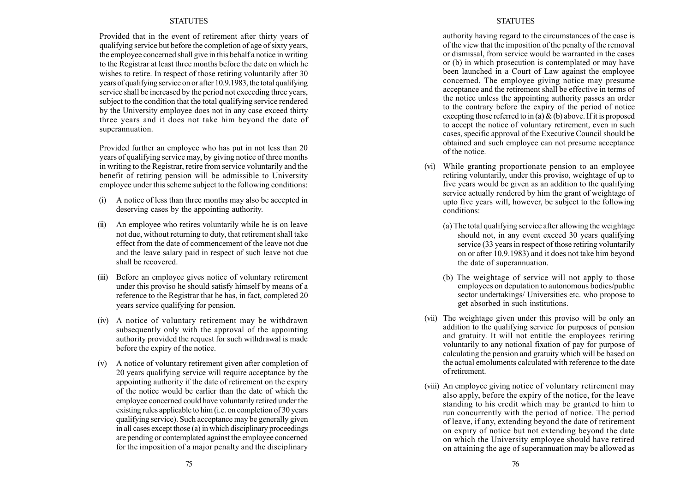Provided that in the event of retirement after thirty years of qualifying service but before the completion of age of sixty years, the employee concerned shall give in this behalf a notice in writing to the Registrar at least three months before the date on which he wishes to retire. In respect of those retiring voluntarily after 30 years of qualifying service on or after 10.9.1983, the total qualifying service shall be increased by the period not exceeding three years, subject to the condition that the total qualifying service rendered by the University employee does not in any case exceed thirty three years and it does not take him beyond the date of superannuation.

Provided further an employee who has put in not less than 20 years of qualifying service may, by giving notice of three months in writing to the Registrar, retire from service voluntarily and the benefit of retiring pension will be admissible to University employee under this scheme subject to the following conditions:

- (i) A notice of less than three months may also be accepted in deserving cases by the appointing authority.
- (ii) An employee who retires voluntarily while he is on leave not due, without returning to duty, that retirement shall take effect from the date of commencement of the leave not due and the leave salary paid in respect of such leave not due shall be recovered.
- (iii) Before an employee gives notice of voluntary retirement under this proviso he should satisfy himself by means of a reference to the Registrar that he has, in fact, completed 20 years service qualifying for pension.
- (iv) A notice of voluntary retirement may be withdrawn subsequently only with the approval of the appointing authority provided the request for such withdrawal is made before the expiry of the notice.
- (v) A notice of voluntary retirement given after completion of 20 years qualifying service will require acceptance by the appointing authority if the date of retirement on the expiry of the notice would be earlier than the date of which the employee concerned could have voluntarily retired under the existing rules applicable to him (i.e. on completion of 30 years qualifying service). Such acceptance may be generally given in all cases except those (a) in which disciplinary proceedings are pending or contemplated against the employee concerned for the imposition of a major penalty and the disciplinary

### **STATUTES**

authority having regard to the circumstances of the case is of the view that the imposition of the penalty of the removal or dismissal, from service would be warranted in the cases or (b) in which prosecution is contemplated or may have been launched in a Court of Law against the employee concerned. The employee giving notice may presume acceptance and the retirement shall be effective in terms of the notice unless the appointing authority passes an order to the contrary before the expiry of the period of notice excepting those referred to in (a)  $\&$  (b) above. If it is proposed to accept the notice of voluntary retirement, even in such cases, specific approval of the Executive Council should be obtained and such employee can not presume acceptance of the notice.

- (vi) While granting proportionate pension to an employee retiring voluntarily, under this proviso, weightage of up to five years would be given as an addition to the qualifying service actually rendered by him the grant of weightage of upto five years will, however, be subject to the following conditions:
	- (a) The total qualifying service after allowing the weightage should not, in any event exceed 30 years qualifying service (33 years in respect of those retiring voluntarily on or after 10.9.1983) and it does not take him beyond the date of superannuation.
	- (b) The weightage of service will not apply to those employees on deputation to autonomous bodies/public sector undertakings/ Universities etc. who propose to get absorbed in such institutions.
- (vii) The weightage given under this proviso will be only an addition to the qualifying service for purposes of pension and gratuity. It will not entitle the employees retiring voluntarily to any notional fixation of pay for purpose of calculating the pension and gratuity which will be based on the actual emoluments calculated with reference to the date of retirement.
- (viii) An employee giving notice of voluntary retirement may also apply, before the expiry of the notice, for the leave standing to his credit which may be granted to him to run concurrently with the period of notice. The period of leave, if any, extending beyond the date of retirement on expiry of notice but not extending beyond the date on which the University employee should have retired on attaining the age of superannuation may be allowed as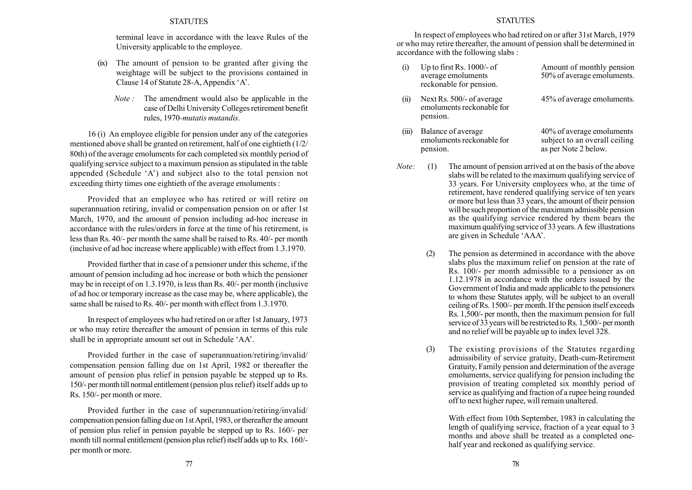terminal leave in accordance with the leave Rules of the University applicable to the employee.

- (ix) The amount of pension to be granted after giving the weightage will be subject to the provisions contained in Clause 14 of Statute 28-A, Appendix 'A'.
	- Note : The amendment would also be applicable in the case of Delhi University Colleges retirement benefit rules, 1970-mutatis mutandis.

16 (i) An employee eligible for pension under any of the categories mentioned above shall be granted on retirement, half of one eightieth (1/2/ 80th) of the average emoluments for each completed six monthly period of qualifying service subject to a maximum pension as stipulated in the table appended (Schedule  $A'$ ) and subject also to the total pension not exceeding thirty times one eightieth of the average emoluments :

Provided that an employee who has retired or will retire on superannuation retiring, invalid or compensation pension on or after 1st March, 1970, and the amount of pension including ad-hoc increase in accordance with the rules/orders in force at the time of his retirement, is less than Rs. 40/- per month the same shall be raised to Rs. 40/- per month (inclusive of ad hoc increase where applicable) with effect from 1.3.1970.

Provided further that in case of a pensioner under this scheme, if the amount of pension including ad hoc increase or both which the pensioner may be in receipt of on 1.3.1970, is less than Rs. 40/- per month (inclusive of ad hoc or temporary increase as the case may be, where applicable), the same shall be raised to Rs. 40/- per month with effect from 1.3.1970.

In respect of employees who had retired on or after 1st January, 1973 or who may retire thereafter the amount of pension in terms of this rule shall be in appropriate amount set out in Schedule 'AA'.

Provided further in the case of superannuation/retiring/invalid/ compensation pension falling due on 1st April, 1982 or thereafter the amount of pension plus relief in pension payable be stepped up to Rs. 150/- per monthtill normal entitlement (pension plus relief) itself adds up to Rs. 150/- per month or more.

Provided further in the case of superannuation/retiring/invalid/ compensation pension falling due on 1st April, 1983, or thereafter the amount of pension plus relief in pension payable be stepped up to Rs. 160/- per month till normal entitlement (pension plus relief) itself adds up to Rs. 160/ per month or more.

#### **STATUTES**

In respect of employees who had retired on or after 31st March, 1979 or who may retire thereafter, the amount of pension shall be determined in accordance with the following slabs :

| (i)        | Up to first Rs. $1000/-$ of<br>average emoluments<br>reckonable for pension. | Amount of monthly pension<br>50% of average emoluments.                            |
|------------|------------------------------------------------------------------------------|------------------------------------------------------------------------------------|
| $\rm (ii)$ | Next Rs. 500/- of average<br>emoluments reckonable for<br>pension.           | 45% of average emoluments.                                                         |
| (iii)      | Balance of average<br>emoluments reckonable for<br>pension.                  | 40% of average emoluments<br>subject to an overall ceiling<br>as per Note 2 below. |

- Note: (1) The amount of pension arrived at on the basis of the above slabs will be related to the maximum qualifying service of 33 years. For University employees who, at the time of retirement, have rendered qualifying service of ten years or more but less than 33 years, the amount of their pension will be such proportion of the maximum admissible pension as the qualifying service rendered by them bears the maximum qualifying service of 33 years. A few illustrations are given in Schedule ëAAAí.
	- (2) The pension as determined in accordance with the above slabs plus the maximum relief on pension at the rate of Rs. 100/- per month admissible to a pensioner as on 1.12.1978 in accordance with the orders issued by the Government of India and made applicable to the pensioners to whom these Statutes apply, will be subject to an overall ceiling of Rs. 1500/- per month. If the pension itself exceeds Rs. 1,500/- per month, then the maximum pension for full service of 33 years will be restricted to Rs. 1,500/- per month and no relief will be payable up to index level 328.
	- (3) The existing provisions of the Statutes regarding admissibility of service gratuity, Death-cum-Retirement Gratuity, Family pension and determination of the average emoluments, service qualifying for pension including the provision of treating completed six monthly period of service as qualifying and fraction of a rupee being rounded off to next higher rupee, will remain unaltered.

With effect from 10th September, 1983 in calculating the length of qualifying service, fraction of a year equal to 3 months and above shall be treated as a completed onehalf year and reckoned as qualifying service.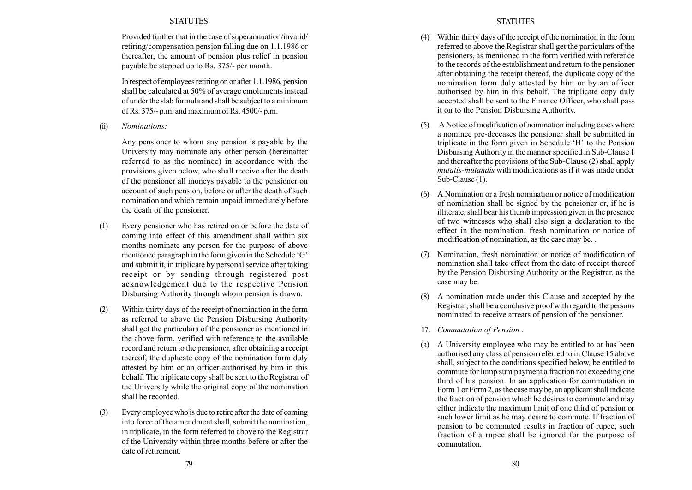Provided further that in the case of superannuation/invalid/ retiring/compensation pension falling due on 1.1.1986 or thereafter, the amount of pension plus relief in pension payable be stepped up to Rs. 375/- per month.

In respect of employees retiring on or after 1.1.1986, pension shall be calculated at 50% of average emoluments instead of under the slab formula and shall be subject to a minimum of Rs. 375/- p.m. and maximum of Rs. 4500/- p.m.

(ii) Nominations:

Any pensioner to whom any pension is payable by the University may nominate any other person (hereinafter referred to as the nominee) in accordance with the provisions given below, who shall receive after the death of the pensioner all moneys payable to the pensioner on account of such pension, before or after the death of such nomination and which remain unpaid immediately before the death of the pensioner.

- (1) Every pensioner who has retired on or before the date of coming into effect of this amendment shall within six months nominate any person for the purpose of above mentioned paragraph in the form given in the Schedule 'G' and submit it, in triplicate by personal service after taking receipt or by sending through registered post acknowledgement due to the respective Pension Disbursing Authority through whom pension is drawn.
- (2) Within thirty days of the receipt of nomination in the form as referred to above the Pension Disbursing Authority shall get the particulars of the pensioner as mentioned in the above form, verified with reference to the available record and return to the pensioner, after obtaining a receipt thereof, the duplicate copy of the nomination form duly attested by him or an officer authorised by him in this behalf. The triplicate copy shall be sent to the Registrar of the University while the original copy of the nomination shall be recorded.
- (3) Every employee who is due to retire after the date of coming into force of the amendment shall, submit the nomination, in triplicate, in the form referred to above to the Registrar of the University within three months before or after the date of retirement.

## **STATUTES**

- (4) Within thirty days of the receipt of the nomination in the form referred to above the Registrar shall get the particulars of the pensioners, as mentioned in the form verified with reference to the records of the establishment and return to the pensioner after obtaining the receipt thereof, the duplicate copy of the nomination form duly attested by him or by an officer authorised by him in this behalf. The triplicate copy duly accepted shall be sent to the Finance Officer, who shall pass it on to the Pension Disbursing Authority.
- (5) A Notice of modification of nomination including cases where a nominee pre-deceases the pensioner shall be submitted in triplicate in the form given in Schedule 'H' to the Pension Disbursing Authority in the manner specified in Sub-Clause 1 and thereafter the provisions of the Sub-Clause (2) shall apply mutatis-mutandis with modifications as if it was made under Sub-Clause  $(1)$ .
- (6) A Nomination or a fresh nomination or notice of modification of nomination shall be signed by the pensioner or, if he is illiterate, shall bear his thumb impression given in the presence of two witnesses who shall also sign a declaration to the effect in the nomination, fresh nomination or notice of modification of nomination, as the case may be. .
- (7) Nomination, fresh nomination or notice of modification of nomination shall take effect from the date of receipt thereof by the Pension Disbursing Authority or the Registrar, as the case may be.
- (8) A nomination made under this Clause and accepted by the Registrar, shall be a conclusive proof with regard to the persons nominated to receive arrears of pension of the pensioner.
- 17. Commutation of Pension :
- (a) A University employee who may be entitled to or has been authorised any class of pension referred to in Clause 15 above shall, subject to the conditions specified below, be entitled to commute for lump sum payment a fraction not exceeding one third of his pension. In an application for commutation in Form 1 or Form 2, as the case may be, an applicant shall indicate the fraction of pension which he desires to commute and may either indicate the maximum limit of one third of pension or such lower limit as he may desire to commute. If fraction of pension to be commuted results in fraction of rupee, such fraction of a rupee shall be ignored for the purpose of commutation.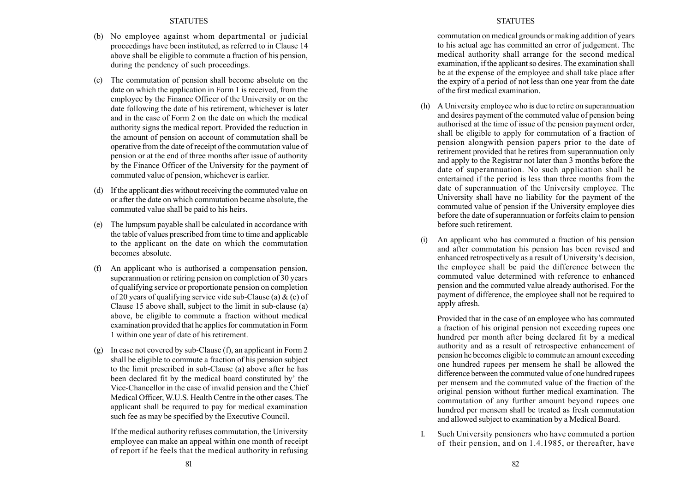- (b) No employee against whom departmental or judicial proceedings have been instituted, as referred to in Clause 14 above shall be eligible to commute a fraction of his pension, during the pendency of such proceedings.
- (c) The commutation of pension shall become absolute on the date on which the application in Form 1 is received, from the employee by the Finance Officer of the University or on the date following the date of his retirement, whichever is later and in the case of Form 2 on the date on which the medical authority signs the medical report. Provided the reduction in the amount of pension on account of commutation shall be operative from the date of receipt of the commutation value of pension or at the end of three months after issue of authority by the Finance Officer of the University for the payment of commuted value of pension, whichever is earlier.
- (d) If the applicant dies without receiving the commuted value on or after the date on which commutation became absolute, the commuted value shall be paid to his heirs.
- (e) The lumpsum payable shall be calculated in accordance with the table of values prescribed from time to time and applicable to the applicant on the date on which the commutation becomes absolute.
- (f) An applicant who is authorised a compensation pension, superannuation or retiring pension on completion of 30 years of qualifying service or proportionate pension on completion of 20 years of qualifying service vide sub-Clause (a)  $\&$  (c) of Clause 15 above shall, subject to the limit in sub-clause (a) above, be eligible to commute a fraction without medical examination provided that he applies for commutation in Form 1 within one year of date of his retirement.
- (g) In case not covered by sub-Clause (f), an applicant in Form 2 shall be eligible to commute a fraction of his pension subject to the limit prescribed in sub-Clause (a) above after he has been declared fit by the medical board constituted by the Vice-Chancellor in the case of invalid pension and the Chief Medical Officer, W.U.S. Health Centre in the other cases. The applicant shall be required to pay for medical examination such fee as may be specified by the Executive Council.

If the medical authority refuses commutation, the University employee can make an appeal within one month of receipt of report if he feels that the medical authority in refusing commutation on medical grounds or making addition of years to his actual age has committed an error of judgement. The medical authority shall arrange for the second medical examination, if the applicant so desires. The examination shall be at the expense of the employee and shall take place after the expiry of a period of not less than one year from the date of the first medical examination.

- (h) A University employee who is due to retire on superannuation and desires payment of the commuted value of pension being authorised at the time of issue of the pension payment order, shall be eligible to apply for commutation of a fraction of pension alongwith pension papers prior to the date of retirement provided that he retires from superannuation only and apply to the Registrar not later than 3 months before the date of superannuation. No such application shall be entertained if the period is less than three months from the date of superannuation of the University employee. The University shall have no liability for the payment of the commuted value of pension if the University employee dies before the date of superannuation or forfeits claim to pension before such retirement.
- (i) An applicant who has commuted a fraction of his pension and after commutation his pension has been revised and enhanced retrospectively as a result of University's decision, the employee shall be paid the difference between the commuted value determined with reference to enhanced pension and the commuted value already authorised. For the payment of difference, the employee shall not be required to apply afresh.

Provided that in the case of an employee who has commuted a fraction of his original pension not exceeding rupees one hundred per month after being declared fit by a medical authority and as a result of retrospective enhancement of pension he becomes eligible to commute an amount exceeding one hundred rupees per mensem he shall be allowed the difference between the commuted value of one hundred rupees per mensem and the commuted value of the fraction of the original pension without further medical examination. The commutation of any further amount beyond rupees one hundred per mensem shall be treated as fresh commutation and allowed subject to examination by a Medical Board.

I. Such University pensioners who have commuted a portion of their pension, and on 1.4.1985, or thereafter, have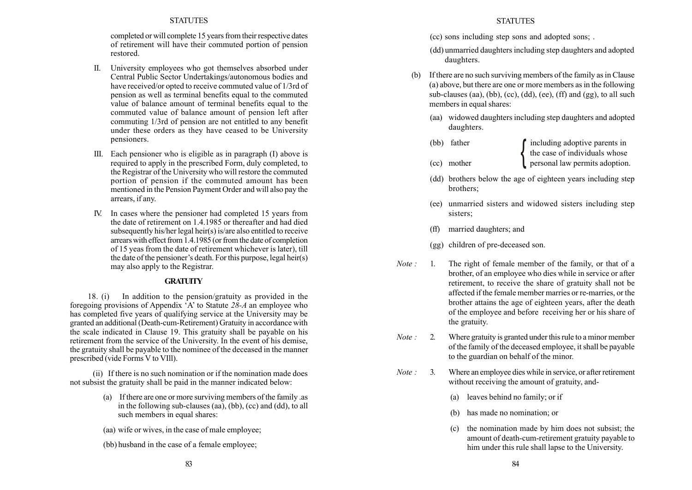completed or will complete 15 years from their respective dates of retirement will have their commuted portion of pension restored.

- II. University employees who got themselves absorbed under Central Public Sector Undertakings/autonomous bodies and have received/or opted to receive commuted value of 1/3rd of pension as well as terminal benefits equal to the commuted value of balance amount of terminal benefits equal to the commuted value of balance amount of pension left after commuting 1/3rd of pension are not entitled to any benefit under these orders as they have ceased to be University pensioners.
- III. Each pensioner who is eligible as in paragraph (I) above is required to apply in the prescribed Form, duly completed, to the Registrar of the University who will restore the commuted portion of pension if the commuted amount has been mentioned in the Pension Payment Order and will also pay the arrears, if any.
- IV. In cases where the pensioner had completed 15 years from the date of retirement on 1.4.1985 or thereafter and had died subsequently his/her legal heir(s) is/are also entitled to receive arrears with effect from 1.4.1985 (or from the date of completion of 15 yeas from the date of retirement whichever is later), till the date of the pensioner's death. For this purpose, legal heir(s) may also apply to the Registrar.

## **GRATUITY**

18. (i) In addition to the pension/gratuity as provided in the foregoing provisions of Appendix  $A'$  to Statute 28-A an employee who has completed five years of qualifying service at the University may be granted an additional (Death-cum-Retirement) Gratuity in accordance with the scale indicated in Clause 19. This gratuity shall be payable on his retirement from the service of the University. In the event of his demise, the gratuity shall be payable to the nominee of the deceased in the manner prescribed (vide Forms V to VIll).

(ii) If there is no such nomination or if the nomination made does not subsist the gratuity shall be paid in the manner indicated below:

- (a) If there are one or more surviving members of the family .as in the following sub-clauses (aa), (bb), (cc) and (dd), to all such members in equal shares:
- (aa) wife or wives, in the case of male employee;
- (bb) husband in the case of a female employee;

## **STATUTES**

(cc) sons including step sons and adopted sons; .

- (dd) unmarried daughters including step daughters and adopted daughters.
- (b) If there are no such surviving members of the family as in Clause (a) above, but there are one or more members as in the following sub-clauses (aa), (bb), (cc), (dd), (ee), (ff) and (gg), to all such members in equal shares:
	- (aa) widowed daughters including step daughters and adopted daughters.
	- (bb) father **including adoptive parents in** the case of individuals whose (cc) mother example personal law permits adoption. ˇ
	- (dd) brothers below the age of eighteen years including step brothers;
	- (ee) unmarried sisters and widowed sisters including step sisters;
	- (ff) married daughters; and
	- (gg) children of pre-deceased son.
- Note : 1. The right of female member of the family, or that of a brother, of an employee who dies while in service or after retirement, to receive the share of gratuity shall not be affected if the female member marries or re-marries, or the brother attains the age of eighteen years, after the death of the employee and before receiving her or his share of the gratuity.
- Note : 2. Where gratuity is granted under this rule to a minor member of the family of the deceased employee, it shall be payable to the guardian on behalf of the minor.
- Note : 3. Where an employee dies while in service, or after retirement without receiving the amount of gratuity, and-
	- (a) leaves behind no family; or if
	- (b) has made no nomination; or
	- (c) the nomination made by him does not subsist; the amount of death-cum-retirement gratuity payable to him under this rule shall lapse to the University.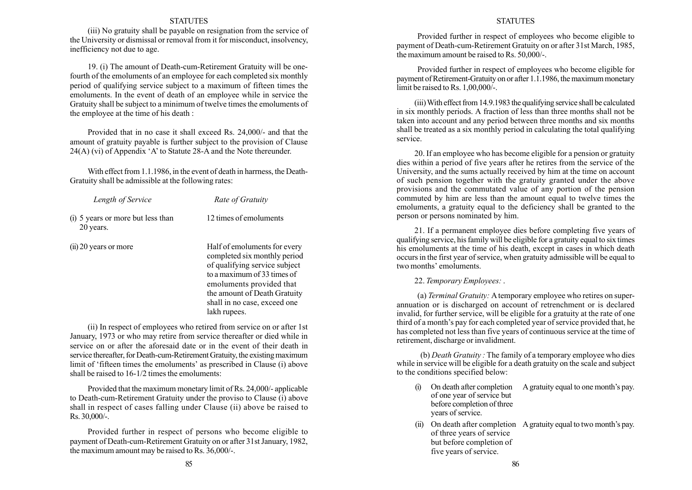(iii) No gratuity shall be payable on resignation from the service of the University or dismissal or removal from it for misconduct, insolvency, inefficiency not due to age.

19. (i) The amount of Death-cum-Retirement Gratuity will be onefourth of the emoluments of an employee for each completed six monthly period of qualifying service subject to a maximum of fifteen times the emoluments. In the event of death of an employee while in service the Gratuity shall be subject to a minimum of twelve times the emoluments of the employee at the time of his death :

Provided that in no case it shall exceed Rs. 24,000/- and that the amount of gratuity payable is further subject to the provision of Clause  $24(A)$  (vi) of Appendix 'A' to Statute 28-A and the Note thereunder.

With effect from 1.1.1986, in the event of death in harrness, the Death-Gratuity shall be admissible at the following rates:

| Length of Service                              | Rate of Gratuity                                                                                                                                                                                                                         |  |  |
|------------------------------------------------|------------------------------------------------------------------------------------------------------------------------------------------------------------------------------------------------------------------------------------------|--|--|
| (i) 5 years or more but less than<br>20 years. | 12 times of emoluments                                                                                                                                                                                                                   |  |  |
| $(ii)$ 20 years or more                        | Half of emoluments for every<br>completed six monthly period<br>of qualifying service subject<br>to a maximum of 33 times of<br>emoluments provided that<br>the amount of Death Gratuity<br>shall in no case, exceed one<br>lakh rupees. |  |  |

(ii) In respect of employees who retired from service on or after 1st January, 1973 or who may retire from service thereafter or died while in service on or after the aforesaid date or in the event of their death in service thereafter, for Death-cum-Retirement Gratuity, the existing maximum limit of 'fifteen times the emoluments' as prescribed in Clause (i) above shall be raised to 16-1/2 times the emoluments:

Provided that the maximum monetary limit of Rs. 24,000/- applicable to Death-cum-Retirement Gratuity under the proviso to Clause (i) above shall in respect of cases falling under Clause (ii) above be raised to Rs. 30,000/-.

Provided further in respect of persons who become eligible to payment of Death-cum-Retirement Gratuity on or after 31st January, 1982, the maximum amount may be raised to Rs. 36,000/-.

#### **STATUTES**

Provided further in respect of employees who become eligible to payment of Death-cum-Retirement Gratuity on or after 31st March, 1985, the maximum amount be raised to Rs. 50,000/-.

Provided further in respect of employees who become eligible for payment of Retirement-Gratuity on or after 1.1.1986, the maximum monetary limit be raised to Rs. 1,00,000/-.

(iii)With effect from 14.9.1983 the qualifying service shall be calculated in six monthly periods. A fraction of less than three months shall not be taken into account and any period between three months and six months shall be treated as a six monthly period in calculating the total qualifying service.

20. If an employee who has become eligible for a pension or gratuity dies within a period of five years after he retires from the service of the University, and the sums actually received by him at the time on account of such pension together with the gratuity granted under the above provisions and the commutated value of any portion of the pension commuted by him are less than the amount equal to twelve times the emoluments, a gratuity equal to the deficiency shall be granted to the person or persons nominated by him.

21. If a permanent employee dies before completing five years of qualifying service, his family will be eligible for a gratuity equal to six times his emoluments at the time of his death, except in cases in which death occurs in the first year of service, when gratuity admissible will be equal to two months' emoluments.

#### 22. Temporary Employees: .

(a) Terminal Gratuity: Atemporary employee who retires on superannuation or is discharged on account of retrenchment or is declared invalid, for further service, will be eligible for a gratuity at the rate of one third of a month's pay for each completed year of service provided that, he has completed not less than five years of continuous service at the time of retirement, discharge or invalidment.

(b) Death Gratuity : The family of a temporary employee who dies while in service will be eligible for a death gratuity on the scale and subject to the conditions specified below:

- $(i)$  On death after completion A gratuity equal to one month's pay. of one year of service but before completion of three years of service.
- (ii) On death after completion A gratuity equal to two month's pay. of three years of service but before completion of five years of service.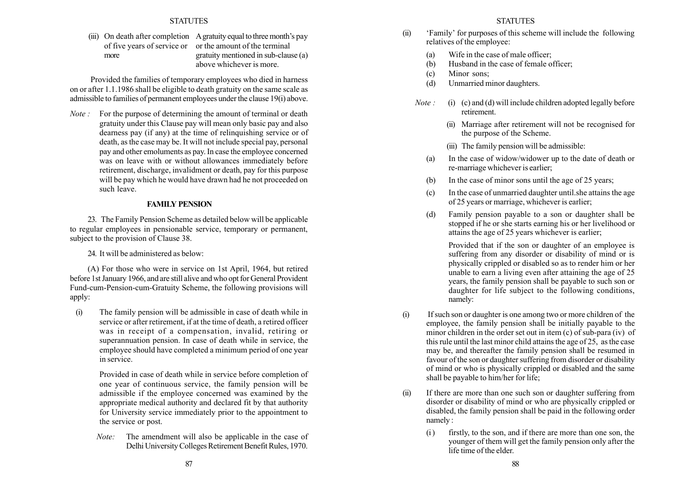(iii) On death after completion A gratuity equal to three month's pay of five years of service or or the amount of the terminal more gratuity mentioned in sub-clause (a) above whichever is more.

Provided the families of temporary employees who died in harness on or after 1.1.1986 shall be eligible to death gratuity on the same scale as admissible to families of permanent employees under the clause 19(i) above.

Note : For the purpose of determining the amount of terminal or death gratuity under this Clause pay will mean only basic pay and also dearness pay (if any) at the time of relinquishing service or of death, as the case may be. It will not include special pay, personal pay and other emoluments as pay. In case the employee concerned was on leave with or without allowances immediately before retirement, discharge, invalidment or death, pay for this purpose will be pay which he would have drawn had he not proceeded on such leave.

## FAMILY PENSION

23. The Family Pension Scheme as detailed below will be applicable to regular employees in pensionable service, temporary or permanent, subject to the provision of Clause 38.

24. It will be administered as below:

(A) For those who were in service on 1st April, 1964, but retired before 1st January 1966, and are still alive and who opt for General Provident Fund-cum-Pension-cum-Gratuity Scheme, the following provisions will apply:

(i) The family pension will be admissible in case of death while in service or after retirement, if at the time of death, a retired officer was in receipt of a compensation, invalid, retiring or superannuation pension. In case of death while in service, the employee should have completed a minimum period of one year in service.

> Provided in case of death while in service before completion of one year of continuous service, the family pension will be admissible if the employee concerned was examined by the appropriate medical authority and declared fit by that authority for University service immediately prior to the appointment to the service or post.

Note: The amendment will also be applicable in the case of Delhi University Colleges Retirement Benefit Rules, 1970.

## **STATUTES**

- (ii) Family' for purposes of this scheme will include the following relatives of the employee:
	- (a) Wife in the case of male officer;
	- (b) Husband in the case of female officer;
	- (c) Minor sons;
	- (d) Unmarried minor daughters.
	- *Note*: (i) (c) and (d) will include children adopted legally before retirement.
		- (ii) Marriage after retirement will not be recognised for the purpose of the Scheme.
		- (iii) The family pension will be admissible:
		- (a) In the case of widow/widower up to the date of death or re-marriage whichever is earlier;
		- (b) In the case of minor sons until the age of 25 years;
		- (c) In the case of unmarried daughter until.she attains the age of 25 years or marriage, whichever is earlier;
		- (d) Family pension payable to a son or daughter shall be stopped if he or she starts earning his or her livelihood or attains the age of 25 years whichever is earlier;

Provided that if the son or daughter of an employee is suffering from any disorder or disability of mind or is physically crippled or disabled so as to render him or her unable to earn a living even after attaining the age of 25 years, the family pension shall be payable to such son or daughter for life subject to the following conditions, namely:

- (i) If such son or daughter is one among two or more children of the employee, the family pension shall be initially payable to the minor children in the order set out in item (c) of sub-para (iv) of this rule until the last minor child attains the age of 25, as the case may be, and thereafter the family pension shall be resumed in favour of the son or daughter suffering from disorder or disability of mind or who is physically crippled or disabled and the same shall be payable to him/her for life;
- (ii) If there are more than one such son or daughter suffering from disorder or disability of mind or who are physically crippled or disabled, the family pension shall be paid in the following order namely :
	- (i ) firstly, to the son, and if there are more than one son, the younger of them will get the family pension only after the life time of the elder.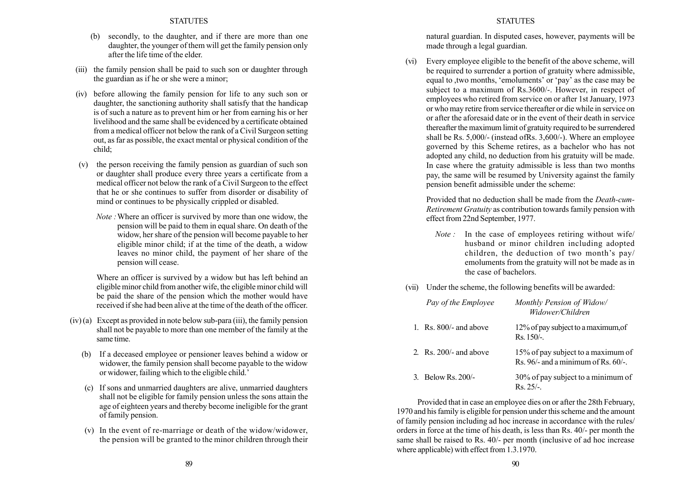- (b) secondly, to the daughter, and if there are more than one daughter, the younger of them will get the family pension only after the life time of the elder.
- (iii) the family pension shall be paid to such son or daughter through the guardian as if he or she were a minor;
- (iv) before allowing the family pension for life to any such son or daughter, the sanctioning authority shall satisfy that the handicap is of such a nature as to prevent him or her from earning his or her livelihood and the same shall be evidenced by a certificate obtained from a medical officer not below the rank of a Civil Surgeon setting out, as far as possible, the exact mental or physical condition of the child;
- (v) the person receiving the family pension as guardian of such son or daughter shall produce every three years a certificate from a medical officer not below the rank of a Civil Surgeon to the effect that he or she continues to suffer from disorder or disability of mind or continues to be physically crippled or disabled.
	- Note :Where an officer is survived by more than one widow, the pension will be paid to them in equal share. On death of the widow, her share of the pension will become payable to her eligible minor child; if at the time of the death, a widow leaves no minor child, the payment of her share of the pension will cease.

Where an officer is survived by a widow but has left behind an eligible minor child from another wife, the eligible minor child will be paid the share of the pension which the mother would have received if she had been alive at the time of the death of the officer.

- $(iv)$  (a) Except as provided in note below sub-para (iii), the family pension shall not be payable to more than one member of the family at the same time.
	- (b) If a deceased employee or pensioner leaves behind a widow or widower, the family pension shall become payable to the widow or widower, failing which to the eligible child.
	- (c) If sons and unmarried daughters are alive, unmarried daughters shall not be eligible for family pension unless the sons attain the age of eighteen years and thereby become ineligible for the grant of family pension.
	- (v) In the event of re-marriage or death of the widow/widower, the pension will be granted to the minor children through their

#### **STATUTES**

natural guardian. In disputed cases, however, payments will be made through a legal guardian.

(vi) Every employee eligible to the benefit of the above scheme, will be required to surrender a portion of gratuity where admissible, equal to ,two months, 'emoluments' or 'pay' as the case may be subject to a maximum of Rs.3600/-. However, in respect of employees who retired from service on or after 1st January, 1973 or who may retire from service thereafter or die while in service on or after the aforesaid date or in the event of their death in service thereafter the maximum limit of gratuity required to be surrendered shall be Rs. 5,000/- (instead ofRs. 3,600/-). Where an employee governed by this Scheme retires, as a bachelor who has not adopted any child, no deduction from his gratuity will be made. In case where the gratuity admissible is less than two months pay, the same will be resumed by University against the family pension benefit admissible under the scheme:

Provided that no deduction shall be made from the Death-cum-Retirement Gratuity as contribution towards family pension with effect from 22nd September, 1977.

- Note : In the case of employees retiring without wife/ husband or minor children including adopted children, the deduction of two month's  $pay/$ emoluments from the gratuity will not be made as in the case of bachelors.
- (vii) Under the scheme, the following benefits will be awarded:

| Pay of the Employee             | Monthly Pension of Widow/<br>Widower/Children                             |
|---------------------------------|---------------------------------------------------------------------------|
| 1. $\text{Rs. }800/-$ and above | 12% of pay subject to a maximum, of<br>Rs. 150/-.                         |
| 2. Rs. $200/-$ and above        | 15% of pay subject to a maximum of<br>Rs. 96/- and a minimum of Rs. 60/-. |
| 3. Below Rs. 200/-              | 30% of pay subject to a minimum of<br>$Rs. 25/-.$                         |

Provided that in case an employee dies on or after the 28th February, 1970 and his family is eligible for pension under this scheme and the amount of family pension including ad hoc increase in accordance with the rules/ orders in force at the time of his death, is less than Rs. 40/- per month the same shall be raised to Rs. 40/- per month (inclusive of ad hoc increase where applicable) with effect from 1.3.1970.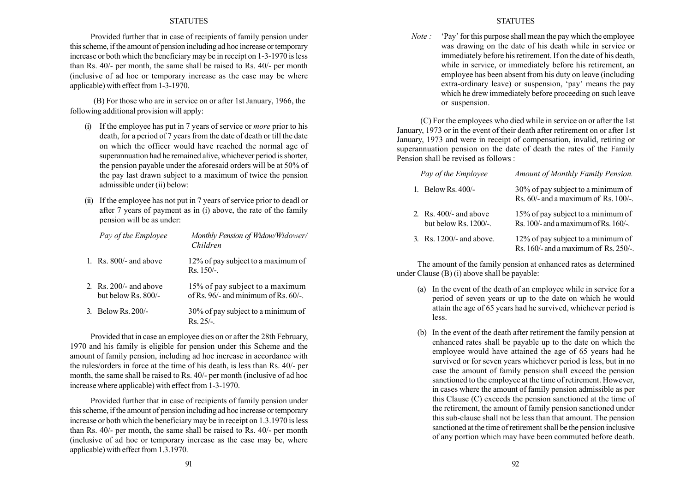Provided further that in case of recipients of family pension under this scheme, if the amount of pension including ad hoc increase or temporary increase or both which the beneficiary may be in receipt on 1-3-1970 is less than Rs. 40/- per month, the same shall be raised to Rs. 40/- per month (inclusive of ad hoc or temporary increase as the case may be where applicable) with effect from 1-3-1970.

(B) For those who are in service on or after 1st January, 1966, the following additional provision will apply:

- (i) If the employee has put in 7 years of service or more prior to his death, for a period of 7 years from the date of death or till the date on which the officer would have reached the normal age of superannuation had he remained alive, whichever period is shorter, the pension payable under the aforesaid orders will be at 50% of the pay last drawn subject to a maximum of twice the pension admissible under (ii) below:
- (ii) If the employee has not put in 7 years of service prior to deadl or after 7 years of payment as in (i) above, the rate of the family pension will be as under:

| Pay of the Employee                                     | Monthly Pension of Widow/Widower/<br>Children                                |
|---------------------------------------------------------|------------------------------------------------------------------------------|
| 1. $\text{Rs. }800/-$ and above                         | 12% of pay subject to a maximum of<br>$Rs.150/-.$                            |
| 2. $\text{Rs. } 200/-$ and above<br>but below Rs. 800/- | 15% of pay subject to a maximum<br>of Rs. $96/-$ and minimum of Rs. $60/-$ . |
| 3. Below Rs. 200/-                                      | 30% of pay subject to a minimum of<br>$Rs$ 25/-                              |

Provided that in case an employee dies on or after the 28th February, 1970 and his family is eligible for pension under this Scheme and the amount of family pension, including ad hoc increase in accordance with the rules/orders in force at the time of his death, is less than Rs. 40/- per month, the same shall be raised to Rs. 40/- per month (inclusive of ad hoc increase where applicable) with effect from 1-3-1970.

Provided further that in case of recipients of family pension under this scheme, if the amount of pension including ad hoc increase or temporary increase or both which the beneficiary may be in receipt on 1.3.1970 is less than Rs. 40/- per month, the same shall be raised to Rs. 40/- per month (inclusive of ad hoc or temporary increase as the case may be, where applicable) with effect from 1.3.1970.

### **STATUTES**

*Note*:  $'Pay'$  for this purpose shall mean the pay which the employee was drawing on the date of his death while in service or immediately before his retirement. If on the date of his death, while in service, or immediately before his retirement, an employee has been absent from his duty on leave (including extra-ordinary leave) or suspension, 'pay' means the pay which he drew immediately before proceeding on such leave or suspension.

(C) For the employees who died while in service on or after the 1st January, 1973 or in the event of their death after retirement on or after 1st January, 1973 and were in receipt of compensation, invalid, retiring or superannuation pension on the date of death the rates of the Family Pension shall be revised as follows :

| Pay of the Employee                               | Amount of Monthly Family Pension.                                                |
|---------------------------------------------------|----------------------------------------------------------------------------------|
| 1. Below Rs. $400/-$                              | 30% of pay subject to a minimum of<br>Rs. 60/- and a maximum of Rs. 100/-.       |
| 2. Rs. $400/-$ and above<br>but below Rs. 1200/-. | 15% of pay subject to a minimum of<br>Rs. 100/- and a maximum of Rs. 160/-.      |
| 3. Rs. 1200/- and above.                          | 12% of pay subject to a minimum of<br>Rs. $160/-$ and a maximum of Rs. $250/-$ . |

The amount of the family pension at enhanced rates as determined under Clause (B) (i) above shall be payable:

- (a) In the event of the death of an employee while in service for a period of seven years or up to the date on which he would attain the age of 65 years had he survived, whichever period is less.
- (b) In the event of the death after retirement the family pension at enhanced rates shall be payable up to the date on which the employee would have attained the age of 65 years had he survived or for seven years whichever period is less, but in no case the amount of family pension shall exceed the pension sanctioned to the employee at the time of retirement. However, in cases where the amount of family pension admissible as per this Clause (C) exceeds the pension sanctioned at the time of the retirement, the amount of family pension sanctioned under this sub-clause shall not be less than that amount. The pension sanctioned at the time of retirement shall be the pension inclusive of any portion which may have been commuted before death.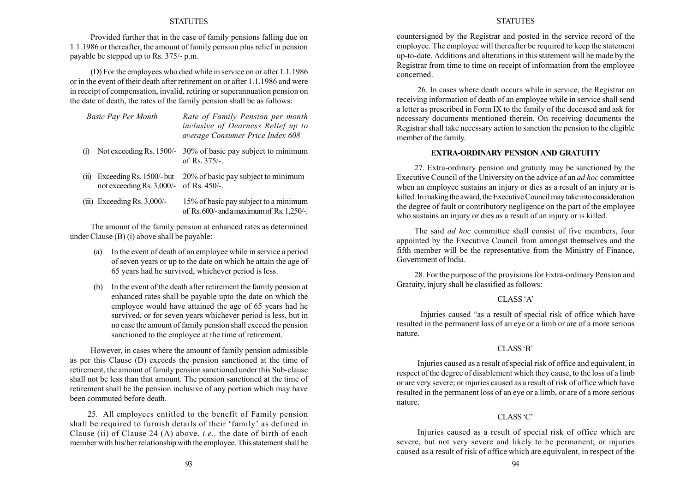Provided further that in the case of family pensions falling due on 1.1.1986 or thereafter, the amount of family pension plus relief in pension payable be stepped up to Rs. 375/- p.m.

(D) For the employees who died while in service on or after 1.1.1986 or in the event of their death after retirement on or after 1.1.1986 and were in receipt of compensation, invalid, retiring or superannuation pension on the date of death, the rates of the family pension shall be as follows:

| Rate of Family Pension per month          |
|-------------------------------------------|
| <i>inclusive of Dearness Relief up to</i> |
| average Consumer Price Index 608          |
|                                           |

- (i) Not exceeding Rs. 1500/- 30% of basic pay subject to minimum of Rs. 375/-.
- (ii) ExceedingRs. 1500/- but 20% of basic pay subject to minimum not exceeding Rs. 3,000/- of Rs. 450/-.
- (iii) Exceeding Rs. 3,000/- 15% of basic pay subject to a minimum of Rs.600/-andamaximumof Rs.1,250/-.

The amount of the family pension at enhanced rates as determined under Clause (B) (i) above shall be payable:

- (a) In the event of death of an employee while in service a period of seven years or up to the date on which he attain the age of 65 years had he survived, whichever period is less.
- (b) In the event of the death after retirement the family pension at enhanced rates shall be payable upto the date on which the employee would have attained the age of 65 years had he survived, or for seven years whichever period is less, but in no case the amount of family pension shall exceed the pension sanctioned to the employee at the time of retirement.

However, in cases where the amount of family pension admissible as per this Clause (D) exceeds the pension sanctioned at the time of retirement, the amount of family pension sanctioned under this Sub-clause shall not be less than that amount. The pension sanctioned at the time of retirement shall be the pension inclusive of any portion which may have been commuted before death.

25. All employees entitled to the benefit of Family pension shall be required to furnish details of their 'family' as defined in Clause (ii) of Clause 24 (A) above, *i.e.*, the date of birth of each member with his/her relationship with the employee. This statement shall be

#### **STATUTES**

countersigned by the Registrar and posted in the service record of the employee. The employee will thereafter be required to keep the statement up-to-date. Additions and alterations in this statement will be made by the Registrar from time to time on receipt of information from the employee concerned.

26. In cases where death occurs while in service, the Registrar on receiving information of death of an employee while in service shall send a letter as prescribed in Form IX to the family of the deceased and ask for necessary documents mentioned therein. On receiving documents the Registrar shall take necessary action to sanction the pension to the eligible member of the family.

#### EXTRA-ORDINARY PENSION AND GRATUITY

27. Extra-ordinary pension and gratuity may be sanctioned by the Executive Council of the University on the advice of an ad hoc committee when an employee sustains an injury or dies as a result of an injury or is killed. In making the award, the Executive Council may take into consideration the degree of fault or contributory negligence on the part of the employee who sustains an injury or dies as a result of an injury or is killed.

The said *ad hoc* committee shall consist of five members, four appointed by the Executive Council from amongst themselves and the fifth member will be the representative from the Ministry of Finance, Government of India.

28. For the purpose of the provisions for Extra-ordinary Pension and Gratuity, injury shall be classified as follows:

## CLASS 'A'

Injuries caused "as a result of special risk of office which have resulted in the permanent loss of an eye or a limb or are of a more serious nature.

## CLASS 'B'

Injuries caused as a result of special risk of office and equivalent, in respect of the degree of disablement which they cause, to the loss of a limb or are very severe; or injuries caused as a result of risk of office which have resulted in the permanent loss of an eye or a limb, or are of a more serious nature.

## $CLASS'C'$

Injuries caused as a result of special risk of office which are severe, but not very severe and likely to be permanent; or injuries caused as a result of risk of office which are equivalent, in respect of the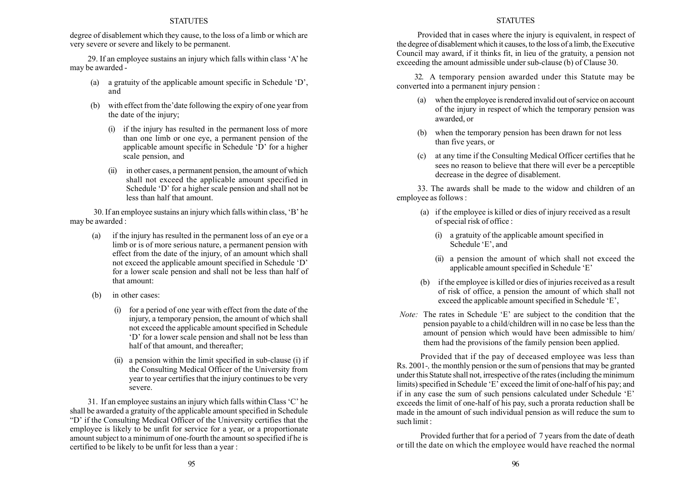degree of disablement which they cause, to the loss of a limb or which are very severe or severe and likely to be permanent.

29. If an employee sustains an injury which falls within class 'A' he may be awarded -

- (a) a gratuity of the applicable amount specific in Schedule  $D<sub>i</sub>$ , and
- $(b)$  with effect from the date following the expiry of one year from the date of the injury;
	- (i) if the injury has resulted in the permanent loss of more than one limb or one eye, a permanent pension of the applicable amount specific in Schedule  $D'$  for a higher scale pension, and
	- (ii) in other cases, a permanent pension, the amount of which shall not exceed the applicable amount specified in Schedule 'D' for a higher scale pension and shall not be less than half that amount.

30. If an employee sustains an injury which falls within class,  $B'$  he may be awarded :

- (a) if the injury has resulted in the permanent loss of an eye or a limb or is of more serious nature, a permanent pension with effect from the date of the injury, of an amount which shall not exceed the applicable amount specified in Schedule 'D' for a lower scale pension and shall not be less than half of that amount:
- (b) in other cases:
	- (i) for a period of one year with effect from the date of the injury, a temporary pension, the amount of which shall not exceed the applicable amount specified in Schedule  $D'$  for a lower scale pension and shall not be less than half of that amount, and thereafter;
	- a pension within the limit specified in sub-clause (i) if the Consulting Medical Officer of the University from year to year certifies that the injury continues to be very severe.

31. If an employee sustains an injury which falls within Class  $\mathcal{C}'$  he shall be awarded a gratuity of the applicable amount specified in Schedule ìDí if the Consulting Medical Officer of the University certifies that the employee is likely to be unfit for service for a year, or a proportionate amount subject to a minimum of one-fourth the amount so specified if he is certified to be likely to be unfit for less than a year :

## **STATUTES**

Provided that in cases where the injury is equivalent, in respect of the degree of disablement which it causes, to the loss of a limb, the Executive Council may award, if it thinks fit, in lieu of the gratuity, a pension not exceeding the amount admissible under sub-clause (b) of Clause 30.

32. A temporary pension awarded under this Statute may be converted into a permanent injury pension :

- (a) when the employee is rendered invalid out of service on account of the injury in respect of which the temporary pension was awarded, or
- (b) when the temporary pension has been drawn for not less than five years, or
- (c) at any time if the Consulting Medical Officer certifies that he sees no reason to believe that there will ever be a perceptible decrease in the degree of disablement.

33. The awards shall be made to the widow and children of an employee as follows :

- (a) if the employee is killed or dies of injury received as a result of special risk of office :
	- (i) a gratuity of the applicable amount specified in Schedule 'E', and
	- (ii) a pension the amount of which shall not exceed the applicable amount specified in Schedule 'E'
- (b) if the employee is killed or dies of injuries received as a result of risk of office, a pension the amount of which shall not exceed the applicable amount specified in Schedule 'E',
- Note: The rates in Schedule 'E' are subject to the condition that the pension payable to a child/children will in no case be less than the amount of pension which would have been admissible to him/ them had the provisions of the family pension been applied.

Provided that if the pay of deceased employee was less than Rs. 2001-, the monthly pension or the sum of pensions that may be granted under this Statute shall not, irrespective of the rates (including the minimum limits) specified in Schedule 'E' exceed the limit of one-half of his pay; and if in any case the sum of such pensions calculated under Schedule 'E' exceeds the limit of one-half of his pay, such a prorata reduction shall be made in the amount of such individual pension as will reduce the sum to such limit :

Provided further that for a period of 7 years from the date of death or till the date on which the employee would have reached the normal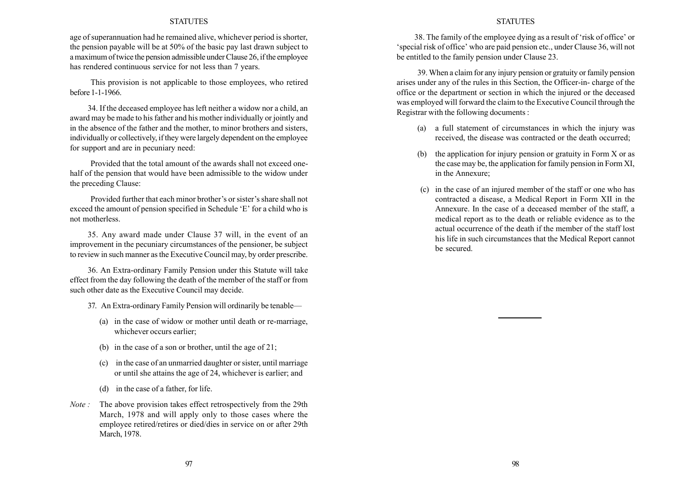age of superannuation had he remained alive, whichever period is shorter, the pension payable will be at 50% of the basic pay last drawn subject to a maximum of twice the pension admissible under Clause 26, if the employee has rendered continuous service for not less than 7 years.

This provision is not applicable to those employees, who retired before 1-1-1966.

34. If the deceased employee has left neither a widow nor a child, an award may be made to his father and his mother individually or jointly and in the absence of the father and the mother, to minor brothers and sisters, individually or collectively, if they were largely dependent on the employee for support and are in pecuniary need:

Provided that the total amount of the awards shall not exceed onehalf of the pension that would have been admissible to the widow under the preceding Clause:

Provided further that each minor brother's or sister's share shall not exceed the amount of pension specified in Schedule 'E' for a child who is not motherless.

35. Any award made under Clause 37 will, in the event of an improvement in the pecuniary circumstances of the pensioner, be subject to review in such manner as the Executive Council may, by order prescribe.

36. An Extra-ordinary Family Pension under this Statute will take effect from the day following the death of the member of the staff or from such other date as the Executive Council may decide.

- 37. An Extra-ordinary Family Pension will ordinarily be tenable—
	- (a) in the case of widow or mother until death or re-marriage, whichever occurs earlier;
	- (b) in the case of a son or brother, until the age of 21;
	- (c) in the case of an unmarried daughter or sister, until marriage or until she attains the age of 24, whichever is earlier; and
	- (d) in the case of a father, for life.
- Note : The above provision takes effect retrospectively from the 29th March, 1978 and will apply only to those cases where the employee retired/retires or died/dies in service on or after 29th March, 1978.

#### **STATUTES**

38. The family of the employee dying as a result of 'risk of office' or 'special risk of office' who are paid pension etc., under Clause 36, will not be entitled to the family pension under Clause 23.

39. When a claim for any injury pension or gratuity or family pension arises under any of the rules in this Section, the Officer-in- charge of the office or the department or section in which the injured or the deceased was employed will forward the claim to the Executive Council through the Registrar with the following documents :

- (a) a full statement of circumstances in which the injury was received, the disease was contracted or the death occurred;
- (b) the application for injury pension or gratuity in Form X or as the case may be, the application for family pension in Form XI, in the Annexure;
- (c) in the case of an injured member of the staff or one who has contracted a disease, a Medical Report in Form XII in the Annexure. In the case of a deceased member of the staff, a medical report as to the death or reliable evidence as to the actual occurrence of the death if the member of the staff lost his life in such circumstances that the Medical Report cannot be secured.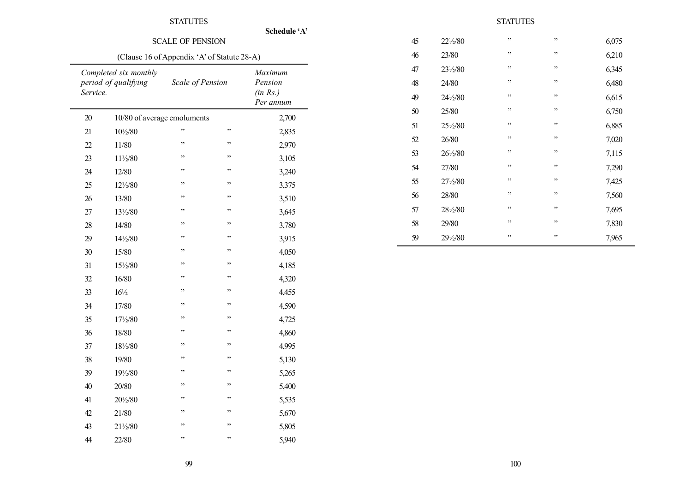|          | <b>SCALE OF PENSION</b>                       | Schedule 'A'     |    |                                             |  |  |  |
|----------|-----------------------------------------------|------------------|----|---------------------------------------------|--|--|--|
|          | (Clause 16 of Appendix 'A' of Statute 28-A)   |                  |    |                                             |  |  |  |
| Service. | Completed six monthly<br>period of qualifying | Scale of Pension |    | Maximum<br>Pension<br>(in Rs.)<br>Per annum |  |  |  |
| 20       | 10/80 of average emoluments                   |                  |    | 2,700                                       |  |  |  |
| 21       | $10\frac{1}{2}80$                             | ,                | ,, | 2,835                                       |  |  |  |
| 22       | 11/80                                         | ,                | ,, | 2,970                                       |  |  |  |
| 23       | 11½/80                                        | ,,               | ,, | 3,105                                       |  |  |  |
| 24       | 12/80                                         | ,,               | ,, | 3,240                                       |  |  |  |
| 25       | $12\frac{1}{2}80$                             | ,                | ,, | 3,375                                       |  |  |  |
| 26       | 13/80                                         | ,,               | ,, | 3,510                                       |  |  |  |
| 27       | $13\frac{1}{2}80$                             | , ,              | ,, | 3,645                                       |  |  |  |
| 28       | 14/80                                         | , ,              | ,, | 3,780                                       |  |  |  |
| 29       | 14½/80                                        | ,,               | ,, | 3,915                                       |  |  |  |
| 30       | 15/80                                         | ,,               | ,, | 4,050                                       |  |  |  |
| 31       | 15½/80                                        | ,                | ,, | 4,185                                       |  |  |  |
| 32       | 16/80                                         | ,,               | ,, | 4,320                                       |  |  |  |
| 33       | $16\frac{1}{2}$                               | ,                | ,, | 4,455                                       |  |  |  |
| 34       | 17/80                                         | ,                | ,, | 4,590                                       |  |  |  |
| 35       | 17½/80                                        | ,,               | ,, | 4,725                                       |  |  |  |
| 36       | 18/80                                         | ,,               | ,, | 4,860                                       |  |  |  |
| 37       | 18½/80                                        | , ,              | ,, | 4,995                                       |  |  |  |
| 38       | 19/80                                         | ,,               | ,, | 5,130                                       |  |  |  |
| 39       | 19½/80                                        | ,,               | ,, | 5,265                                       |  |  |  |
| 40       | 20/80                                         | ,                | ,  | 5,400                                       |  |  |  |
| 41       | 201/2/80                                      | ,,               | ,, | 5,535                                       |  |  |  |
| 42       | 21/80                                         | ,,               | ,, | 5,670                                       |  |  |  |
| 43       | $21\frac{1}{2}80$                             | ,,               | ,, | 5,805                                       |  |  |  |
| 44       | 22/80                                         | ,,               | ,, | 5,940                                       |  |  |  |

| 45 | $22\frac{1}{2}80$ | ,,  | ,, | 6,075 |
|----|-------------------|-----|----|-------|
| 46 | 23/80             | , 2 | ,, | 6,210 |
| 47 | 231/2/80          | , 2 | ,, | 6,345 |
| 48 | 24/80             | , 2 | ,, | 6,480 |
| 49 | $24\frac{1}{2}80$ | , 2 | ,, | 6,615 |
| 50 | 25/80             | , 2 | ,, | 6,750 |
| 51 | $25\frac{1}{2}80$ | , 2 | ,, | 6,885 |
| 52 | 26/80             | , 2 | ,, | 7,020 |
| 53 | $26\frac{1}{2}80$ | , 2 | ,, | 7,115 |
| 54 | 27/80             | ,,  | ,, | 7,290 |
| 55 | $27\frac{1}{2}80$ | , 2 | ,, | 7,425 |
| 56 | 28/80             | , 2 | ,, | 7,560 |
| 57 | 281/2/80          | ,,  | ,, | 7,695 |
| 58 | 29/80             | , 2 | ,, | 7,830 |
| 59 | 291/2/80          | ,,  | ,, | 7,965 |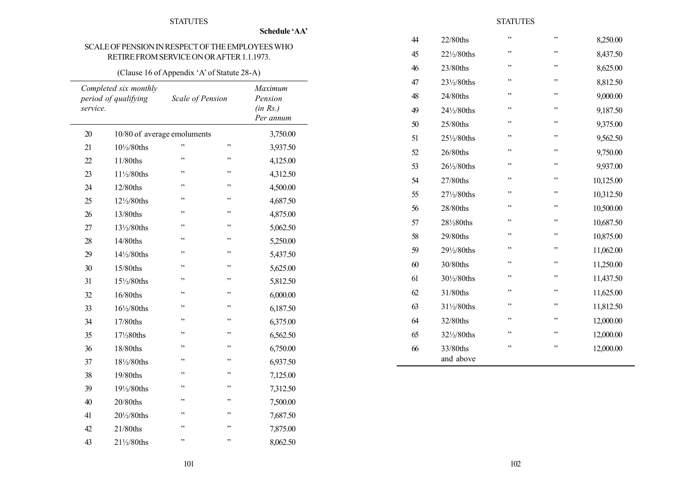Schedule 'AA'

# SCALEOF PENSION INRESPECTOFTHEEMPLOYEESWHO RETIRE FROM SERVICEONORAFTER 1.1.1973.

# (Clause 16 of Appendix 'A' of Statute 28-A)

| service. | Completed six monthly<br>period of qualifying | Scale of Pension |        | Maximum<br>Pension<br>(in Rs.)<br>Per annum |
|----------|-----------------------------------------------|------------------|--------|---------------------------------------------|
| 20       | 10/80 of average emoluments                   |                  |        | 3,750.00                                    |
| 21       | 101/2/80ths                                   | ,,               | ,,     | 3,937.50                                    |
| 22       | 11/80ths                                      | ,,               | ,,     | 4,125.00                                    |
| 23       | $11\frac{1}{2}$ /80ths                        | ,,               | ,,     | 4,312.50                                    |
| 24       | 12/80ths                                      | ,                | , ,    | 4,500.00                                    |
| 25       | 12½/80ths                                     | , ,              | ,,     | 4,687.50                                    |
| 26       | 13/80ths                                      | ,,               | ,,     | 4,875.00                                    |
| 27       | 13½/80ths                                     | ,                | ,,     | 5,062.50                                    |
| 28       | 14/80ths                                      | , ,              | ,,     | 5,250.00                                    |
| 29       | 14½/80ths                                     | ,,               | , ,    | 5,437.50                                    |
| 30       | 15/80ths                                      | , ,              | ,,     | 5,625.00                                    |
| 31       | 15½/80ths                                     | ,,               | ,,     | 5,812.50                                    |
| 32       | 16/80ths                                      | ,,               | ,,     | 6,000.00                                    |
| 33       | 16½/80ths                                     | ,,               | ,,     | 6,187.50                                    |
| 34       | 17/80ths                                      | ,                | ,,     | 6,375.00                                    |
| 35       | $17\frac{1}{2}80$ ths                         | ,,               | ,,     | 6,562.50                                    |
| 36       | 18/80ths                                      | ,,               | ,,     | 6,750.00                                    |
| 37       | 181/2/80ths                                   | ,,               | $, ,$  | 6,937.50                                    |
| 38       | 19/80ths                                      | ,,               | ,,     | 7,125.00                                    |
| 39       | 191/2/80ths                                   | ,,               | ,,     | 7,312.50                                    |
| 40       | $20/80$ ths                                   | ,,               | $, \,$ | 7,500.00                                    |
| 41       | 201/2/80ths                                   | ,                | ,,     | 7,687.50                                    |
| 42       | 21/80ths                                      | ,,               | ,,     | 7,875.00                                    |
| 43       | 211/2/80ths                                   | ,,               | ,,     | 8,062.50                                    |

# **STATUTES**

| 44 | 22/80ths              | ,,  | ,,  | 8,250.00  |
|----|-----------------------|-----|-----|-----------|
| 45 | 221/2/80ths           | , , | ,,  | 8,437.50  |
| 46 | 23/80ths              | ,,  | ,,  | 8,625.00  |
| 47 | 231/2/80ths           | ,,  | ,,  | 8,812.50  |
| 48 | 24/80ths              | ,,  | ,,  | 9,000.00  |
| 49 | 241/2/80ths           | ,,  | ,,  | 9,187.50  |
| 50 | 25/80ths              | , , | ,,  | 9,375.00  |
| 51 | 251/2/80ths           | , , | ,,  | 9,562.50  |
| 52 | 26/80ths              | , , | ,,  | 9,750.00  |
| 53 | 261/2/80ths           | , , | ,,  | 9,937.00  |
| 54 | 27/80ths              | , , | ,,  | 10,125.00 |
| 55 | 271/2/80ths           | , , | , , | 10,312.50 |
| 56 | 28/80ths              | , , | ,,  | 10,500.00 |
| 57 | 281/280ths            | , , | ,,  | 10,687.50 |
| 58 | 29/80ths              | ,   | ,,  | 10,875.00 |
| 59 | 291/2/80ths           | , , | ,,  | 11,062.00 |
| 60 | 30/80ths              | , , | ,,  | 11,250.00 |
| 61 | 301/2/80ths           | , , | ,,  | 11,437.50 |
| 62 | 31/80ths              | , , | ,,  | 11,625.00 |
| 63 | 31½/80ths             | , , | ,,  | 11,812.50 |
| 64 | 32/80ths              | , , | ,,  | 12,000.00 |
| 65 | 321/2/80ths           | ,,  | ,,  | 12,000.00 |
| 66 | 33/80ths<br>and above | ,   | ,,  | 12,000.00 |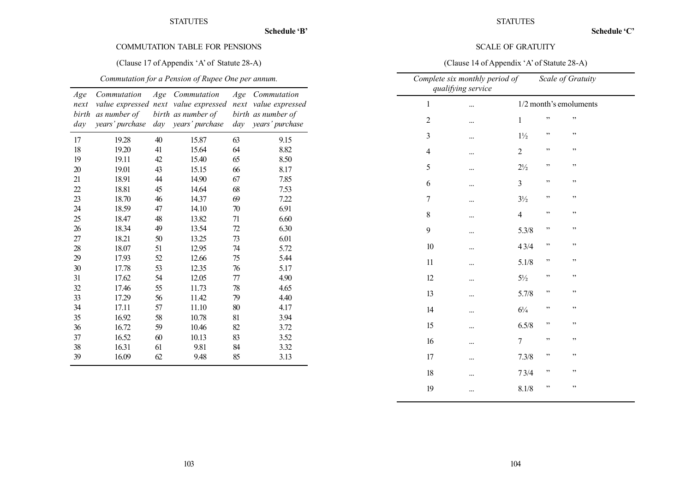Schedule 'B'

# COMMUTATION TABLE FOR PENSIONS

# (Clause 17 of Appendix 'A' of Statute 28-A)

# Commutation for a Pension of Rupee One per annum.

| Age   | Commutation     | Age  | Commutation        | Age  | Commutation        |
|-------|-----------------|------|--------------------|------|--------------------|
| next  | value expressed | next | value expressed    | next | value expressed    |
| birth | as number of    |      | birth as number of |      | birth as number of |
| day   | years' purchase | day  | years' purchase    | day  | years' purchase    |
| 17    | 19.28           | 40   | 15.87              | 63   | 9.15               |
| 18    | 19.20           | 41   | 15.64              | 64   | 8.82               |
| 19    | 19.11           | 42   | 15.40              | 65   | 8.50               |
| 20    | 19.01           | 43   | 15.15              | 66   | 8.17               |
| 21    | 18.91           | 44   | 14.90              | 67   | 7.85               |
| 22    | 18.81           | 45   | 14.64              | 68   | 7.53               |
| 23    | 18.70           | 46   | 14.37              | 69   | 7.22               |
| 24    | 18.59           | 47   | 14.10              | 70   | 6.91               |
| 25    | 18.47           | 48   | 13.82              | 71   | 6.60               |
| 26    | 18.34           | 49   | 13.54              | 72   | 6.30               |
| 27    | 18.21           | 50   | 13.25              | 73   | 6.01               |
| 28    | 18.07           | 51   | 12.95              | 74   | 5.72               |
| 29    | 17.93           | 52   | 12.66              | 75   | 5.44               |
| 30    | 17.78           | 53   | 12.35              | 76   | 5.17               |
| 31    | 17.62           | 54   | 12.05              | 77   | 4.90               |
| 32    | 17.46           | 55   | 11.73              | 78   | 4.65               |
| 33    | 17.29           | 56   | 11.42              | 79   | 4.40               |
| 34    | 17.11           | 57   | 11.10              | 80   | 4.17               |
| 35    | 16.92           | 58   | 10.78              | 81   | 3.94               |
| 36    | 16.72           | 59   | 10.46              | 82   | 3.72               |
| 37    | 16.52           | 60   | 10.13              | 83   | 3.52               |
| 38    | 16.31           | 61   | 9.81               | 84   | 3.32               |
| 39    | 16.09           | 62   | 9.48               | 85   | 3.13               |

# SCALE OF GRATUITY

# (Clause 14 of Appendix 'A' of Statute 28-A)

|                | Complete six monthly period of<br>qualifying service |                |    | Scale of Gratuity      |  |
|----------------|------------------------------------------------------|----------------|----|------------------------|--|
| $\mathbf{1}$   |                                                      |                |    | 1/2 month's emoluments |  |
| $\overline{2}$ |                                                      | $\mathbf{1}$   | ,, | , ,                    |  |
| $\mathfrak{Z}$ |                                                      | $1\frac{1}{2}$ | ,, | ,,                     |  |
| $\overline{4}$ |                                                      | $\overline{c}$ | ,, | ,,                     |  |
| 5              |                                                      | $2\frac{1}{2}$ | ,, | ,,                     |  |
| 6              |                                                      | $\mathfrak{Z}$ | ,, | ,,                     |  |
| $\overline{7}$ |                                                      | $3\frac{1}{2}$ | ,, | ,,                     |  |
| 8              |                                                      | $\overline{4}$ | ,, | , ,                    |  |
| 9              |                                                      | 5.3/8          | ,, | ,,                     |  |
| 10             |                                                      | 43/4           | ,, | ,,                     |  |
| 11             |                                                      | 5.1/8          | ,, | , ,                    |  |
| 12             |                                                      | $5\frac{1}{2}$ | ,, | ,,                     |  |
| 13             |                                                      | 5.7/8          | ,, | , ,                    |  |
| 14             |                                                      | $6\frac{1}{4}$ | ,, | ,,                     |  |
| 15             |                                                      | 6.5/8          | ,, | ,,                     |  |
| 16             |                                                      | 7              | ,, | ,,                     |  |
| 17             |                                                      | 7.3/8          | ,, | , ,                    |  |
| 18             |                                                      | 73/4           | ,, | , ,                    |  |
| 19             | $\cdots$                                             | 8.1/8          | ,, | ,,                     |  |
|                |                                                      |                |    |                        |  |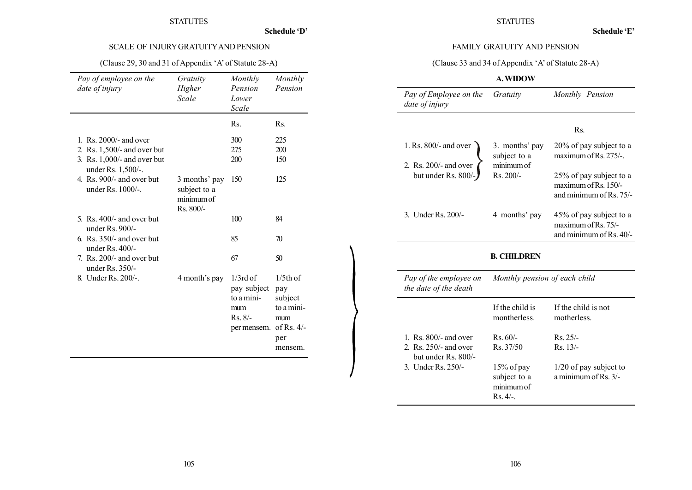Schedule 'D'

# SCALE OF INJURYGRATUITYAND PENSION

# (Clause 29, 30 and 31 of Appendix 'A' of Statute 28-A)

| Pay of employee on the<br>date of injury          | Gratuity<br>Higher<br>Scale                                | Monthly<br>Pension<br>Lower<br>Scale                                        | Monthly<br>Pension                                                                   |
|---------------------------------------------------|------------------------------------------------------------|-----------------------------------------------------------------------------|--------------------------------------------------------------------------------------|
|                                                   |                                                            | Rs.                                                                         | Rs.                                                                                  |
| 1. Rs. 2000/- and over                            |                                                            | 300                                                                         | 225                                                                                  |
| 2. Rs. 1,500/- and over but                       |                                                            | 275                                                                         | 200                                                                                  |
| 3. Rs. 1,000/- and over but<br>under Rs. 1,500/-. |                                                            | 200                                                                         | 150                                                                                  |
| 4. Rs. 900/- and over but<br>under $Rs. 1000/-$ . | 3 months' pay<br>subject to a<br>minimum of<br>$Rs. 800/-$ | 150                                                                         | 125                                                                                  |
| 5. Rs. $400/-$ and over but<br>under $Rs. 900/-$  |                                                            | 100                                                                         | 84                                                                                   |
| 6. Rs. $350/-$ and over but<br>under $Rs.400/-$   |                                                            | 85                                                                          | 70                                                                                   |
| 7. Rs. 200/- and over but<br>under Rs. 350/-      |                                                            | 67                                                                          | 50                                                                                   |
| 8. Under Rs. 200/-.                               | 4 month's pay                                              | $1/3$ rd of<br>pay subject<br>to a mini-<br>mum<br>$Rs. 8/-$<br>per mensem. | $1/5$ th of<br>pay<br>subject<br>to a mini-<br>mum<br>of Rs. $4/-$<br>per<br>mensem. |

# **STATUTES**

## FAMILY GRATUITY AND PENSION

(Clause 33 and 34 of Appendix 'A' of Statute 28-A)

# A.WIDOW

| Pay of Employee on the<br>date of injury                                                                 | Gratuity                        | Monthly Pension                                                            |
|----------------------------------------------------------------------------------------------------------|---------------------------------|----------------------------------------------------------------------------|
|                                                                                                          |                                 | Rs.                                                                        |
| 1. Rs. 800/- and over                                                                                    | 3. months' pay<br>subject to a  | 20% of pay subject to a<br>maximum of Rs. 275/-.                           |
| 2. Rs. 200/- and over<br>but under Rs. 800/-                                                             | minimum of<br>Rs. 200/-         | 25% of pay subject to a<br>maximum of Rs. 150/-<br>and minimum of Rs. 75/- |
| 3. Under Rs. 200/-                                                                                       | 4 months' pay                   | 45% of pay subject to a<br>maximum of Rs. 75/-<br>and minimum of Rs. 40/-  |
|                                                                                                          | <b>B. CHILDREN</b>              |                                                                            |
|                                                                                                          |                                 |                                                                            |
| the date of the death                                                                                    | Monthly pension of each child   |                                                                            |
|                                                                                                          | If the child is<br>montherless. | If the child is not<br>motherless.                                         |
| Pay of the employee on<br>1. $\text{Rs. }800/-$ and over<br>2. Rs. 250/- and over<br>but under Rs. 800/- | $Rs. 60/-$<br>Rs. 37/50         | $Rs. 25/-$<br>Rs. 13/-                                                     |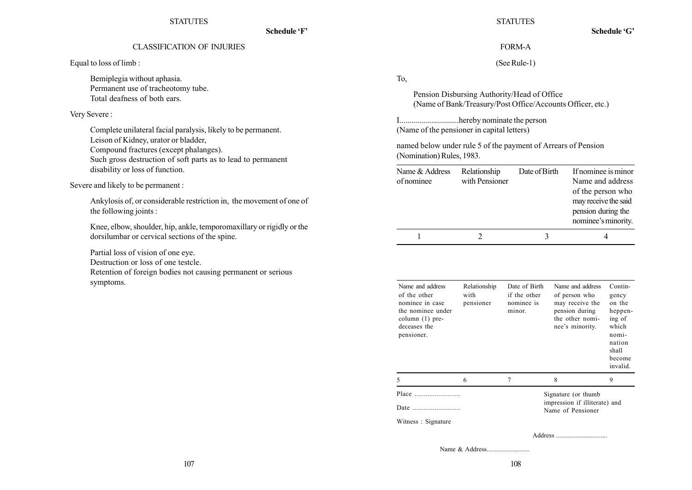Schedule 'F'

## CLASSIFICATION OF INJURIES

Equal to loss of limb :

Bemiplegia without aphasia. Permanent use of tracheotomy tube. Total deafness of both ears.

Very Severe :

Complete unilateral facial paralysis, likely to be permanent. Leison of Kidney, urator or bladder, Compound fractures (except phalanges). Such gross destruction of soft parts as to lead to permanent disability or loss of function.

Severe and likely to be permanent :

Ankylosis of, or considerable restriction in, the movement of one of the following joints :

Knee, elbow, shoulder, hip, ankle, temporomaxillary or rigidly or the dorsilumbar or cervical sections of the spine.

Partial loss of vision of one eye.

Destruction or loss of one testcle.

Retention of foreign bodies not causing permanent or serious symptoms.

**STATUTES** 

Schedule 'G'

## FORM-A

(See Rule-1)

To,

Pension Disbursing Authority/Head of Office (Name of Bank/Treasury/Post Office/Accounts Officer, etc.)

I..............................hereby nominate the person (Name of the pensioner in capital letters)

named below under rule 5 of the payment of Arrears of Pension (Nomination) Rules, 1983.

| Name & Address<br>of nominee | Relationship<br>with Pensioner | Date of Birth | If nominee is minor<br>Name and address<br>of the person who<br>may receive the said<br>pension during the<br>nominee's minority. |
|------------------------------|--------------------------------|---------------|-----------------------------------------------------------------------------------------------------------------------------------|
|                              |                                |               |                                                                                                                                   |

| Name and address<br>of the other<br>nominee in case<br>the nominee under<br>column $(1)$ pre-<br>deceases the<br>pensioner. | Relationship<br>with<br>pensioner | Date of Birth<br>if the other<br>nominee is<br>minor. | Name and address<br>of person who<br>may receive the<br>pension during<br>the other nomi-<br>nee's minority. | Contin-<br>gency<br>on the<br>heppen-<br>ing of<br>which<br>nomi-<br>nation<br>shall<br>become<br>invalid. |
|-----------------------------------------------------------------------------------------------------------------------------|-----------------------------------|-------------------------------------------------------|--------------------------------------------------------------------------------------------------------------|------------------------------------------------------------------------------------------------------------|
| 5                                                                                                                           | 6                                 |                                                       | 8                                                                                                            | 9                                                                                                          |
| Place<br>Date<br>Witness: Signature                                                                                         |                                   |                                                       | Signature (or thumb<br>impression if illiterate) and<br>Name of Pensioner                                    |                                                                                                            |
|                                                                                                                             |                                   |                                                       |                                                                                                              |                                                                                                            |

Name & Address..........................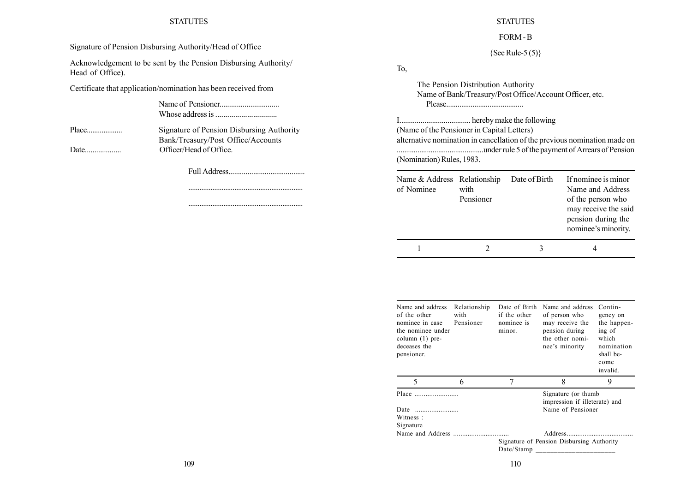Signature of Pension Disbursing Authority/Head of Office

Acknowledgement to be sent by the Pension Disbursing Authority/ Head of Office).

Certificate that application/nomination has been received from

Name of Pensioner............................... Whose address is ...............................

Place................... Signature of Pension Disbursing Authority Bank/Treasury/Post Office/Accounts Date................... Officer/Head of Office.

Full Address........................................

.............................................................. ..............................................................

**STATUTES** FORM - B

 ${See Rule-5 (5)}$ 

To,

The Pension Distribution Authority Name of Bank/Treasury/Post Office/Account Officer, etc. Please.........................................

I..................................... hereby make the following (Name of the Pensioner in Capital Letters) alternative nomination in cancellation of the previous nomination made on ..............................................under rule 5 of the payment of Arrears of Pension (Nomination) Rules, 1983.

| Name & Address Relationship<br>of Nominee | with<br>Pensioner | Date of Birth | If nominee is minor<br>Name and Address<br>of the person who<br>may receive the said<br>pension during the<br>nominee's minority. |
|-------------------------------------------|-------------------|---------------|-----------------------------------------------------------------------------------------------------------------------------------|
|                                           |                   |               |                                                                                                                                   |

| Name and address<br>of the other<br>nominee in case<br>the nominee under<br>column $(1)$ pre-<br>deceases the<br>pensioner. | Relationship<br>with<br>Pensioner | Date of Birth<br>if the other<br>nominee is<br>minor. | Name and address<br>of person who<br>may receive the<br>pension during<br>the other nomi-<br>nee's minority | Contin-<br>gency on<br>the happen-<br>ing of<br>which<br>nomination<br>shall be-<br>come<br>invalid. |
|-----------------------------------------------------------------------------------------------------------------------------|-----------------------------------|-------------------------------------------------------|-------------------------------------------------------------------------------------------------------------|------------------------------------------------------------------------------------------------------|
| 5                                                                                                                           | 6                                 | 7                                                     | 8                                                                                                           | 9                                                                                                    |
|                                                                                                                             |                                   |                                                       | Signature (or thumb)<br>impression if illeterate) and                                                       |                                                                                                      |
| Date                                                                                                                        |                                   |                                                       | Name of Pensioner                                                                                           |                                                                                                      |
| Witness:                                                                                                                    |                                   |                                                       |                                                                                                             |                                                                                                      |
| Signature                                                                                                                   |                                   |                                                       |                                                                                                             |                                                                                                      |
|                                                                                                                             |                                   |                                                       |                                                                                                             |                                                                                                      |
|                                                                                                                             |                                   |                                                       | Signature of Pension Disbursing Authority                                                                   |                                                                                                      |
|                                                                                                                             |                                   | Date/Stamp                                            |                                                                                                             |                                                                                                      |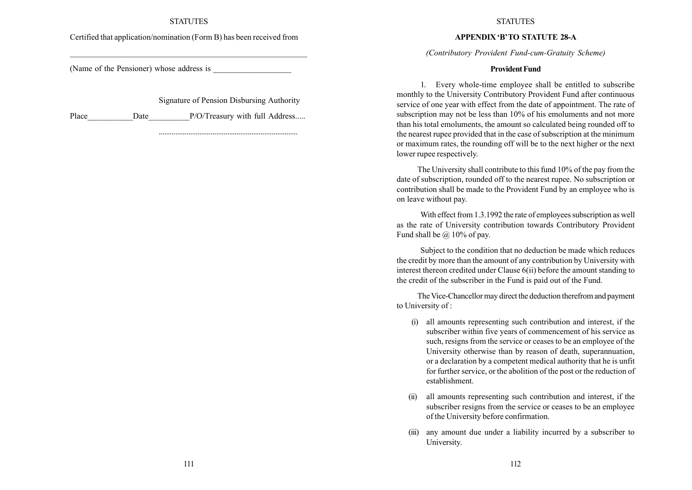## Certified that application/nomination (Form B) has been received from

(Name of the Pensioner) whose address is

Signature of Pension Disbursing Authority

...........................................................................

Place Date Date P/O/Treasury with full Address.....

#### **STATUTES**

#### APPENDIX 'B'TO STATUTE 28-A

(Contributory Provident Fund-cum-Gratuity Scheme)

#### Provident Fund

1. Every whole-time employee shall be entitled to subscribe monthly to the University Contributory Provident Fund after continuous service of one year with effect from the date of appointment. The rate of subscription may not be less than 10% of his emoluments and not more than his total emoluments, the amount so calculated being rounded off to the nearest rupee provided that in the case of subscription at the minimum or maximum rates, the rounding off will be to the next higher or the next lower rupee respectively.

The University shall contribute to this fund 10% of the pay from the date of subscription, rounded off to the nearest rupee. No subscription or contribution shall be made to the Provident Fund by an employee who is on leave without pay.

With effect from 1.3.1992 the rate of employees subscription as well as the rate of University contribution towards Contributory Provident Fund shall be  $\omega$  10% of pay.

Subject to the condition that no deduction be made which reduces the credit by more than the amount of any contribution by University with interest thereon credited under Clause 6(ii) before the amount standing to the credit of the subscriber in the Fund is paid out of the Fund.

The Vice-Chancellor may direct the deduction therefrom and payment to University of :

- (i) all amounts representing such contribution and interest, if the subscriber within five years of commencement of his service as such, resigns from the service or ceases to be an employee of the University otherwise than by reason of death, superannuation, or a declaration by a competent medical authority that he is unfit for further service, or the abolition of the post or the reduction of establishment.
- (ii) all amounts representing such contribution and interest, if the subscriber resigns from the service or ceases to be an employee of the University before confirmation.
- (iii) any amount due under a liability incurred by a subscriber to University.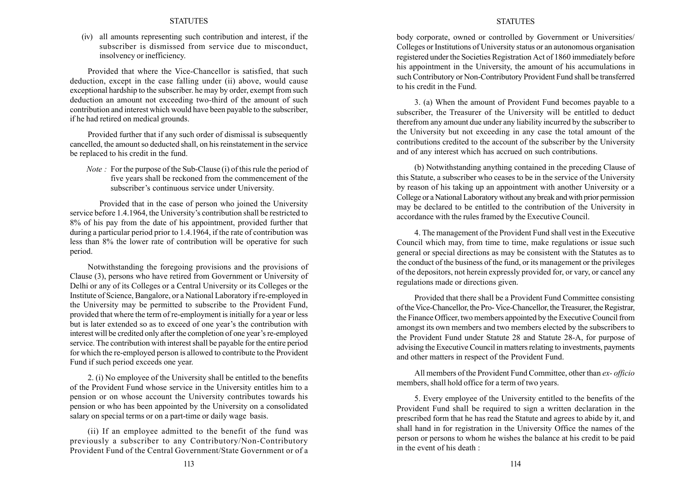(iv) all amounts representing such contribution and interest, if the subscriber is dismissed from service due to misconduct, insolvency or inefficiency.

Provided that where the Vice-Chancellor is satisfied, that such deduction, except in the case falling under (ii) above, would cause exceptional hardship to the subscriber. he may by order, exempt from such deduction an amount not exceeding two-third of the amount of such contribution and interest which would have been payable to the subscriber, if he had retired on medical grounds.

Provided further that if any such order of dismissal is subsequently cancelled, the amount so deducted shall, on his reinstatement in the service be replaced to his credit in the fund.

Note : For the purpose of the Sub-Clause (i) of this rule the period of five years shall be reckoned from the commencement of the subscriber's continuous service under University.

Provided that in the case of person who joined the University service before 1.4.1964, the University's contribution shall be restricted to 8% of his pay from the date of his appointment, provided further that during a particular period prior to 1.4.1964, if the rate of contribution was less than 8% the lower rate of contribution will be operative for such period.

Notwithstanding the foregoing provisions and the provisions of Clause (3), persons who have retired from Government or University of Delhi or any of its Colleges or a Central University or its Colleges or the Institute of Science, Bangalore, or a National Laboratory if re-employed in the University may be permitted to subscribe to the Provident Fund, provided that where the term of re-employment is initially for a year or less but is later extended so as to exceed of one year's the contribution with interest will be credited only after the completion of one year's re-employed service. The contribution with interest shall be payable for the entire period for which the re-employed person is allowed to contribute to the Provident Fund if such period exceeds one year.

2. (i) No employee of the University shall be entitled to the benefits of the Provident Fund whose service in the University entitles him to a pension or on whose account the University contributes towards his pension or who has been appointed by the University on a consolidated salary on special terms or on a part-time or daily wage basis.

(ii) If an employee admitted to the benefit of the fund was previously a subscriber to any Contributory/Non-Contributory Provident Fund of the Central Government/State Government or of a

#### **STATUTES**

body corporate, owned or controlled by Government or Universities/ Colleges or Institutions of University status or an autonomous organisation registered under the Societies Registration Act of 1860 immediately before his appointment in the University, the amount of his accumulations in such Contributory or Non-Contributory Provident Fund shall be transferred to his credit in the Fund.

3. (a) When the amount of Provident Fund becomes payable to a subscriber, the Treasurer of the University will be entitled to deduct therefrom any amount due under any liability incurred by the subscriber to the University but not exceeding in any case the total amount of the contributions credited to the account of the subscriber by the University and of any interest which has accrued on such contributions.

(b) Notwithstanding anything contained in the preceding Clause of this Statute, a subscriber who ceases to be in the service of the University by reason of his taking up an appointment with another University or a College or a National Laboratory without any break and with prior permission may be declared to be entitled to the contribution of the University in accordance with the rules framed by the Executive Council.

4. The management of the Provident Fund shall vest in the Executive Council which may, from time to time, make regulations or issue such general or special directions as may be consistent with the Statutes as to the conduct of the business of the fund, or its management or the privileges of the depositors, not herein expressly provided for, or vary, or cancel any regulations made or directions given.

Provided that there shall be a Provident Fund Committee consisting of the Vice-Chancellor, the Pro- Vice-Chancellor, the Treasurer, the Registrar, the Finance Officer, two members appointed by the Executive Council from amongst its own members and two members elected by the subscribers to the Provident Fund under Statute 28 and Statute 28-A, for purpose of advising the Executive Council in matters relating to investments, payments and other matters in respect of the Provident Fund.

All members of the Provident Fund Committee, other than ex- officio members, shall hold office for a term of two years.

5. Every employee of the University entitled to the benefits of the Provident Fund shall be required to sign a written declaration in the prescribed form that he has read the Statute and agrees to abide by it, and shall hand in for registration in the University Office the names of the person or persons to whom he wishes the balance at his credit to be paid in the event of his death :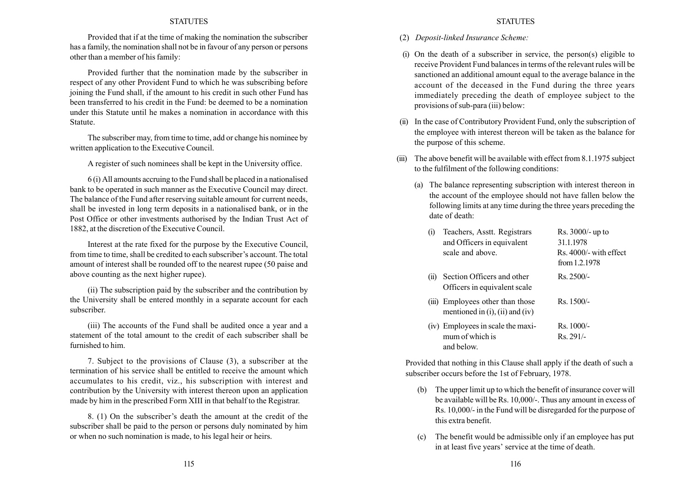Provided that if at the time of making the nomination the subscriber has a family, the nomination shall not be in favour of any person or persons other than a member of his family:

Provided further that the nomination made by the subscriber in respect of any other Provident Fund to which he was subscribing before joining the Fund shall, if the amount to his credit in such other Fund has been transferred to his credit in the Fund: be deemed to be a nomination under this Statute until he makes a nomination in accordance with this Statute.

The subscriber may, from time to time, add or change his nominee by written application to the Executive Council.

A register of such nominees shall be kept in the University office.

6 (i) All amounts accruing to the Fund shall be placed in a nationalised bank to be operated in such manner as the Executive Council may direct. The balance of the Fund after reserving suitable amount for current needs, shall be invested in long term deposits in a nationalised bank, or in the Post Office or other investments authorised by the Indian Trust Act of 1882, at the discretion of the Executive Council.

Interest at the rate fixed for the purpose by the Executive Council, from time to time, shall be credited to each subscriber's account. The total amount of interest shall be rounded off to the nearest rupee (50 paise and above counting as the next higher rupee).

(ii) The subscription paid by the subscriber and the contribution by the University shall be entered monthly in a separate account for each subscriber.

(iii) The accounts of the Fund shall be audited once a year and a statement of the total amount to the credit of each subscriber shall be furnished to him.

7. Subject to the provisions of Clause (3), a subscriber at the termination of his service shall be entitled to receive the amount which accumulates to his credit, viz., his subscription with interest and contribution by the University with interest thereon upon an application made by him in the prescribed Form XIII in that behalf to the Registrar.

8. (1) On the subscriber's death the amount at the credit of the subscriber shall be paid to the person or persons duly nominated by him or when no such nomination is made, to his legal heir or heirs.

- (2) Deposit-linked Insurance Scheme:
- (i) On the death of a subscriber in service, the person(s) eligible to receive Provident Fund balances in terms of the relevant rules will be sanctioned an additional amount equal to the average balance in the account of the deceased in the Fund during the three years immediately preceding the death of employee subject to the provisions of sub-para (iii) below:
- (ii) In the case of Contributory Provident Fund, only the subscription of the employee with interest thereon will be taken as the balance for the purpose of this scheme.
- (iii) The above benefit will be available with effect from 8.1.1975 subject to the fulfilment of the following conditions:
	- (a) The balance representing subscription with interest thereon in the account of the employee should not have fallen below the following limits at any time during the three years preceding the date of death:

| Teachers, Asstt. Registrars<br>(1)<br>and Officers in equivalent<br>scale and above. | $Rs. 3000/- up to$<br>31.1.1978<br>Rs. 4000/- with effect<br>from $1.2.1978$ |
|--------------------------------------------------------------------------------------|------------------------------------------------------------------------------|
| Section Officers and other<br>(11)<br>Officers in equivalent scale                   | $Rs.2500/-$                                                                  |
| (iii) Employees other than those<br>mentioned in $(i)$ , $(ii)$ and $(iv)$           | $Rs. 1500/-$                                                                 |
| (iv) Employees in scale the maxi-<br>mum of which is<br>and below.                   | $Rs. 1000/-$<br>$Rs. 291/-$                                                  |

Provided that nothing in this Clause shall apply if the death of such a subscriber occurs before the 1st of February, 1978.

- (b) The upper limit up to which the benefit of insurance cover will be available will be Rs. 10,000/-. Thus any amount in excess of Rs. 10,000/- in the Fund will be disregarded for the purpose of this extra benefit.
- (c) The benefit would be admissible only if an employee has put in at least five years' service at the time of death.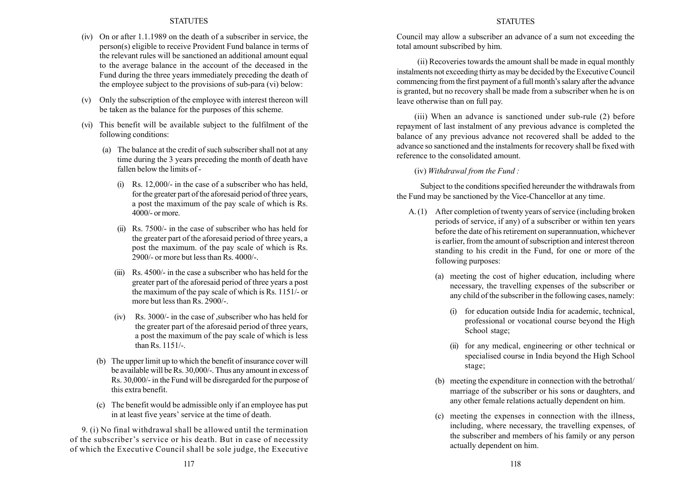- (iv) On or after 1.1.1989 on the death of a subscriber in service, the person(s) eligible to receive Provident Fund balance in terms of the relevant rules will be sanctioned an additional amount equal to the average balance in the account of the deceased in the Fund during the three years immediately preceding the death of the employee subject to the provisions of sub-para (vi) below:
- (v) Only the subscription of the employee with interest thereon will be taken as the balance for the purposes of this scheme.
- (vi) This benefit will be available subject to the fulfilment of the following conditions:
	- (a) The balance at the credit of such subscriber shall not at any time during the 3 years preceding the month of death have fallen below the limits of -
		- (i) Rs. 12,000/- in the case of a subscriber who has held, for the greater part of the aforesaid period of three years, a post the maximum of the pay scale of which is Rs. 4000/- or more.
		- (ii) Rs. 7500/- in the case of subscriber who has held for the greater part of the aforesaid period of three years, a post the maximum. of the pay scale of which is Rs. 2900/- or more but less than Rs. 4000/-.
		- (iii) Rs. 4500/- in the case a subscriber who has held for the greater part of the aforesaid period of three years a post the maximum of the pay scale of which is Rs. 1151/- or more but less than Rs. 2900/-
		- (iv) Rs. 3000/- in the case of ,subscriber who has held for the greater part of the aforesaid period of three years, a post the maximum of the pay scale of which is less than Rs. 1151/-.
	- (b) The upper limit up to which the benefit of insurance cover will be available will be Rs. 30,000/-. Thus any amount in excess of Rs. 30,000/- in the Fund will be disregarded for the purpose of this extra benefit.
	- (c) The benefit would be admissible only if an employee has put in at least five years' service at the time of death.

9. (i) No final withdrawal shall be allowed until the termination of the subscriber's service or his death. But in case of necessity of which the Executive Council shall be sole judge, the Executive

#### **STATUTES**

Council may allow a subscriber an advance of a sum not exceeding the total amount subscribed by him.

(ii) Recoveries towards the amount shall be made in equal monthly instalments not exceeding thirty as may be decided by the Executive Council commencing from the first payment of a full month's salary after the advance is granted, but no recovery shall be made from a subscriber when he is on leave otherwise than on full pay.

(iii) When an advance is sanctioned under sub-rule (2) before repayment of last instalment of any previous advance is completed the balance of any previous advance not recovered shall be added to the advance so sanctioned and the instalments for recovery shall be fixed with reference to the consolidated amount.

(iv) Withdrawal from the Fund :

Subject to the conditions specified hereunder the withdrawals from the Fund may be sanctioned by the Vice-Chancellor at any time.

- A. (1) After completion of twenty years of service (including broken periods of service, if any) of a subscriber or within ten years before the date of his retirement on superannuation, whichever is earlier, from the amount of subscription and interest thereon standing to his credit in the Fund, for one or more of the following purposes:
	- (a) meeting the cost of higher education, including where necessary, the travelling expenses of the subscriber or any child of the subscriber in the following cases, namely:
		- (i) for education outside India for academic, technical, professional or vocational course beyond the High School stage:
		- (ii) for any medical, engineering or other technical or specialised course in India beyond the High School stage;
	- (b) meeting the expenditure in connection with the betrothal/ marriage of the subscriber or his sons or daughters, and any other female relations actually dependent on him.
	- (c) meeting the expenses in connection with the illness, including, where necessary, the travelling expenses, of the subscriber and members of his family or any person actually dependent on him.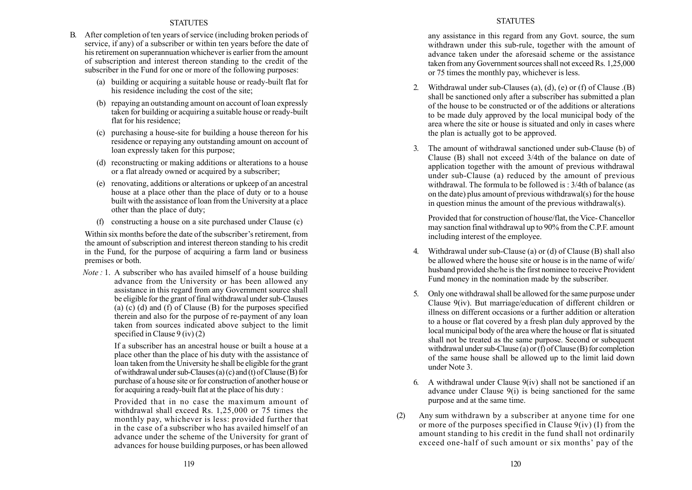- B. After completion of ten years of service (including broken periods of service, if any) of a subscriber or within ten years before the date of his retirement on superannuation whichever is earlier from the amount of subscription and interest thereon standing to the credit of the subscriber in the Fund for one or more of the following purposes:
	- (a) building or acquiring a suitable house or ready-built flat for his residence including the cost of the site;
	- (b) repaying an outstanding amount on account of loan expressly taken for building or acquiring a suitable house or ready-built flat for his residence;
	- (c) purchasing a house-site for building a house thereon for his residence or repaying any outstanding amount on account of loan expressly taken for this purpose;
	- (d) reconstructing or making additions or alterations to a house or a flat already owned or acquired by a subscriber;
	- (e) renovating, additions or alterations or upkeep of an ancestral house at a place other than the place of duty or to a house built with the assistance of loan from the University at a place other than the place of duty;
	- (f) constructing a house on a site purchased under Clause (c)

Within six months before the date of the subscriber's retirement, from the amount of subscription and interest thereon standing to his credit in the Fund, for the purpose of acquiring a farm land or business premises or both.

Note : 1. A subscriber who has availed himself of a house building advance from the University or has been allowed any assistance in this regard from any Government source shall be eligible for the grant of final withdrawal under sub-Clauses (a) (c) (d) and (f) of Clause (B) for the purposes specified therein and also for the purpose of re-payment of any loan taken from sources indicated above subject to the limit specified in Clause  $9$  (iv) (2)

> If a subscriber has an ancestral house or built a house at a place other than the place of his duty with the assistance of loan taken from the University he shall be eligible for the grant of withdrawal under sub-Clauses (a) (c) and (t) of Clause (B) for purchase of a house site or for construction of another house or for acquiring a ready-built flat at the place of his duty :

> Provided that in no case the maximum amount of withdrawal shall exceed Rs. 1,25,000 or 75 times the monthly pay, whichever is less: provided further that in the case of a subscriber who has availed himself of an advance under the scheme of the University for grant of advances for house building purposes, or has been allowed

## **STATUTES**

any assistance in this regard from any Govt. source, the sum withdrawn under this sub-rule, together with the amount of advance taken under the aforesaid scheme or the assistance taken from any Government sources shall not exceed Rs. 1,25,000 or 75 times the monthly pay, whichever is less.

- 2. Withdrawal under sub-Clauses (a), (d), (e) or (f) of Clause .(B) shall be sanctioned only after a subscriber has submitted a plan of the house to be constructed or of the additions or alterations to be made duly approved by the local municipal body of the area where the site or house is situated and only in cases where the plan is actually got to be approved.
- 3. The amount of withdrawal sanctioned under sub-Clause (b) of Clause (B) shall not exceed 3/4th of the balance on date of application together with the amount of previous withdrawal under sub-Clause (a) reduced by the amount of previous withdrawal. The formula to be followed is : 3/4th of balance (as on the date) plus amount of previous withdrawal(s) for the house in question minus the amount of the previous withdrawal(s).

Provided that for construction of house/flat, the Vice- Chancellor may sanction final withdrawal up to 90% from the C.P.F. amount including interest of the employee.

- 4. Withdrawal under sub-Clause (a) or (d) of Clause (B) shall also be allowed where the house site or house is in the name of wife/ husband provided she/he is the first nominee to receive Provident Fund money in the nomination made by the subscriber.
- 5. Only one withdrawal shall be allowed for the same purpose under Clause 9(iv). But marriage/education of different children or illness on different occasions or a further addition or alteration to a house or flat covered by a fresh plan duly approved by the local municipal body of the area where the house or flat is situated shall not be treated as the same purpose. Second or subequent withdrawal under sub-Clause (a) or (f) of Clause (B) for completion of the same house shall be allowed up to the limit laid down under Note 3.
- 6. A withdrawal under Clause  $9(iv)$  shall not be sanctioned if an advance under Clause 9(i) is being sanctioned for the same purpose and at the same time.
- (2) Any sum withdrawn by a subscriber at anyone time for one or more of the purposes specified in Clause 9(iv) (I) from the amount standing to his credit in the fund shall not ordinarily exceed one-half of such amount or six months' pay of the